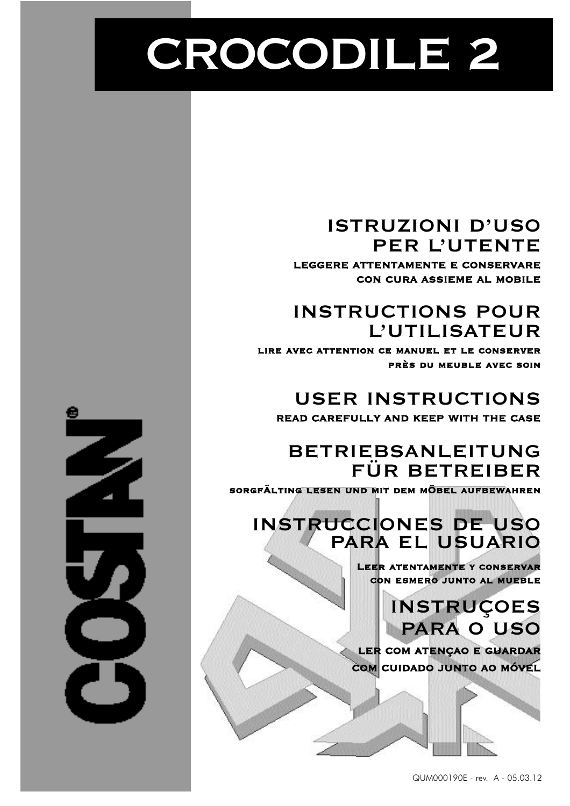# **CROCODILE 2**

### **ISTRUZIONI D'USO PER L'UTENTE**

**LEGGERE ATTENTAMENTE E CONSERVARE CON CURA ASSIEME AL MOBILE**

## **INSTRUCTIONS POUR L'UTILISATEUR**

**lire avec attention ce manuel et le conserver près du meuble avec soin**

### **USER INSTRUCTIONS READ CAREFULLY AND KEEP WITH THE CASE**

### **BETRIEBSANLEITUNG FÜR BETREIBER**

**sorgfÄlting lesen und mit dem mÖbel aufbewahren**

## **INSTRUCCIONES DE USO PARA EL USUARIO**

**Leer atentamente y conservar con esmero junto al mueble**

> **INSTRUÇOES PARA O USO**

**LER COM ATENÇAO E GUARDAR COM CUIDADO JUNTO AO MÓVEL**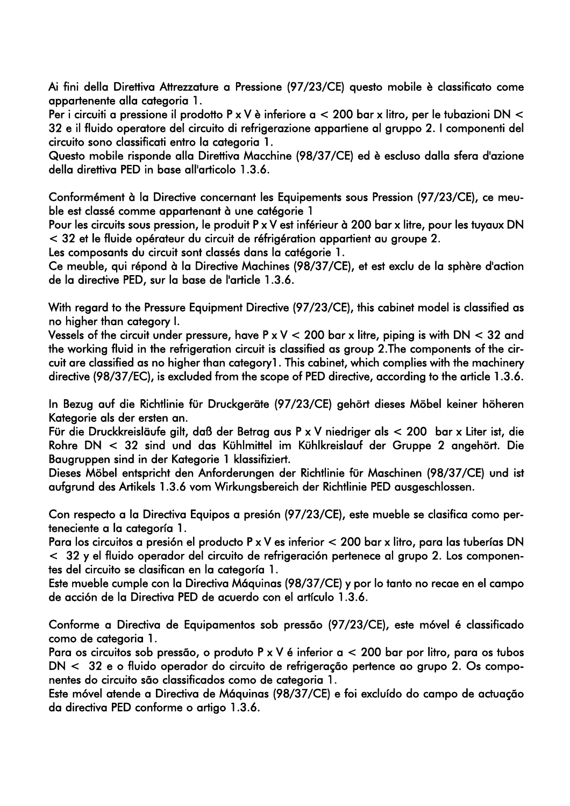Ai fini della Direttiva Attrezzature a Pressione (97/23/CE) questo mobile è classificato come appartenente alla categoria 1.

Per i circuiti a pressione il prodotto P x V è inferiore a < 200 bar x litro, per le tubazioni DN < 32 e il fluido operatore del circuito di refrigerazione appartiene al gruppo 2. I componenti del circuito sono classificati entro la categoria 1.

Questo mobile risponde alla Direttiva Macchine (98/37/CE) ed è escluso dalla sfera d'azione della direttiva PED in base all'articolo 1.3.6.

Conformément à la Directive concernant les Equipements sous Pression (97/23/CE), ce meuble est classé comme appartenant à une catégorie 1

Pour les circuits sous pression, le produit P x V est inférieur à 200 bar x litre, pour les tuyaux DN < 32 et le fluide opérateur du circuit de réfrigération appartient au groupe 2.

Les composants du circuit sont classés dans la catégorie 1.

Ce meuble, qui répond à la Directive Machines (98/37/CE), et est exclu de la sphère d'action de la directive PED, sur la base de l'article 1.3.6.

With regard to the Pressure Equipment Directive (97/23/CE), this cabinet model is classified as no higher than category I.

Vessels of the circuit under pressure, have  $P \times V < 200$  bar x litre, piping is with DN  $< 32$  and the working fluid in the refrigeration circuit is classified as group 2.The components of the circuit are classified as no higher than category1. This cabinet, which complies with the machinery directive (98/37/EC), is excluded from the scope of PED directive, according to the article 1.3.6.

In Bezug auf die Richtlinie für Druckgeräte (97/23/CE) gehört dieses Möbel keiner höheren Kategorie als der ersten an.

Für die Druckkreisläufe gilt, daß der Betrag aus P x V niedriger als < 200 bar x Liter ist, die Rohre DN < 32 sind und das Kühlmittel im Kühlkreislauf der Gruppe 2 angehört. Die Baugruppen sind in der Kategorie 1 klassifiziert.

Dieses Möbel entspricht den Anforderungen der Richtlinie für Maschinen (98/37/CE) und ist aufgrund des Artikels 1.3.6 vom Wirkungsbereich der Richtlinie PED ausgeschlossen.

Con respecto a la Directiva Equipos a presión (97/23/CE), este mueble se clasifica como perteneciente a la categoría 1.

Para los circuitos a presión el producto P x V es inferior < 200 bar x litro, para las tuberías DN < 32 y el fluido operador del circuito de refrigeración pertenece al grupo 2. Los componentes del circuito se clasifican en la categoría 1.

Este mueble cumple con la Directiva Máquinas (98/37/CE) y por lo tanto no recae en el campo de acción de la Directiva PED de acuerdo con el artículo 1.3.6.

Conforme a Directiva de Equipamentos sob pressão (97/23/CE), este móvel é classificado como de categoria 1.

Para os circuitos sob pressão, o produto P x V é inferior a < 200 bar por litro, para os tubos DN < 32 e o fluido operador do circuito de refrigeração pertence ao grupo 2. Os componentes do circuito são classificados como de categoria 1.

Este móvel atende a Directiva de Máquinas (98/37/CE) e foi excluído do campo de actuação da directiva PED conforme o artigo 1.3.6.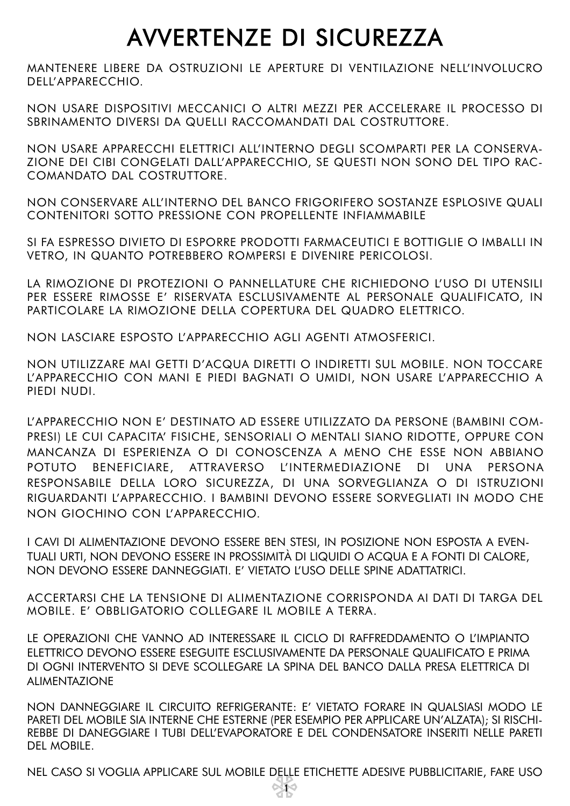## AVVERTENZE DI SICUREZZA

MANTENERE LIBERE DA OSTRUZIONI LE APERTURE DI VENTILAZIONE NELL'INVOLUCRO DELL'APPARECCHIO.

NON USARE DISPOSITIVI MECCANICI O ALTRI MEZZI PER ACCELERARE IL PROCESSO DI SBRINAMENTO DIVERSI DA QUELLI RACCOMANDATI DAL COSTRUTTORE.

NON USARE APPARECCHI ELETTRICI ALL'INTERNO DEGLI SCOMPARTI PER LA CONSERVA-ZIONE DEI CIBI CONGELATI DALL'APPARECCHIO, SE QUESTI NON SONO DEL TIPO RAC-COMANDATO DAL COSTRUTTORE.

NON CONSERVARE ALL'INTERNO DEL BANCO FRIGORIFERO SOSTANZE ESPLOSIVE QUALI CONTENITORI SOTTO PRESSIONE CON PROPELLENTE INFIAMMABILE

SI FA ESPRESSO DIVIETO DI ESPORRE PRODOTTI FARMACEUTICI E BOTTIGLIE O IMBALLI IN VETRO, IN QUANTO POTREBBERO ROMPERSI E DIVENIRE PERICOLOSI.

LA RIMOZIONE DI PROTEZIONI O PANNELLATURE CHE RICHIEDONO L'USO DI UTENSILI PER ESSERE RIMOSSE E' RISERVATA ESCLUSIVAMENTE AL PERSONALE QUALIFICATO, IN PARTICOLARE LA RIMOZIONE DELLA COPERTURA DEL QUADRO ELETTRICO.

NON LASCIARE ESPOSTO L'APPARECCHIO AGLI AGENTI ATMOSFERICI.

NON UTILIZZARE MAI GETTI D'ACQUA DIRETTI O INDIRETTI SUL MOBILE. NON TOCCARE L'APPARECCHIO CON MANI E PIEDI BAGNATI O UMIDI, NON USARE L'APPARECCHIO A PIEDI NUDI.

L'APPARECCHIO NON E' DESTINATO AD ESSERE UTILIZZATO DA PERSONE (BAMBINI COM-PRESI) LE CUI CAPACITA' FISICHE, SENSORIALI O MENTALI SIANO RIDOTTE, OPPURE CON MANCANZA DI ESPERIENZA O DI CONOSCENZA A MENO CHE ESSE NON ABBIANO POTUTO BENEFICIARE, ATTRAVERSO L'INTERMEDIAZIONE DI UNA PERSONA RESPONSABILE DELLA LORO SICUREZZA, DI UNA SORVEGLIANZA O DI ISTRUZIONI RIGUARDANTI L'APPARECCHIO. I BAMBINI DEVONO ESSERE SORVEGLIATI IN MODO CHE NON GIOCHINO CON L'APPARECCHIO.

I CAVI DI ALIMENTAZIONE DEVONO ESSERE BEN STESI, IN POSIZIONE NON ESPOSTA A EVEN-TUALI URTI, NON DEVONO ESSERE IN PROSSIMITÀ DI LIQUIDI O ACQUA E A FONTI DI CALORE, NON DEVONO ESSERE DANNEGGIATI. E' VIETATO L'USO DELLE SPINE ADATTATRICI.

ACCERTARSI CHE LA TENSIONE DI ALIMENTAZIONE CORRISPONDA AI DATI DI TARGA DEL MOBILE. E' OBBLIGATORIO COLLEGARE IL MOBILE A TERRA.

LE OPERAZIONI CHE VANNO AD INTERESSARE IL CICLO DI RAFFREDDAMENTO O L'IMPIANTO ELETTRICO DEVONO ESSERE ESEGUITE ESCLUSIVAMENTE DA PERSONALE QUALIFICATO E PRIMA DI OGNI INTERVENTO SI DEVE SCOLLEGARE LA SPINA DEL BANCO DALLA PRESA ELETTRICA DI ALIMENTAZIONE

NON DANNEGGIARE IL CIRCUITO REFRIGERANTE: E' VIETATO FORARE IN QUALSIASI MODO LE PARETI DEL MOBILE SIA INTERNE CHE ESTERNE (PER ESEMPIO PER APPLICARE UN'ALZATA); SI RISCHI-REBBE DI DANEGGIARE I TUBI DELL'EVAPORATORE E DEL CONDENSATORE INSERITI NELLE PARETI DEL MOBILE.

NEL CASO SI VOGLIA APPLICARE SUL MOBILE DELLE ETICHETTE ADESIVE PUBBLICITARIE, FARE USO 1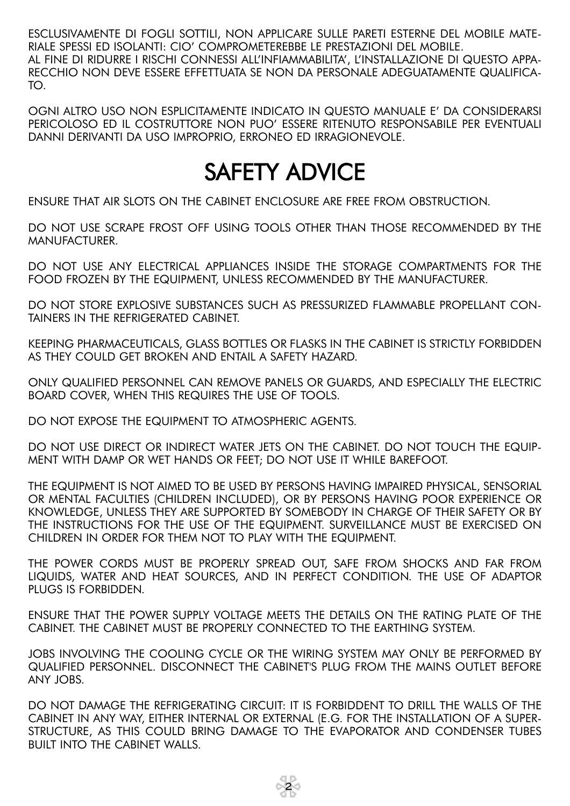ESCLUSIVAMENTE DI FOGLI SOTTILI, NON APPLICARE SULLE PARETI ESTERNE DEL MOBILE MATE-RIALE SPESSI ED ISOLANTI: CIO' COMPROMETEREBBE LE PRESTAZIONI DEL MOBILE. AL FINE DI RIDURRE I RISCHI CONNESSI ALL'INFIAMMABILITA', L'INSTALLAZIONE DI QUESTO APPA-RECCHIO NON DEVE ESSERE EFFETTUATA SE NON DA PERSONALE ADEGUATAMENTE QUALIFICA-TO.

OGNI ALTRO USO NON ESPLICITAMENTE INDICATO IN QUESTO MANUALE E' DA CONSIDERARSI PERICOLOSO ED IL COSTRUTTORE NON PUO' ESSERE RITENUTO RESPONSABILE PER EVENTUALI DANNI DERIVANTI DA USO IMPROPRIO, ERRONEO ED IRRAGIONEVOLE.

## SAFETY ADVICE

ENSURE THAT AIR SLOTS ON THE CABINET ENCLOSURE ARE FREE FROM OBSTRUCTION.

DO NOT USE SCRAPE FROST OFF USING TOOLS OTHER THAN THOSE RECOMMENDED BY THE MANUFACTURER.

DO NOT USE ANY ELECTRICAL APPLIANCES INSIDE THE STORAGE COMPARTMENTS FOR THE FOOD FROZEN BY THE EQUIPMENT, UNLESS RECOMMENDED BY THE MANUFACTURER.

DO NOT STORE EXPLOSIVE SUBSTANCES SUCH AS PRESSURIZED FLAMMABLE PROPELLANT CON-TAINERS IN THE REFRIGERATED CABINET.

KEEPING PHARMACEUTICALS, GLASS BOTTLES OR FLASKS IN THE CABINET IS STRICTLY FORBIDDEN AS THEY COULD GET BROKEN AND ENTAIL A SAFETY HAZARD.

ONLY QUALIFIED PERSONNEL CAN REMOVE PANELS OR GUARDS, AND ESPECIALLY THE ELECTRIC BOARD COVER, WHEN THIS REQUIRES THE USE OF TOOLS.

DO NOT EXPOSE THE EQUIPMENT TO ATMOSPHERIC AGENTS.

DO NOT USE DIRECT OR INDIRECT WATER JETS ON THE CABINET. DO NOT TOUCH THE EQUIP-MENT WITH DAMP OR WET HANDS OR FEET; DO NOT USE IT WHILE BAREFOOT.

THE EQUIPMENT IS NOT AIMED TO BE USED BY PERSONS HAVING IMPAIRED PHYSICAL, SENSORIAL OR MENTAL FACULTIES (CHILDREN INCLUDED), OR BY PERSONS HAVING POOR EXPERIENCE OR KNOWLEDGE, UNLESS THEY ARE SUPPORTED BY SOMEBODY IN CHARGE OF THEIR SAFETY OR BY THE INSTRUCTIONS FOR THE USE OF THE EQUIPMENT. SURVEILLANCE MUST BE EXERCISED ON CHILDREN IN ORDER FOR THEM NOT TO PLAY WITH THE EQUIPMENT.

THE POWER CORDS MUST BE PROPERLY SPREAD OUT, SAFE FROM SHOCKS AND FAR FROM LIQUIDS, WATER AND HEAT SOURCES, AND IN PERFECT CONDITION. THE USE OF ADAPTOR PLUGS IS FORBIDDEN.

ENSURE THAT THE POWER SUPPLY VOLTAGE MEETS THE DETAILS ON THE RATING PLATE OF THE CABINET. THE CABINET MUST BE PROPERLY CONNECTED TO THE EARTHING SYSTEM.

JOBS INVOLVING THE COOLING CYCLE OR THE WIRING SYSTEM MAY ONLY BE PERFORMED BY QUALIFIED PERSONNEL. DISCONNECT THE CABINET'S PLUG FROM THE MAINS OUTLET BEFORE ANY JOBS.

DO NOT DAMAGE THE REFRIGERATING CIRCUIT: IT IS FORBIDDENT TO DRILL THE WALLS OF THE CABINET IN ANY WAY, EITHER INTERNAL OR EXTERNAL (E.G. FOR THE INSTALLATION OF A SUPER-STRUCTURE, AS THIS COULD BRING DAMAGE TO THE EVAPORATOR AND CONDENSER TUBES BUILT INTO THE CABINET WALLS.

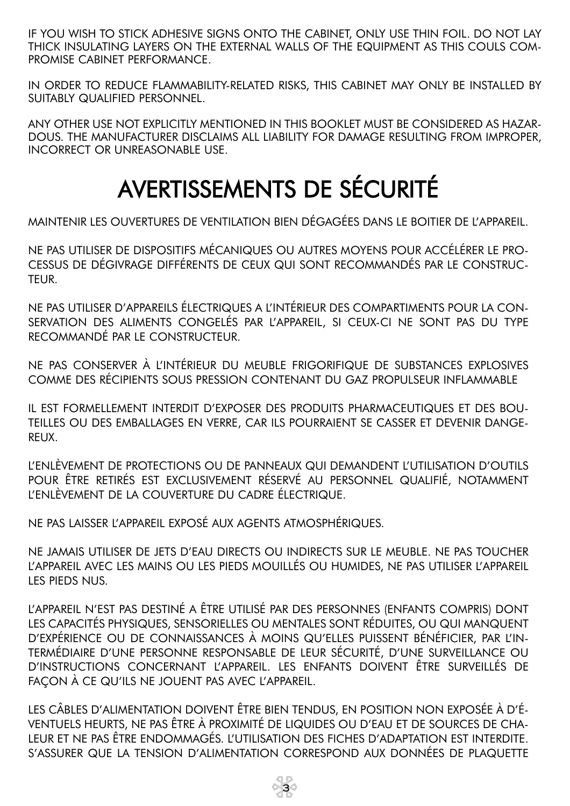IF YOU WISH TO STICK ADHESIVE SIGNS ONTO THE CABINET, ONLY USE THIN FOIL. DO NOT LAY THICK INSULATING LAYERS ON THE EXTERNAL WALLS OF THE EQUIPMENT AS THIS COULS COM-PROMISE CABINET PERFORMANCE.

IN ORDER TO REDUCE FLAMMABILITY-RELATED RISKS, THIS CABINET MAY ONLY BE INSTALLED BY SUITABLY QUALIFIED PERSONNEL.

ANY OTHER USE NOT EXPLICITLY MENTIONED IN THIS BOOKLET MUST BE CONSIDERED AS HAZAR-DOUS. THE MANUFACTURER DISCLAIMS ALL LIABILITY FOR DAMAGE RESULTING FROM IMPROPER, INCORRECT OR UNREASONABLE USE.

## AVERTISSEMENTS DE SÉCURITÉ

MAINTENIR LES OUVERTURES DE VENTILATION BIEN DÉGAGÉES DANS LE BOITIER DE L'APPAREIL.

NE PAS UTILISER DE DISPOSITIFS MÉCANIQUES OU AUTRES MOYENS POUR ACCÉLÉRER LE PRO-CESSUS DE DÉGIVRAGE DIFFÉRENTS DE CEUX QUI SONT RECOMMANDÉS PAR LE CONSTRUC-TEUR.

NE PAS UTILISER D'APPAREILS ÉLECTRIQUES A L'INTÉRIEUR DES COMPARTIMENTS POUR LA CON-SERVATION DES ALIMENTS CONGELÉS PAR L'APPAREIL, SI CEUX-CI NE SONT PAS DU TYPE RECOMMANDÉ PAR LE CONSTRUCTEUR.

NE PAS CONSERVER À L'INTÉRIEUR DU MEUBLE FRIGORIFIQUE DE SUBSTANCES EXPLOSIVES COMME DES RÉCIPIENTS SOUS PRESSION CONTENANT DU GAZ PROPULSEUR INFLAMMABLE

IL EST FORMELLEMENT INTERDIT D'EXPOSER DES PRODUITS PHARMACEUTIQUES ET DES BOU-TEILLES OU DES EMBALLAGES EN VERRE, CAR ILS POURRAIENT SE CASSER ET DEVENIR DANGE-REUX.

L'ENLÈVEMENT DE PROTECTIONS OU DE PANNEAUX QUI DEMANDENT L'UTILISATION D'OUTILS POUR ÊTRE RETIRÉS EST EXCLUSIVEMENT RÉSERVÉ AU PERSONNEL QUALIFIÉ, NOTAMMENT L'ENLÈVEMENT DE LA COUVERTURE DU CADRE ÉLECTRIQUE.

NE PAS LAISSER L'APPAREIL EXPOSÉ AUX AGENTS ATMOSPHÉRIQUES.

NE JAMAIS UTILISER DE JETS D'EAU DIRECTS OU INDIRECTS SUR LE MEUBLE. NE PAS TOUCHER L'APPAREIL AVEC LES MAINS OU LES PIEDS MOUILLÉS OU HUMIDES, NE PAS UTILISER L'APPAREIL LES PIEDS NUS.

L'APPAREIL N'EST PAS DESTINÉ A ÊTRE UTILISÉ PAR DES PERSONNES (ENFANTS COMPRIS) DONT LES CAPACITÉS PHYSIQUES, SENSORIELLES OU MENTALES SONT RÉDUITES, OU QUI MANQUENT D'EXPÉRIENCE OU DE CONNAISSANCES À MOINS QU'ELLES PUISSENT BÉNÉFICIER, PAR L'IN-TERMÉDIAIRE D'UNE PERSONNE RESPONSABLE DE LEUR SÉCURITÉ, D'UNE SURVEILLANCE OU D'INSTRUCTIONS CONCERNANT L'APPAREIL. LES ENFANTS DOIVENT ÊTRE SURVEILLÉS DE FAÇON À CE QU'ILS NE JOUENT PAS AVEC L'APPAREIL.

LES CÂBLES D'ALIMENTATION DOIVENT ÊTRE BIEN TENDUS, EN POSITION NON EXPOSÉE À D'É-VENTUELS HEURTS, NE PAS ÊTRE À PROXIMITÉ DE LIQUIDES OU D'EAU ET DE SOURCES DE CHA-LEUR ET NE PAS ÊTRE ENDOMMAGÉS. L'UTILISATION DES FICHES D'ADAPTATION EST INTERDITE. S'ASSURER QUE LA TENSION D'ALIMENTATION CORRESPOND AUX DONNÉES DE PLAQUETTE

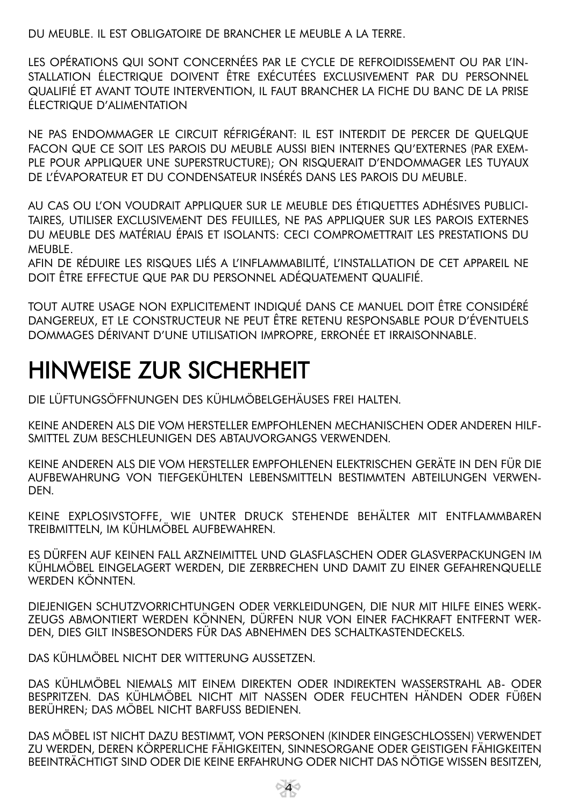DU MEUBLE. IL EST OBLIGATOIRE DE BRANCHER LE MEUBLE A LA TERRE.

LES OPÉRATIONS QUI SONT CONCERNÉES PAR LE CYCLE DE REFROIDISSEMENT OU PAR L'IN-STALLATION ÉLECTRIQUE DOIVENT ÊTRE EXÉCUTÉES EXCLUSIVEMENT PAR DU PERSONNEL QUALIFIÉ ET AVANT TOUTE INTERVENTION, IL FAUT BRANCHER LA FICHE DU BANC DE LA PRISE ÉLECTRIQUE D'ALIMENTATION

NE PAS ENDOMMAGER LE CIRCUIT RÉFRIGÉRANT: IL EST INTERDIT DE PERCER DE QUELQUE FACON QUE CE SOIT LES PAROIS DU MEUBLE AUSSI BIEN INTERNES QU'EXTERNES (PAR EXEM-PLE POUR APPLIQUER UNE SUPERSTRUCTURE); ON RISQUERAIT D'ENDOMMAGER LES TUYAUX DE L'ÉVAPORATEUR ET DU CONDENSATEUR INSÉRÉS DANS LES PAROIS DU MEUBLE.

AU CAS OU L'ON VOUDRAIT APPLIQUER SUR LE MEUBLE DES ÉTIQUETTES ADHÉSIVES PUBLICI-TAIRES, UTILISER EXCLUSIVEMENT DES FEUILLES, NE PAS APPLIQUER SUR LES PAROIS EXTERNES DU MEUBLE DES MATÉRIAU ÉPAIS ET ISOLANTS: CECI COMPROMETTRAIT LES PRESTATIONS DU MEUBLE.

AFIN DE RÉDUIRE LES RISQUES LIÉS A L'INFLAMMABILITÉ, L'INSTALLATION DE CET APPAREIL NE DOIT ÊTRE EFFECTUE QUE PAR DU PERSONNEL ADÉQUATEMENT QUALIFIÉ.

TOUT AUTRE USAGE NON EXPLICITEMENT INDIQUÉ DANS CE MANUEL DOIT ÊTRE CONSIDÉRÉ DANGEREUX, ET LE CONSTRUCTEUR NE PEUT ÊTRE RETENU RESPONSABLE POUR D'ÉVENTUELS DOMMAGES DÉRIVANT D'UNE UTILISATION IMPROPRE, ERRONÉE ET IRRAISONNABLE.

## HINWEISE ZUR SICHERHEIT

DIE LÜFTUNGSÖFFNUNGEN DES KÜHLMÖBELGEHÄUSES FREI HALTEN.

KEINE ANDEREN ALS DIE VOM HERSTELLER EMPFOHLENEN MECHANISCHEN ODER ANDEREN HILF-SMITTEL ZUM BESCHLEUNIGEN DES ABTAUVORGANGS VERWENDEN.

KEINE ANDEREN ALS DIE VOM HERSTELLER EMPFOHLENEN ELEKTRISCHEN GERÄTE IN DEN FÜR DIE AUFBEWAHRUNG VON TIEFGEKÜHLTEN LEBENSMITTELN BESTIMMTEN ABTEILUNGEN VERWEN-DEN.

KEINE EXPLOSIVSTOFFE, WIE UNTER DRUCK STEHENDE BEHÄLTER MIT ENTFLAMMBAREN TREIBMITTELN, IM KÜHLMÖBEL AUFBEWAHREN.

ES DÜRFEN AUF KEINEN FALL ARZNEIMITTEL UND GLASFLASCHEN ODER GLASVERPACKUNGEN IM KÜHLMÖBEL EINGELAGERT WERDEN, DIE ZERBRECHEN UND DAMIT ZU EINER GEFAHRENQUELLE WERDEN KÖNNTEN.

DIEJENIGEN SCHUTZVORRICHTUNGEN ODER VERKLEIDUNGEN, DIE NUR MIT HILFE EINES WERK-ZEUGS ABMONTIERT WERDEN KÖNNEN, DÜRFEN NUR VON EINER FACHKRAFT ENTFERNT WER-DEN, DIES GILT INSBESONDERS FÜR DAS ABNEHMEN DES SCHALTKASTENDECKELS.

DAS KÜHLMÖBEL NICHT DER WITTERUNG AUSSETZEN.

DAS KÜHLMÖBEL NIEMALS MIT EINEM DIREKTEN ODER INDIREKTEN WASSERSTRAHL AB- ODER BESPRITZEN. DAS KÜHLMÖBEL NICHT MIT NASSEN ODER FEUCHTEN HÄNDEN ODER FÜßEN BERÜHREN; DAS MÖBEL NICHT BARFUSS BEDIENEN.

DAS MÖBEL IST NICHT DAZU BESTIMMT, VON PERSONEN (KINDER EINGESCHLOSSEN) VERWENDET ZU WERDEN, DEREN KÖRPERLICHE FÄHIGKEITEN, SINNESORGANE ODER GEISTIGEN FÄHIGKEITEN BEEINTRÄCHTIGT SIND ODER DIE KEINE ERFAHRUNG ODER NICHT DAS NÖTIGE WISSEN BESITZEN,

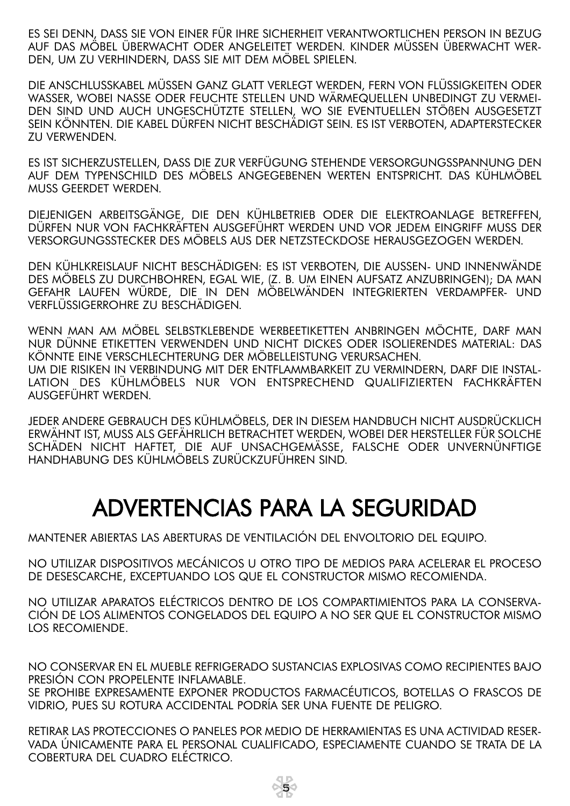ES SEI DENN, DASS SIE VON EINER FÜR IHRE SICHERHEIT VERANTWORTLICHEN PERSON IN BEZUG AUF DAS MÖBEL ÜBERWACHT ODER ANGELEITET WERDEN. KINDER MÜSSEN ÜBERWACHT WER-DEN, UM ZU VERHINDERN, DASS SIE MIT DEM MÖBEL SPIELEN.

DIE ANSCHLUSSKABEL MÜSSEN GANZ GLATT VERLEGT WERDEN, FERN VON FLÜSSIGKEITEN ODER WASSER, WOBEI NASSE ODER FEUCHTE STELLEN UND WÄRMEQUELLEN UNBEDINGT ZU VERMEI-DEN SIND UND AUCH UNGESCHÜTZTE STELLEN, WO SIE EVENTUELLEN STÖßEN AUSGESETZT SEIN KÖNNTEN. DIE KABEL DÜRFEN NICHT BESCHÄDIGT SEIN. ES IST VERBOTEN, ADAPTERSTECKER ZU VERWENDEN.

ES IST SICHERZUSTELLEN, DASS DIE ZUR VERFÜGUNG STEHENDE VERSORGUNGSSPANNUNG DEN AUF DEM TYPENSCHILD DES MÖBELS ANGEGEBENEN WERTEN ENTSPRICHT. DAS KÜHLMÖBEL MUSS GEERDET WERDEN.

DIEJENIGEN ARBEITSGÄNGE, DIE DEN KÜHLBETRIEB ODER DIE ELEKTROANLAGE BETREFFEN, DÜRFEN NUR VON FACHKRÄFTEN AUSGEFÜHRT WERDEN UND VOR JEDEM EINGRIFF MUSS DER VERSORGUNGSSTECKER DES MÖBELS AUS DER NETZSTECKDOSE HERAUSGEZOGEN WERDEN.

DEN KÜHLKREISLAUF NICHT BESCHÄDIGEN: ES IST VERBOTEN, DIE AUSSEN- UND INNENWÄNDE DES MÖBELS ZU DURCHBOHREN, EGAL WIE, (Z. B. UM EINEN AUFSATZ ANZUBRINGEN); DA MAN GEFAHR LAUFEN WÜRDE, DIE IN DEN MÖBELWÄNDEN INTEGRIERTEN VERDAMPFER- UND VERFLÜSSIGERROHRE ZU BESCHÄDIGEN.

WENN MAN AM MÖBEL SELBSTKLEBENDE WERBEETIKETTEN ANBRINGEN MÖCHTE, DARF MAN NUR DÜNNE ETIKETTEN VERWENDEN UND NICHT DICKES ODER ISOLIERENDES MATERIAL: DAS KÖNNTE EINE VERSCHLECHTERUNG DER MÖBELLEISTUNG VERURSACHEN. UM DIE RISIKEN IN VERBINDUNG MIT DER ENTFLAMMBARKEIT ZU VERMINDERN, DARF DIE INSTAL-LATION DES KÜHLMÖBELS NUR VON ENTSPRECHEND QUALIFIZIERTEN FACHKRÄFTEN AUSGEFÜHRT WERDEN.

JEDER ANDERE GEBRAUCH DES KÜHLMÖBELS, DER IN DIESEM HANDBUCH NICHT AUSDRÜCKLICH ERWÄHNT IST, MUSS ALS GEFÄHRLICH BETRACHTET WERDEN, WOBEI DER HERSTELLER FÜR SOLCHE SCHÄDEN NICHT HAFTET, DIE AUF UNSACHGEMÄSSE, FALSCHE ODER UNVERNÜNFTIGE HANDHABUNG DES KÜHLMÖBELS ZURÜCKZUFÜHREN SIND.

## ADVERTENCIAS PARA LA SEGURIDAD

MANTENER ABIERTAS LAS ABERTURAS DE VENTILACIÓN DEL ENVOLTORIO DEL EQUIPO.

NO UTILIZAR DISPOSITIVOS MECÁNICOS U OTRO TIPO DE MEDIOS PARA ACELERAR EL PROCESO DE DESESCARCHE, EXCEPTUANDO LOS QUE EL CONSTRUCTOR MISMO RECOMIENDA.

NO UTILIZAR APARATOS ELÉCTRICOS DENTRO DE LOS COMPARTIMIENTOS PARA LA CONSERVA-CIÓN DE LOS ALIMENTOS CONGELADOS DEL EQUIPO A NO SER QUE EL CONSTRUCTOR MISMO LOS RECOMIENDE.

NO CONSERVAR EN EL MUEBLE REFRIGERADO SUSTANCIAS EXPLOSIVAS COMO RECIPIENTES BAJO PRESIÓN CON PROPELENTE INFLAMABLE.

SE PROHIBE EXPRESAMENTE EXPONER PRODUCTOS FARMACÉUTICOS, BOTELLAS O FRASCOS DE VIDRIO, PUES SU ROTURA ACCIDENTAL PODRÍA SER UNA FUENTE DE PELIGRO.

RETIRAR LAS PROTECCIONES O PANELES POR MEDIO DE HERRAMIENTAS ES UNA ACTIVIDAD RESER-VADA ÚNICAMENTE PARA EL PERSONAL CUALIFICADO, ESPECIAMENTE CUANDO SE TRATA DE LA COBERTURA DEL CUADRO ELÉCTRICO.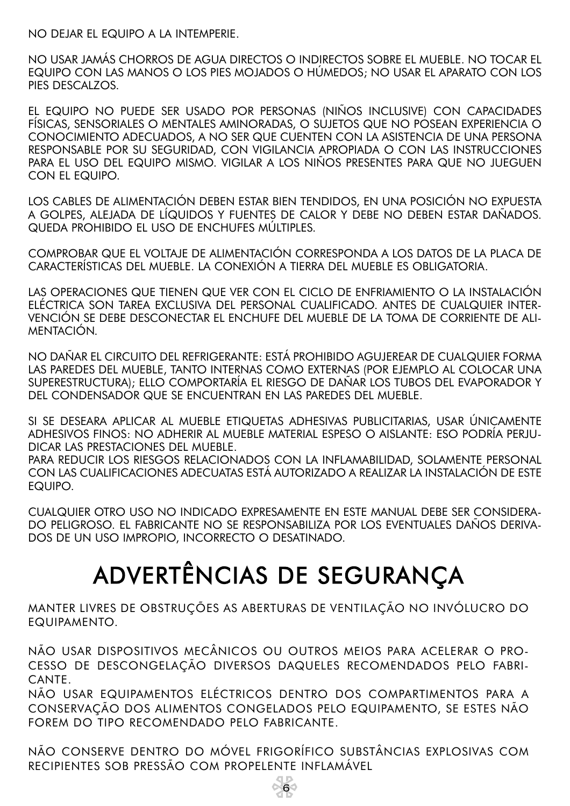NO DEJAR EL EQUIPO A LA INTEMPERIE.

NO USAR JAMÁS CHORROS DE AGUA DIRECTOS O INDIRECTOS SOBRE EL MUEBLE. NO TOCAR EL EQUIPO CON LAS MANOS O LOS PIES MOJADOS O HÚMEDOS; NO USAR EL APARATO CON LOS PIES DESCALZOS.

EL EQUIPO NO PUEDE SER USADO POR PERSONAS (NIÑOS INCLUSIVE) CON CAPACIDADES FÍSICAS, SENSORIALES O MENTALES AMINORADAS, O SUJETOS QUE NO POSEAN EXPERIENCIA O CONOCIMIENTO ADECUADOS, A NO SER QUE CUENTEN CON LA ASISTENCIA DE UNA PERSONA RESPONSABLE POR SU SEGURIDAD, CON VIGILANCIA APROPIADA O CON LAS INSTRUCCIONES PARA EL USO DEL EQUIPO MISMO. VIGILAR A LOS NIÑOS PRESENTES PARA QUE NO JUEGUEN CON EL EQUIPO.

LOS CABLES DE ALIMENTACIÓN DEBEN ESTAR BIEN TENDIDOS, EN UNA POSICIÓN NO EXPUESTA A GOLPES, ALEJADA DE LÍQUIDOS Y FUENTES DE CALOR Y DEBE NO DEBEN ESTAR DAÑADOS. QUEDA PROHIBIDO EL USO DE ENCHUFES MÚLTIPLES.

COMPROBAR QUE EL VOLTAJE DE ALIMENTACIÓN CORRESPONDA A LOS DATOS DE LA PLACA DE CARACTERÍSTICAS DEL MUEBLE. LA CONEXIÓN A TIERRA DEL MUEBLE ES OBLIGATORIA.

LAS OPERACIONES QUE TIENEN QUE VER CON EL CICLO DE ENFRIAMIENTO O LA INSTALACIÓN ELÉCTRICA SON TAREA EXCLUSIVA DEL PERSONAL CUALIFICADO. ANTES DE CUALQUIER INTER-VENCIÓN SE DEBE DESCONECTAR EL ENCHUFE DEL MUEBLE DE LA TOMA DE CORRIENTE DE ALI-MENTACIÓN.

NO DAÑAR EL CIRCUITO DEL REFRIGERANTE: ESTÁ PROHIBIDO AGUJEREAR DE CUALQUIER FORMA LAS PAREDES DEL MUEBLE, TANTO INTERNAS COMO EXTERNAS (POR EJEMPLO AL COLOCAR UNA SUPERESTRUCTURA); ELLO COMPORTARÍA EL RIESGO DE DAÑAR LOS TUBOS DEL EVAPORADOR Y DEL CONDENSADOR QUE SE ENCUENTRAN EN LAS PAREDES DEL MUEBLE.

SI SE DESEARA APLICAR AL MUEBLE ETIQUETAS ADHESIVAS PUBLICITARIAS, USAR ÚNICAMENTE ADHESIVOS FINOS: NO ADHERIR AL MUEBLE MATERIAL ESPESO O AISLANTE: ESO PODRÍA PERJU-DICAR LAS PRESTACIONES DEL MUEBLE.

PARA REDUCIR LOS RIESGOS RELACIONADOS CON LA INFLAMABILIDAD, SOLAMENTE PERSONAL CON LAS CUALIFICACIONES ADECUATAS ESTÁ AUTORIZADO A REALIZAR LA INSTALACIÓN DE ESTE EQUIPO.

CUALQUIER OTRO USO NO INDICADO EXPRESAMENTE EN ESTE MANUAL DEBE SER CONSIDERA-DO PELIGROSO. EL FABRICANTE NO SE RESPONSABILIZA POR LOS EVENTUALES DAÑOS DERIVA-DOS DE UN USO IMPROPIO, INCORRECTO O DESATINADO.

## ADVERTÊNCIAS DE SEGURANÇA

MANTER LIVRES DE OBSTRUÇÕES AS ABERTURAS DE VENTILAÇÃO NO INVÓLUCRO DO EQUIPAMENTO.

NÃO USAR DISPOSITIVOS MECÂNICOS OU OUTROS MEIOS PARA ACELERAR O PRO-CESSO DE DESCONGELAÇÃO DIVERSOS DAQUELES RECOMENDADOS PELO FABRI-CANTE.

NÃO USAR EQUIPAMENTOS ELÉCTRICOS DENTRO DOS COMPARTIMENTOS PARA A CONSERVAÇÃO DOS ALIMENTOS CONGELADOS PELO EQUIPAMENTO, SE ESTES NÃO FOREM DO TIPO RECOMENDADO PELO FABRICANTE.

NÃO CONSERVE DENTRO DO MÓVEL FRIGORÍFICO SUBSTÂNCIAS EXPLOSIVAS COM RECIPIENTES SOB PRESSÃO COM PROPELENTE INFLAMÁVEL

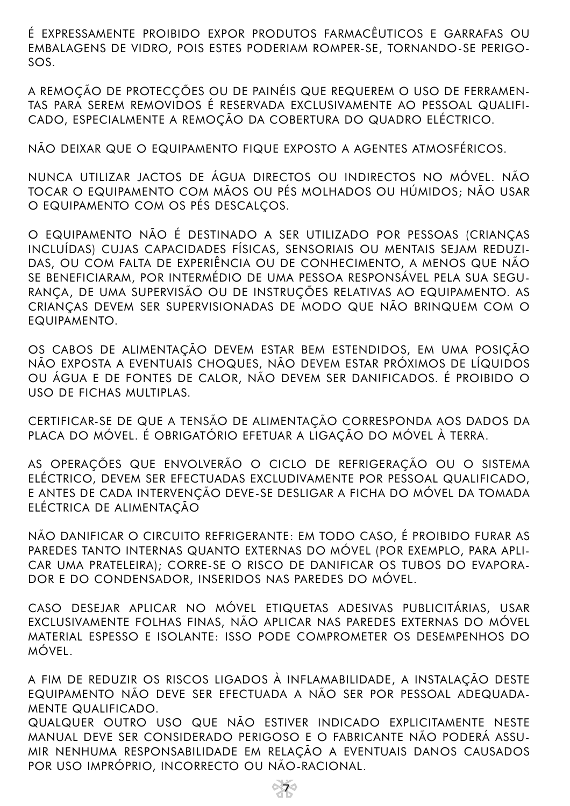É EXPRESSAMENTE PROIBIDO EXPOR PRODUTOS FARMACÊUTICOS E GARRAFAS OU EMBALAGENS DE VIDRO, POIS ESTES PODERIAM ROMPER-SE, TORNANDO-SE PERIGO-SOS.

A REMOÇÃO DE PROTECÇÕES OU DE PAINÉIS QUE REQUEREM O USO DE FERRAMEN-TAS PARA SEREM REMOVIDOS É RESERVADA EXCLUSIVAMENTE AO PESSOAL QUALIFI-CADO, ESPECIALMENTE A REMOÇÃO DA COBERTURA DO QUADRO ELÉCTRICO.

NÃO DEIXAR QUE O EQUIPAMENTO FIQUE EXPOSTO A AGENTES ATMOSFÉRICOS.

NUNCA UTILIZAR JACTOS DE ÁGUA DIRECTOS OU INDIRECTOS NO MÓVEL. NÃO TOCAR O EQUIPAMENTO COM MÃOS OU PÉS MOLHADOS OU HÚMIDOS; NÃO USAR O EQUIPAMENTO COM OS PÉS DESCALÇOS.

O EQUIPAMENTO NÃO É DESTINADO A SER UTILIZADO POR PESSOAS (CRIANÇAS INCLUÍDAS) CUJAS CAPACIDADES FÍSICAS, SENSORIAIS OU MENTAIS SEJAM REDUZI-DAS, OU COM FALTA DE EXPERIÊNCIA OU DE CONHECIMENTO, A MENOS QUE NÃO SE BENEFICIARAM, POR INTERMÉDIO DE UMA PESSOA RESPONSÁVEL PELA SUA SEGU-RANÇA, DE UMA SUPERVISÃO OU DE INSTRUÇÕES RELATIVAS AO EQUIPAMENTO. AS CRIANÇAS DEVEM SER SUPERVISIONADAS DE MODO QUE NÃO BRINQUEM COM O EQUIPAMENTO.

OS CABOS DE ALIMENTAÇÃO DEVEM ESTAR BEM ESTENDIDOS, EM UMA POSIÇÃO NÃO EXPOSTA A EVENTUAIS CHOQUES, NÃO DEVEM ESTAR PRÓXIMOS DE LÍQUIDOS OU ÁGUA E DE FONTES DE CALOR, NÃO DEVEM SER DANIFICADOS. É PROIBIDO O USO DE FICHAS MULTIPLAS.

CERTIFICAR-SE DE QUE A TENSÃO DE ALIMENTAÇÃO CORRESPONDA AOS DADOS DA PLACA DO MÓVEL. É OBRIGATÓRIO EFETUAR A LIGAÇÃO DO MÓVEL À TERRA.

AS OPERAÇÕES QUE ENVOLVERÃO O CICLO DE REFRIGERAÇÃO OU O SISTEMA ELÉCTRICO, DEVEM SER EFECTUADAS EXCLUDIVAMENTE POR PESSOAL QUALIFICADO, E ANTES DE CADA INTERVENÇÃO DEVE-SE DESLIGAR A FICHA DO MÓVEL DA TOMADA ELÉCTRICA DE ALIMENTAÇÃO

NÃO DANIFICAR O CIRCUITO REFRIGERANTE: EM TODO CASO, É PROIBIDO FURAR AS PAREDES TANTO INTERNAS QUANTO EXTERNAS DO MÓVEL (POR EXEMPLO, PARA APLI-CAR UMA PRATELEIRA); CORRE-SE O RISCO DE DANIFICAR OS TUBOS DO EVAPORA-DOR E DO CONDENSADOR, INSERIDOS NAS PAREDES DO MÓVEL.

CASO DESEJAR APLICAR NO MÓVEL ETIQUETAS ADESIVAS PUBLICITÁRIAS, USAR EXCLUSIVAMENTE FOLHAS FINAS, NÃO APLICAR NAS PAREDES EXTERNAS DO MÓVEL MATERIAL ESPESSO E ISOLANTE: ISSO PODE COMPROMETER OS DESEMPENHOS DO MÓVEL.

A FIM DE REDUZIR OS RISCOS LIGADOS À INFLAMABILIDADE, A INSTALAÇÃO DESTE EQUIPAMENTO NÃO DEVE SER EFECTUADA A NÃO SER POR PESSOAL ADEQUADA-MENTE QUALIFICADO.

QUALQUER OUTRO USO QUE NÃO ESTIVER INDICADO EXPLICITAMENTE NESTE MANUAL DEVE SER CONSIDERADO PERIGOSO E O FABRICANTE NÃO PODERÁ ASSU-MIR NENHUMA RESPONSABILIDADE EM RELAÇÃO A EVENTUAIS DANOS CAUSADOS POR USO IMPRÓPRIO, INCORRECTO OU NÃO-RACIONAL.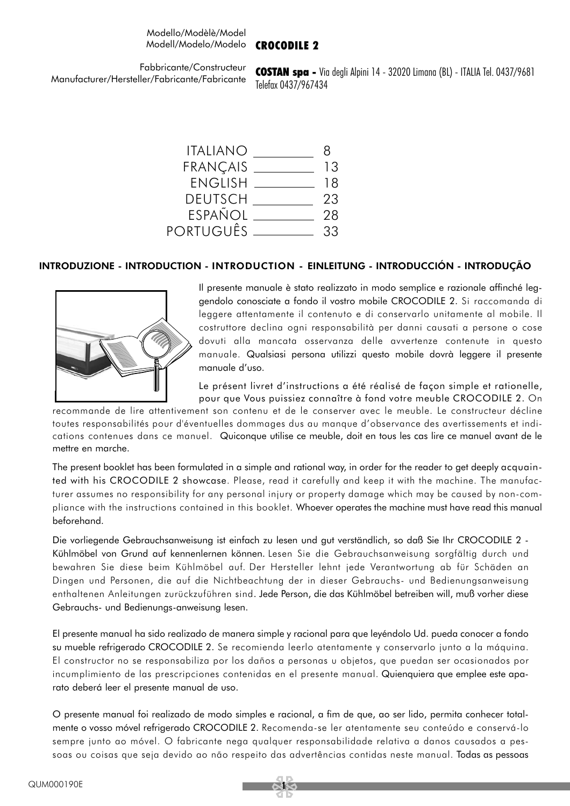#### Modello/Modèlè/Model Modell/Modelo/Modelo CROCODILE 2

Fabbricante/Constructeur Manufacturer/Hersteller/Fabricante/Fabricante

COSTAN spa - Via degli Alpini 14 - 32020 Limana (BL) - ITALIA Tel. 0437/9681 Telefax 0437/967434

ITALIANO 8 FRANÇAIS 13 ENGLISH 18 DEUTSCH 23 ESPANOL <u>\_\_\_\_\_\_\_\_\_\_</u> 28 PORTUGUÊS 33

#### INTRODUZIONE - INTRODUCTION - INTRODUCTION - EINLEITUNG - INTRODUCCIÓN - INTRODUÇÃO



Il presente manuale è stato realizzato in modo semplice e razionale affinché leggendolo conosciate a fondo il vostro mobile CROCODILE 2. Si raccomanda di leggere attentamente il contenuto e di conservarlo unitamente al mobile. Il costruttore declina ogni responsabilità per danni causati a persone o cose dovuti alla mancata osservanza delle avvertenze contenute in questo manuale. Qualsiasi persona utilizzi questo mobile dovrà leggere il presente manuale d'uso.

Le présent livret d'instructions a été réalisé de façon simple et rationelle, pour que Vous puissiez connaître à fond votre meuble CROCODILE 2. On

recommande de lire attentivement son contenu et de le conserver avec le meuble. Le constructeur décline toutes responsabilités pour d'éventuelles dommages dus au manque d'observance des avertissements et indications contenues dans ce manuel. Quiconque utilise ce meuble, doit en tous les cas lire ce manuel avant de le mettre en marche.

The present booklet has been formulated in a simple and rational way, in order for the reader to get deeply acquainted with his CROCODILE 2 showcase. Please, read it carefully and keep it with the machine. The manufacturer assumes no responsibility for any personal injury or property damage which may be caused by non-compliance with the instructions contained in this booklet. Whoever operates the machine must have read this manual beforehand.

Die vorliegende Gebrauchsanweisung ist einfach zu lesen und gut verständlich, so daß Sie Ihr CROCODILE 2 - Kühlmöbel von Grund auf kennenlernen können. Lesen Sie die Gebrauchsanweisung sorgfältig durch und bewahren Sie diese beim Kühlmöbel auf. Der Hersteller lehnt jede Verantwortung ab für Schäden an Dingen und Personen, die auf die Nichtbeachtung der in dieser Gebrauchs- und Bedienungsanweisung enthaltenen Anleitungen zurückzuführen sind. Jede Person, die das Kühlmöbel betreiben will, muß vorher diese Gebrauchs- und Bedienungs-anweisung lesen.

El presente manual ha sido realizado de manera simple y racional para que leyéndolo Ud. pueda conocer a fondo su mueble refrigerado CROCODILE 2. Se recomienda leerlo atentamente y conservarlo junto a la máquina. El constructor no se responsabiliza por los daños a personas u objetos, que puedan ser ocasionados por incumplimiento de las prescripciones contenidas en el presente manual. Quienquiera que emplee este aparato deberá leer el presente manual de uso.

O presente manual foi realizado de modo simples e racional, a fim de que, ao ser lido, permita conhecer totalmente o vosso móvel refrigerado CROCODILE 2. Recomenda-se ler atentamente seu conteúdo e conservá-lo sempre junto ao móvel. O fabricante nega qualquer responsabilidade relativa a danos causados a pessoas ou coisas que seja devido ao não respeito das advertências contidas neste manual. Todas as pessoas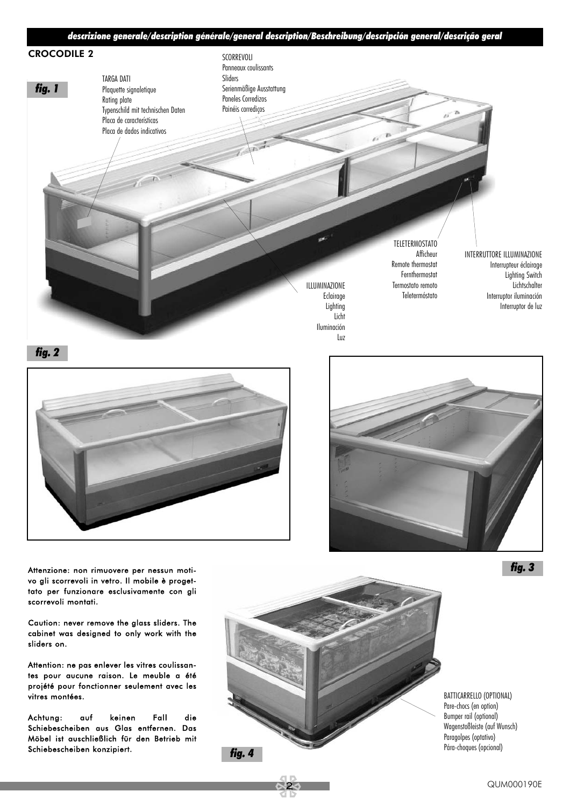





Attenzione: non rimuovere per nessun motivo gli scorrevoli in vetro. Il mobile è progettato per funzionare esclusivamente con gli scorrevoli montati.

Caution: never remove the glass sliders. The cabinet was designed to only work with the sliders on.

Attention: ne pas enlever les vitres coulissantes pour aucune raison. Le meuble a été projété pour fonctionner seulement avec les vitres montées.

Achtung: auf keinen Fall die Schiebescheiben aus Glas entfernen. Das Möbel ist auschließlich für den Betrieb mit Schiebescheiben konzipiert.



BATTICARRELLO (OPTIONAL) Pare-chocs (en option) Bumper rail (optional) Wagenstoßleiste (auf Wunsch) Paragolpes (optativo)

*fig. 3*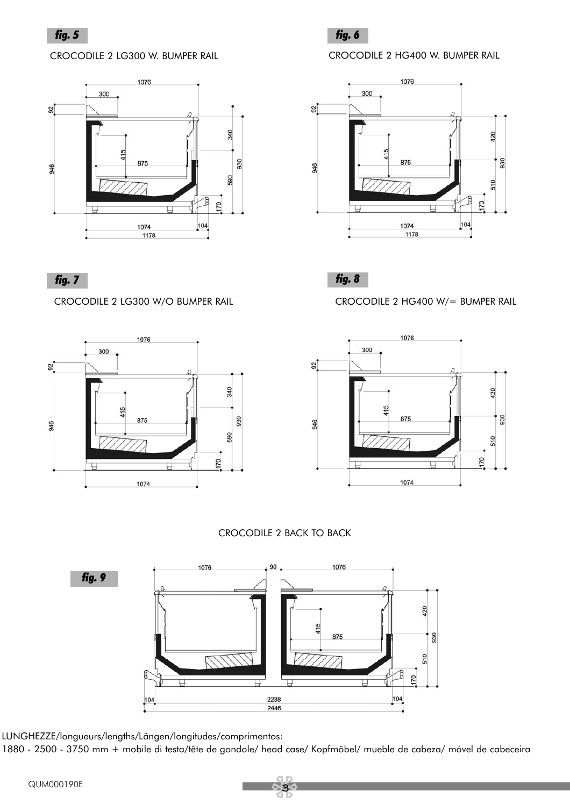CROCODILE 2 LG300 W. BUMPER RAIL





CROCODILE 2 HG400 W. BUMPER RAIL







CROCODILE 2 LG300 W/O BUMPER RAIL CROCODILE 2 HG400 W/= BUMPER RAIL



#### CROCODILE 2 BACK TO BACK



LUNGHEZZE/longueurs/lengths/Längen/longitudes/comprimentos:

1880 - 2500 - 3750 mm + mobile di testa/tête de gondole/ head case/ Kopfmöbel/ mueble de cabeza/ móvel de cabeceira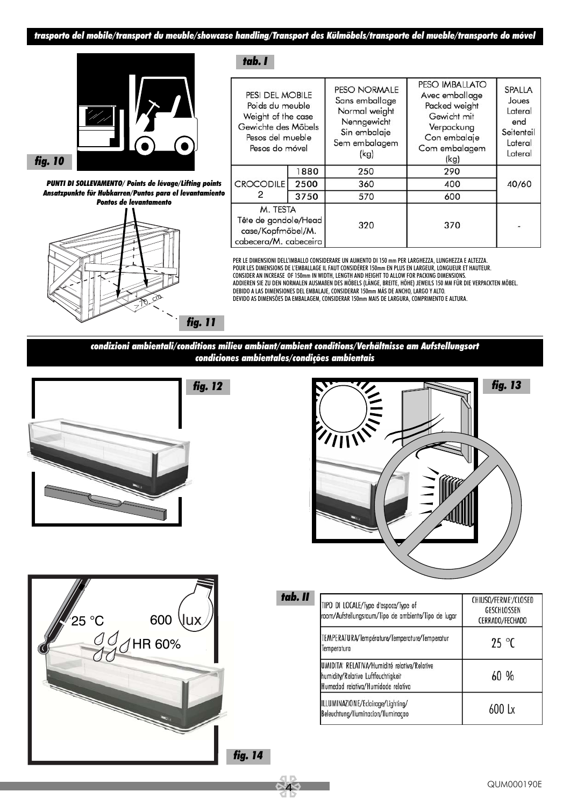*tab. I*



*fig. 10*

*PUNTI DI SOLLEVAMENTO/ Points de lévage/Lifting points Ansatzpunkte für Hubkarren/Puntos para el levantamiento Pontos de levantamento*



| PESI DEL MOBILE<br>Poids du meuble<br>Weight of the case<br>Gewichte des Möbels<br>Pesos del mueble<br>Pesos do móvel |      | PESO NORMALE<br>Sans emballage<br>Normal weight<br>Nenngewicht<br>Sin embalaje<br>Sem embalagem<br>(kg) | <b>PESO IMBALLATO</b><br>Avec emballage<br>Packed weight<br>Gewicht mit<br>Verpackung<br>Con embalaje<br>Com embalagem<br>(kg) | <b>SPALLA</b><br>Joues<br>Lateral<br>end<br>Seitenteil<br>Lateral<br>Lateral |  |
|-----------------------------------------------------------------------------------------------------------------------|------|---------------------------------------------------------------------------------------------------------|--------------------------------------------------------------------------------------------------------------------------------|------------------------------------------------------------------------------|--|
| <b>CROCODILE</b><br>2                                                                                                 | 1880 | 250                                                                                                     | 290                                                                                                                            |                                                                              |  |
|                                                                                                                       | 2500 | 360                                                                                                     | 400                                                                                                                            | 40/60                                                                        |  |
|                                                                                                                       | 3750 | 570                                                                                                     | 600                                                                                                                            |                                                                              |  |
| M. TESTA<br>Tête de gondole/Head<br>case/Kopfmöbel/M.<br>cabecera/M. cabeceira                                        |      | 320                                                                                                     | 370                                                                                                                            |                                                                              |  |

PER LE DIMENSIONI DELL'IMBALLO CONSIDERARE UN AUMENTO DI 150 mm PER LARGHEZZA, LUNGHEZZA E ALTEZZA. POUR LES DIMENSIONS DE L'EMBALLAGE IL FAUT CONSIDÉRER 150mm EN PLUS EN LARGEUR, LONGUEUR ET HAUTEUR. CONSIDER AN INCREASE OF 150mm IN WIDTH, LENGTH AND HEIGHT TO ALLOW FOR PACKING DIMENSIONS. ADDIEREN SIE ZU DEN NORMALEN AUSMAßEN DES MÖBELS (LÄNGE, BREITE, HÖHE) JEWEILS 150 MM FÜR DIE VERPACKTEN MÖBEL. DEBIDO A LAS DIMENSIONES DEL EMBALAJE, CONSIDERAR 150mm MÁS DE ANCHO, LARGO Y ALTO. DEVIDO AS DIMENSÕES DA EMBALAGEM, CONSIDERAR 150mm MAIS DE LARGURA, COMPRIMENTO E ALTURA.

*condizioni ambientali/conditions milieu ambiant/ambient conditions/Verhältnisse am Aufstellungsort condiciones ambientales/condições ambientais*





| tab. II | TIPO DI LOCALE/Type d'espace/Type of<br>room/Aufstellungsraum/Tipo de ambiente/Tipo de lugar                             | CHIUSO/FERME'/CLOSED<br>GESCHLOSSEN<br>CERRADO/FECHADO |  |
|---------|--------------------------------------------------------------------------------------------------------------------------|--------------------------------------------------------|--|
|         | TEMPERATURA/Température/Temperature/Temperatur<br>Temperatura                                                            | $25^{\circ}$ C                                         |  |
|         | UMIDITA' RELATIVA/Humidité relative/Relative<br>humidity/Relative Luftfeuchtigkeit<br>Humedad relativa/Humidade relativa | 60 %                                                   |  |
|         | ILLUMINAZIONE/Eclairage/Lighting/<br>Beleuchtung/Iluminacion/Iluminacao                                                  | $600 \text{ lx}$                                       |  |

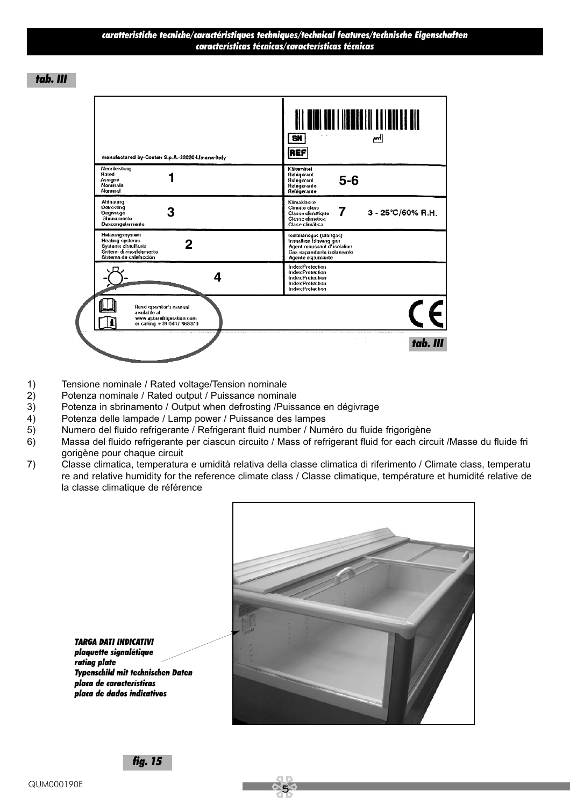*tab. III*

| manufactured by-Costan S.p.A.-32020-Limana-Italy                                                                           | SN  <br>إاسم<br>REF                                                                                                                   |
|----------------------------------------------------------------------------------------------------------------------------|---------------------------------------------------------------------------------------------------------------------------------------|
| Nennleistung<br>Rated<br>Assigné<br>Nominale<br>Nominal                                                                    | Kältemittel<br>Refrigerant<br>$5-6$<br>Refrigerant<br>Refrigerante<br>Refrigerante                                                    |
| Abtauung<br>Detrosting<br>З<br><b>Dégivrage</b><br>Sbrinamento<br>Descongelamiento                                         | Klimaklasse<br>Climate class<br>$\mathbf{7}$<br>$3 - 25^{\circ}C/60\%$ R.H.<br>Classe dimatique<br>Classe dimatica<br>Clase climática |
| Heitzungssystem<br>Healing systems<br>2<br><b>Systems chauffants</b><br>Sistemi di riscaldamento<br>Sistema de calefacción | Isolationsgas (Blähgas)<br>Insualtion blowing gas<br>Agent moussant d'isolation<br>Gas espandente isolamento<br>Agente espumante      |
| 4                                                                                                                          | Index Protection<br><b>Index Protection</b><br><b>Index Protection</b><br>Index Protection<br>Index Protection                        |
| Read operator's manual<br>available at<br>www.eplarefrigeration.com<br>or calling +39 0437 968379                          |                                                                                                                                       |
|                                                                                                                            | tab. III                                                                                                                              |

- 1) Tensione nominale / Rated voltage/Tension nominale
- 2) Potenza nominale / Rated output / Puissance nominale<br>3) Potenza in sbrinamento / Output when defrosting /Puiss
- Potenza in sbrinamento / Output when defrosting /Puissance en dégivrage
- 4) Potenza delle lampade / Lamp power / Puissance des lampes
- 5) Numero del fluido refrigerante / Refrigerant fluid number / Numéro du fluide frigorigène
- 6) Massa del fluido refrigerante per ciascun circuito / Mass of refrigerant fluid for each circuit /Masse du fluide fri gorigène pour chaque circuit
- 7) Classe climatica, temperatura e umidità relativa della classe climatica di riferimento / Climate class, temperatu re and relative humidity for the reference climate class / Classe climatique, température et humidité relative de la classe climatique de référence



*TARGA DATI INDICATIVI plaquette signalétique rating plate Typenschild mit technischen Daten placa de características placa de dados indicativos*

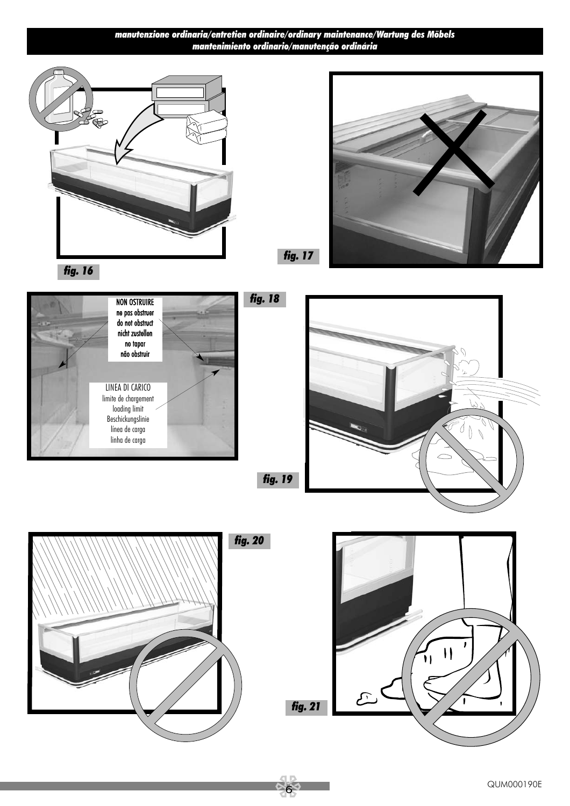#### *manutenzione ordinaria/entretien ordinaire/ordinary maintenance/Wartung des Möbels mantenimiento ordinario/manutenção ordinária*





*fig. 17*



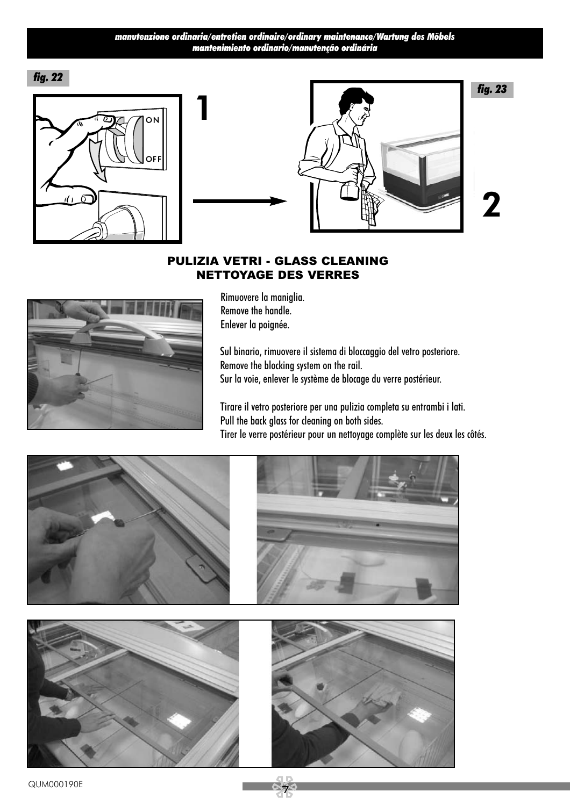#### *manutenzione ordinaria/entretien ordinaire/ordinary maintenance/Wartung des Möbels mantenimiento ordinario/manutenção ordinária*

*fig. 22*





# 2

#### PULIZIA VETRI - GLASS CLEANING NETTOYAGE DES VERRES



Rimuovere la maniglia. Remove the handle. Enlever la poignée.

Sul binario, rimuovere il sistema di bloccaggio del vetro posteriore. Remove the blocking system on the rail. Sur la voie, enlever le système de blocage du verre postérieur.

Tirare il vetro posteriore per una pulizia completa su entrambi i lati. Pull the back glass for cleaning on both sides. Tirer le verre postérieur pour un nettoyage complète sur les deux les côtés.



7 QUM000190E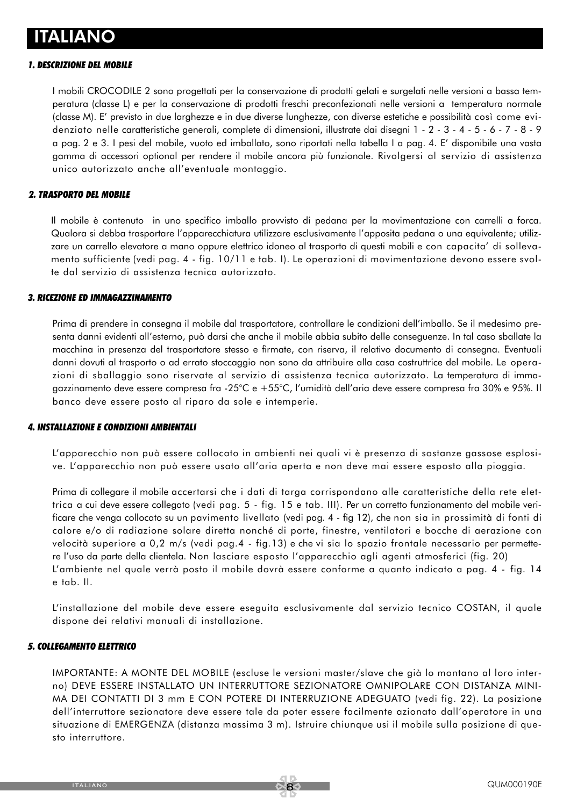#### *1. DESCRIZIONE DEL MOBILE*

I mobili CROCODILE 2 sono progettati per la conservazione di prodotti gelati e surgelati nelle versioni a bassa temperatura (classe L) e per la conservazione di prodotti freschi preconfezionati nelle versioni a temperatura normale (classe M). E' previsto in due larghezze e in due diverse lunghezze, con diverse estetiche e possibilità così come evidenziato nelle caratteristiche generali, complete di dimensioni, illustrate dai disegni 1 - 2 - 3 - 4 - 5 - 6 - 7 - 8 - 9 a pag. 2 e 3. I pesi del mobile, vuoto ed imballato, sono riportati nella tabella I a pag. 4. E' disponibile una vasta gamma di accessori optional per rendere il mobile ancora più funzionale. Rivolgersi al servizio di assistenza unico autorizzato anche all'eventuale montaggio.

#### *2. TRASPORTO DEL MOBILE*

Il mobile è contenuto in uno specifico imballo provvisto di pedana per la movimentazione con carrelli a forca. Qualora si debba trasportare l'apparecchiatura utilizzare esclusivamente l'apposita pedana o una equivalente; utilizzare un carrello elevatore a mano oppure elettrico idoneo al trasporto di questi mobili e con capacita' di sollevamento sufficiente (vedi pag. 4 - fig. 10/11 e tab. I). Le operazioni di movimentazione devono essere svolte dal servizio di assistenza tecnica autorizzato.

#### *3. RICEZIONE ED IMMAGAZZINAMENTO*

Prima di prendere in consegna il mobile dal trasportatore, controllare le condizioni dell'imballo. Se il medesimo presenta danni evidenti all'esterno, può darsi che anche il mobile abbia subito delle conseguenze. In tal caso sballate la macchina in presenza del trasportatore stesso e firmate, con riserva, il relativo documento di consegna. Eventuali danni dovuti al trasporto o ad errato stoccaggio non sono da attribuire alla casa costruttrice del mobile. Le operazioni di sballaggio sono riservate al servizio di assistenza tecnica autorizzato. La temperatura di immagazzinamento deve essere compresa fra -25°C e +55°C, l'umidità dell'aria deve essere compresa fra 30% e 95%. Il banco deve essere posto al riparo da sole e intemperie.

#### *4. INSTALLAZIONE E CONDIZIONI AMBIENTALI*

L'apparecchio non può essere collocato in ambienti nei quali vi è presenza di sostanze gassose esplosive. L'apparecchio non può essere usato all'aria aperta e non deve mai essere esposto alla pioggia.

Prima di collegare il mobile accertarsi che i dati di targa corrispondano alle caratteristiche della rete elettrica a cui deve essere collegato (vedi pag. 5 - fig. 15 e tab. III). Per un corretto funzionamento del mobile verificare che venga collocato su un pavimento livellato (vedi pag. 4 - fig 12), che non sia in prossimità di fonti di calore e/o di radiazione solare diretta nonché di porte, finestre, ventilatori e bocche di aerazione con velocità superiore a 0,2 m/s (vedi pag.4 - fig.13) e che vi sia lo spazio frontale necessario per permettere l'uso da parte della clientela. Non lasciare esposto l'apparecchio agli agenti atmosferici (fig. 20) L'ambiente nel quale verrà posto il mobile dovrà essere conforme a quanto indicato a pag. 4 - fig. 14 e tab. II.

L'installazione del mobile deve essere eseguita esclusivamente dal servizio tecnico COSTAN, il quale dispone dei relativi manuali di installazione.

#### *5. COLLEGAMENTO ELETTRICO*

IMPORTANTE: A MONTE DEL MOBILE (escluse le versioni master/slave che già lo montano al loro interno) DEVE ESSERE INSTALLATO UN INTERRUTTORE SEZIONATORE OMNIPOLARE CON DISTANZA MINI-MA DEI CONTATTI DI 3 mm E CON POTERE DI INTERRUZIONE ADEGUATO (vedi fig. 22). La posizione dell'interruttore sezionatore deve essere tale da poter essere facilmente azionato dall'operatore in una situazione di EMERGENZA (distanza massima 3 m). Istruire chiunque usi il mobile sulla posizione di questo interruttore.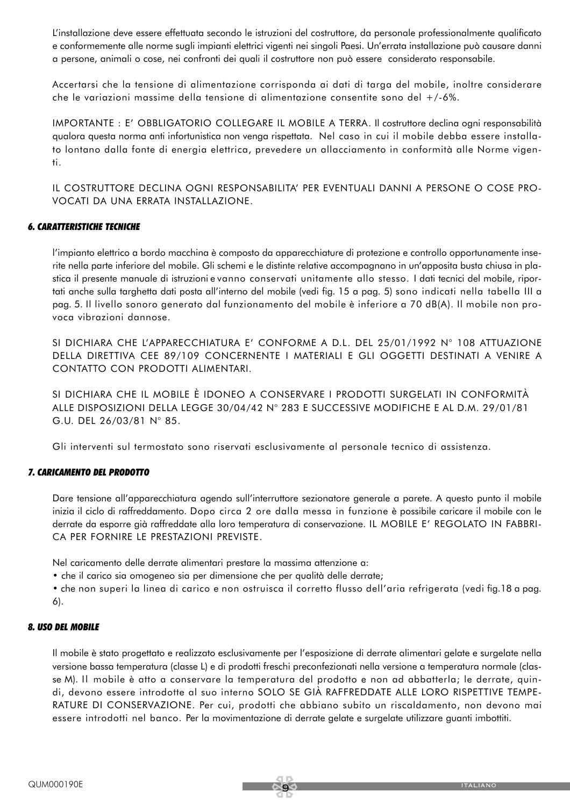L'installazione deve essere effettuata secondo le istruzioni del costruttore, da personale professionalmente qualificato e conformemente alle norme sugli impianti elettrici vigenti nei singoli Paesi. Un'errata installazione può causare danni a persone, animali o cose, nei confronti dei quali il costruttore non può essere considerato responsabile.

Accertarsi che la tensione di alimentazione corrisponda ai dati di targa del mobile, inoltre considerare che le variazioni massime della tensione di alimentazione consentite sono del +/-6%.

IMPORTANTE : E' OBBLIGATORIO COLLEGARE IL MOBILE A TERRA. Il costruttore declina ogni responsabilità qualora questa norma anti infortunistica non venga rispettata. Nel caso in cui il mobile debba essere installato lontano dalla fonte di energia elettrica, prevedere un allacciamento in conformità alle Norme vigenti.

IL COSTRUTTORE DECLINA OGNI RESPONSABILITA' PER EVENTUALI DANNI A PERSONE O COSE PRO-VOCATI DA UNA ERRATA INSTALLAZIONE.

#### *6. CARATTERISTICHE TECNICHE*

l'impianto elettrico a bordo macchina è composto da apparecchiature di protezione e controllo opportunamente inserite nella parte inferiore del mobile. Gli schemi e le distinte relative accompagnano in un'apposita busta chiusa in plastica il presente manuale di istruzioni e vanno conservati unitamente allo stesso. I dati tecnici del mobile, riportati anche sulla targhetta dati posta all'interno del mobile (vedi fig. 15 a pag. 5) sono indicati nella tabella III a pag. 5. Il livello sonoro generato dal funzionamento del mobile è inferiore a 70 dB(A). Il mobile non provoca vibrazioni dannose.

SI DICHIARA CHE L'APPARECCHIATURA E' CONFORME A D.L. DEL 25/01/1992 N° 108 ATTUAZIONE DELLA DIRETTIVA CEE 89/109 CONCERNENTE I MATERIALI E GLI OGGETTI DESTINATI A VENIRE A CONTATTO CON PRODOTTI ALIMENTARI.

SI DICHIARA CHE IL MOBILE È IDONEO A CONSERVARE I PRODOTTI SURGELATI IN CONFORMITÀ ALLE DISPOSIZIONI DELLA LEGGE 30/04/42 N° 283 E SUCCESSIVE MODIFICHE E AL D.M. 29/01/81 G.U. DEL 26/03/81 N° 85.

Gli interventi sul termostato sono riservati esclusivamente al personale tecnico di assistenza.

#### *7. CARICAMENTO DEL PRODOTTO*

Dare tensione all'apparecchiatura agendo sull'interruttore sezionatore generale a parete. A questo punto il mobile inizia il ciclo di raffreddamento. Dopo circa 2 ore dalla messa in funzione è possibile caricare il mobile con le derrate da esporre già raffreddate alla loro temperatura di conservazione. IL MOBILE E' REGOLATO IN FABBRI-CA PER FORNIRE LE PRESTAZIONI PREVISTE.

Nel caricamento delle derrate alimentari prestare la massima attenzione a:

• che il carico sia omogeneo sia per dimensione che per qualità delle derrate;

• che non superi la linea di carico e non ostruisca il corretto flusso dell'aria refrigerata (vedi fig.18 a pag. 6).

#### *8. USO DEL MOBILE*

Il mobile è stato progettato e realizzato esclusivamente per l'esposizione di derrate alimentari gelate e surgelate nella versione bassa temperatura (classe L) e di prodotti freschi preconfezionati nella versione a temperatura normale (classe M). Il mobile è atto a conservare la temperatura del prodotto e non ad abbatterla; le derrate, quindi, devono essere introdotte al suo interno SOLO SE GIÀ RAFFREDDATE ALLE LORO RISPETTIVE TEMPE-RATURE DI CONSERVAZIONE. Per cui, prodotti che abbiano subito un riscaldamento, non devono mai essere introdotti nel banco. Per la movimentazione di derrate gelate e surgelate utilizzare guanti imbottiti.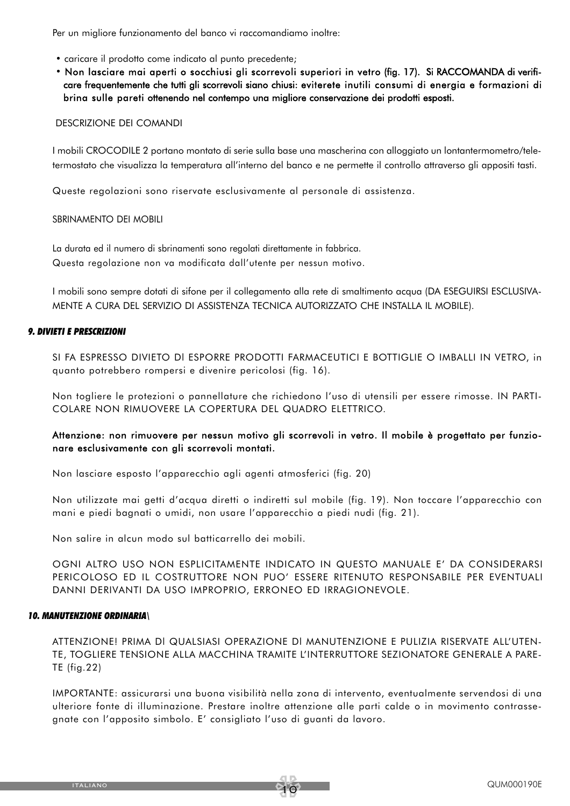Per un migliore funzionamento del banco vi raccomandiamo inoltre:

- caricare il prodotto come indicato al punto precedente;
- Non lasciare mai aperti o socchiusi gli scorrevoli superiori in vetro (fig. 17). Si RACCOMANDA di verificare frequentemente che tutti gli scorrevoli siano chiusi: eviterete inutili consumi di energia e formazioni di brina sulle pareti ottenendo nel contempo una migliore conservazione dei prodotti esposti.

#### DESCRIZIONE DEI COMANDI

I mobili CROCODILE 2 portano montato di serie sulla base una mascherina con alloggiato un lontantermometro/teletermostato che visualizza la temperatura all'interno del banco e ne permette il controllo attraverso gli appositi tasti.

Queste regolazioni sono riservate esclusivamente al personale di assistenza.

SBRINAMENTO DEI MOBILI

La durata ed il numero di sbrinamenti sono regolati direttamente in fabbrica. Questa regolazione non va modificata dall'utente per nessun motivo.

I mobili sono sempre dotati di sifone per il collegamento alla rete di smaltimento acqua (DA ESEGUIRSI ESCLUSIVA-MENTE A CURA DEL SERVIZIO DI ASSISTENZA TECNICA AUTORIZZATO CHE INSTALLA IL MOBILE).

#### *9. DIVIETI E PRESCRIZIONI*

SI FA ESPRESSO DIVIETO Dl ESPORRE PRODOTTI FARMACEUTICI E BOTTIGLIE O IMBALLI IN VETRO, in quanto potrebbero rompersi e divenire pericolosi (fig. 16).

Non togliere le protezioni o pannellature che richiedono l'uso di utensili per essere rimosse. IN PARTI-COLARE NON RIMUOVERE LA COPERTURA DEL QUADRO ELETTRICO.

#### Attenzione: non rimuovere per nessun motivo gli scorrevoli in vetro. Il mobile è progettato per funzionare esclusivamente con gli scorrevoli montati.

Non lasciare esposto l'apparecchio agli agenti atmosferici (fig. 20)

Non utilizzate mai getti d'acqua diretti o indiretti sul mobile (fig. 19). Non toccare l'apparecchio con mani e piedi bagnati o umidi, non usare l'apparecchio a piedi nudi (fig. 21).

Non salire in alcun modo sul batticarrello dei mobili.

OGNI ALTRO USO NON ESPLICITAMENTE INDICATO IN QUESTO MANUALE E' DA CONSIDERARSI PERICOLOSO ED IL COSTRUTTORE NON PUO' ESSERE RITENUTO RESPONSABILE PER EVENTUALI DANNI DERIVANTI DA USO IMPROPRIO, ERRONEO ED IRRAGIONEVOLE.

#### *10. MANUTENZIONE ORDINARIA\*

ATTENZIONE! PRIMA Dl QUALSIASI OPERAZIONE Dl MANUTENZIONE E PULIZIA RISERVATE ALL'UTEN-TE, TOGLIERE TENSIONE ALLA MACCHINA TRAMITE L'INTERRUTTORE SEZIONATORE GENERALE A PARE-TE (fig.22)

IMPORTANTE: assicurarsi una buona visibilità nella zona di intervento, eventualmente servendosi di una ulteriore fonte di illuminazione. Prestare inoltre attenzione alle parti calde o in movimento contrassegnate con l'apposito simbolo. E' consigliato l'uso di guanti da lavoro.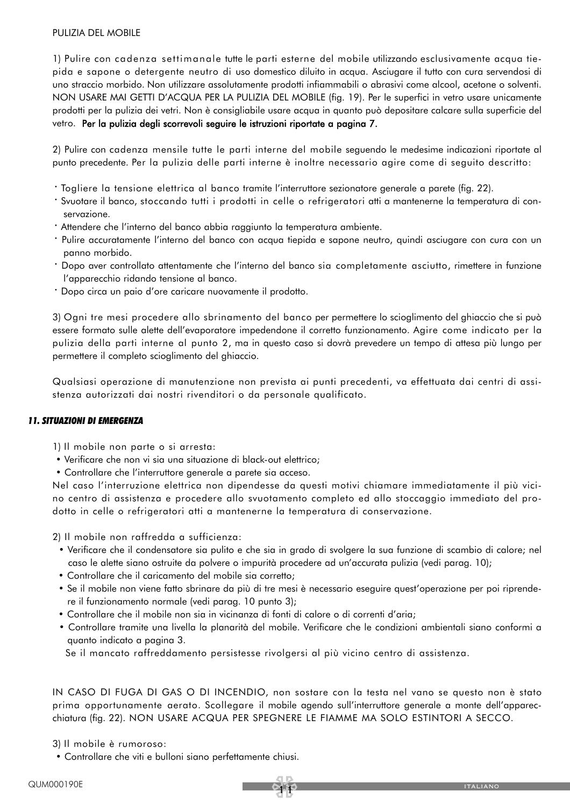#### PULIZIA DEL MOBILE

1) Pulire con cadenza settimanale tutte le parti esterne del mobile utilizzando esclusivamente acqua tiepida e sapone o detergente neutro di uso domestico diluito in acqua. Asciugare il tutto con cura servendosi di uno straccio morbido. Non utilizzare assolutamente prodotti infiammabili o abrasivi come alcool, acetone o solventi. NON USARE MAI GETTI D'ACQUA PER LA PULIZIA DEL MOBILE (fig. 19). Per le superfici in vetro usare unicamente prodotti per la pulizia dei vetri. Non è consigliabile usare acqua in quanto può depositare calcare sulla superficie del vetro. Per la pulizia degli scorrevoli seguire le istruzioni riportate a pagina 7.

2) Pulire con cadenza mensile tutte le parti interne del mobile seguendo le medesime indicazioni riportate al punto precedente. Per la pulizia delle parti interne è inoltre necessario agire come di seguito descritto:

- · Togliere la tensione elettrica al banco tramite l'interruttore sezionatore generale a parete (fig. 22).
- · Svuotare il banco, stoccando tutti i prodotti in celle o refrigeratori atti a mantenerne la temperatura di conservazione.
- · Attendere che l'interno del banco abbia raggiunto la temperatura ambiente.
- · Pulire accuratamente l'interno del banco con acqua tiepida e sapone neutro, quindi asciugare con cura con un panno morbido.
- · Dopo aver controllato attentamente che l'interno del banco sia completamente asciutto, rimettere in funzione l'apparecchio ridando tensione al banco.
- · Dopo circa un paio d'ore caricare nuovamente il prodotto.

3) Ogni tre mesi procedere allo sbrinamento del banco per permettere lo scioglimento del ghiaccio che si può essere formato sulle alette dell'evaporatore impedendone il corretto funzionamento. Agire come indicato per la pulizia della parti interne al punto 2, ma in questo caso si dovrà prevedere un tempo di attesa più lungo per permettere il completo scioglimento del ghiaccio.

Qualsiasi operazione di manutenzione non prevista ai punti precedenti, va effettuata dai centri di assistenza autorizzati dai nostri rivenditori o da personale qualificato.

#### *11. SITUAZIONI DI EMERGENZA*

- 1) Il mobile non parte o si arresta:
- Verificare che non vi sia una situazione di black-out elettrico;
- Controllare che l'interruttore generale a parete sia acceso.

Nel caso l'interruzione elettrica non dipendesse da questi motivi chiamare immediatamente il più vicino centro di assistenza e procedere allo svuotamento completo ed allo stoccaggio immediato del prodotto in celle o refrigeratori atti a mantenerne la temperatura di conservazione.

2) Il mobile non raffredda a sufficienza:

- Verificare che il condensatore sia pulito e che sia in grado di svolgere la sua funzione di scambio di calore; nel caso le alette siano ostruite da polvere o impurità procedere ad un'accurata pulizia (vedi parag. 10);
- Controllare che il caricamento del mobile sia corretto;
- Se il mobile non viene fatto sbrinare da più di tre mesi è necessario eseguire quest'operazione per poi riprendere il funzionamento normale (vedi parag. 10 punto 3);
- Controllare che il mobile non sia in vicinanza di fonti di calore o di correnti d'aria;
- Controllare tramite una livella la planarità del mobile. Verificare che le condizioni ambientali siano conformi a quanto indicato a pagina 3.

Se il mancato raffreddamento persistesse rivolgersi al più vicino centro di assistenza.

IN CASO DI FUGA DI GAS O DI INCENDIO, non sostare con la testa nel vano se questo non è stato prima opportunamente aerato. Scollegare il mobile agendo sull'interruttore generale a monte dell'apparecchiatura (fig. 22). NON USARE ACQUA PER SPEGNERE LE FIAMME MA SOLO ESTINTORI A SECCO.

#### 3) Il mobile è rumoroso:

• Controllare che viti e bulloni siano perfettamente chiusi.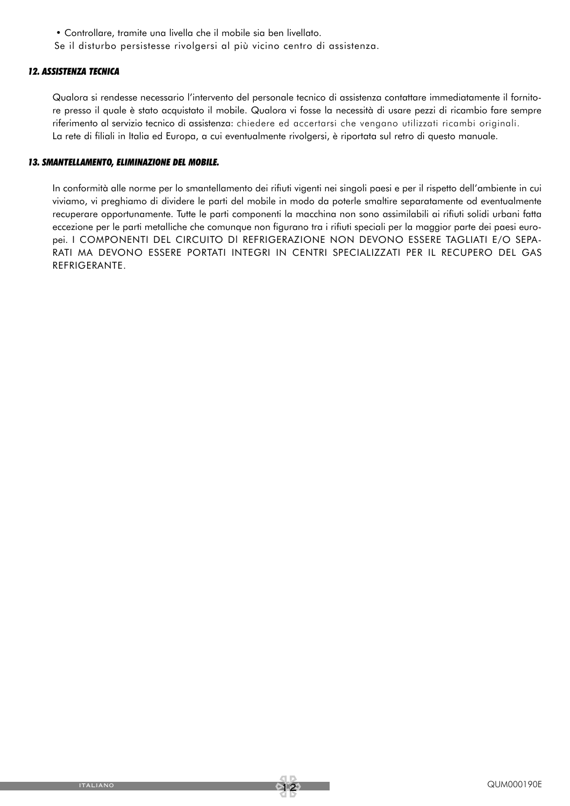• Controllare, tramite una livella che il mobile sia ben livellato.

Se il disturbo persistesse rivolgersi al più vicino centro di assistenza.

#### *12. ASSISTENZA TECNICA*

Qualora si rendesse necessario l'intervento del personale tecnico di assistenza contattare immediatamente il fornitore presso il quale è stato acquistato il mobile. Qualora vi fosse la necessità di usare pezzi di ricambio fare sempre riferimento al servizio tecnico di assistenza: chiedere ed accertarsi che vengano utilizzati ricambi originali. La rete di filiali in Italia ed Europa, a cui eventualmente rivolgersi, è riportata sul retro di questo manuale.

#### *13. SMANTELLAMENTO, ELIMINAZIONE DEL MOBILE.*

In conformità alle norme per lo smantellamento dei rifiuti vigenti nei singoli paesi e per il rispetto dell'ambiente in cui viviamo, vi preghiamo di dividere le parti del mobile in modo da poterle smaltire separatamente od eventualmente recuperare opportunamente. Tutte le parti componenti la macchina non sono assimilabili ai rifiuti solidi urbani fatta eccezione per le parti metalliche che comunque non figurano tra i rifiuti speciali per la maggior parte dei paesi europei. I COMPONENTI DEL CIRCUITO Dl REFRIGERAZIONE NON DEVONO ESSERE TAGLIATI E/O SEPA-RATI MA DEVONO ESSERE PORTATI INTEGRI IN CENTRI SPECIALIZZATI PER IL RECUPERO DEL GAS REFRIGERANTE.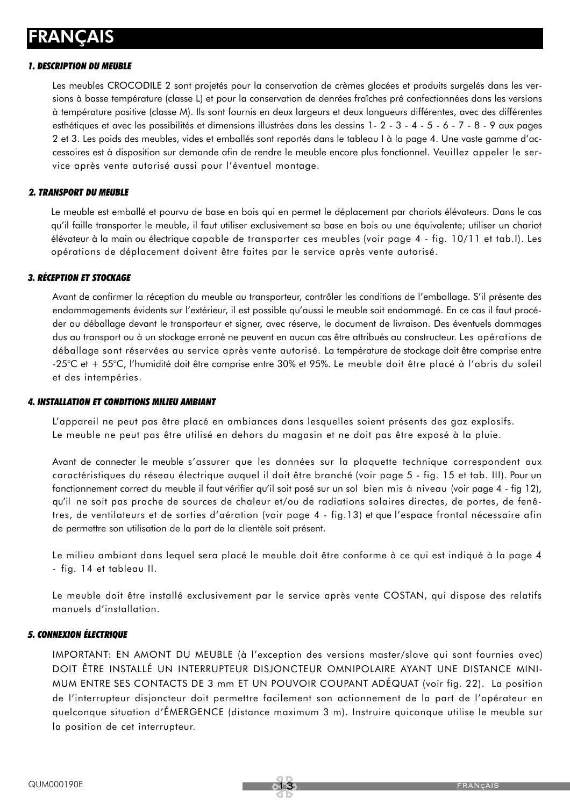## FRANÇAIS

#### *1. DESCRIPTION DU MEUBLE*

Les meubles CROCODILE 2 sont projetés pour la conservation de crèmes glacées et produits surgelés dans les versions à basse température (classe L) et pour la conservation de denrées fraîches pré confectionnées dans les versions à température positive (classe M). Ils sont fournis en deux largeurs et deux longueurs différentes, avec des différentes esthétiques et avec les possibilités et dimensions illustrées dans les dessins 1- 2 - 3 - 4 - 5 - 6 - 7 - 8 - 9 aux pages 2 et 3. Les poids des meubles, vides et emballés sont reportés dans le tableau I à la page 4. Une vaste gamme d'accessoires est à disposition sur demande afin de rendre le meuble encore plus fonctionnel. Veuillez appeler le service après vente autorisé aussi pour l'éventuel montage.

#### *2. TRANSPORT DU MEUBLE*

Le meuble est emballé et pourvu de base en bois qui en permet le déplacement par chariots élévateurs. Dans le cas qu'il faille transporter le meuble, il faut utiliser exclusivement sa base en bois ou une équivalente; utiliser un chariot élévateur à la main ou électrique capable de transporter ces meubles (voir page 4 - fig. 10/11 et tab.I). Les opérations de déplacement doivent être faites par le service après vente autorisé.

#### *3. RÉCEPTION ET STOCKAGE*

Avant de confirmer la réception du meuble au transporteur, contrôler les conditions de l'emballage. S'il présente des endommagements évidents sur l'extérieur, il est possible qu'aussi le meuble soit endommagé. En ce cas il faut procéder au déballage devant le transporteur et signer, avec réserve, le document de livraison. Des éventuels dommages dus au transport ou à un stockage erroné ne peuvent en aucun cas être attribués au constructeur. Les opérations de déballage sont réservées au service après vente autorisé. La température de stockage doit être comprise entre -25°C et + 55°C, l'humidité doit être comprise entre 30% et 95%. Le meuble doit être placé à l'abris du soleil et des intempéries.

#### *4. INSTALLATION ET CONDITIONS MILIEU AMBIANT*

L'appareil ne peut pas être placé en ambiances dans lesquelles soient présents des gaz explosifs. Le meuble ne peut pas être utilisé en dehors du magasin et ne doit pas être exposé à la pluie.

Avant de connecter le meuble s'assurer que les données sur la plaquette technique correspondent aux caractéristiques du réseau électrique auquel il doit être branché (voir page 5 - fig. 15 et tab. III). Pour un fonctionnement correct du meuble il faut vérifier qu'il soit posé sur un sol bien mis à niveau (voir page 4 - fig 12), qu'il ne soit pas proche de sources de chaleur et/ou de radiations solaires directes, de portes, de fenêtres, de ventilateurs et de sorties d'aération (voir page 4 - fig.13) et que l'espace frontal nécessaire afin de permettre son utilisation de la part de la clientèle soit présent.

Le milieu ambiant dans lequel sera placé le meuble doit être conforme à ce qui est indiqué à la page 4 - fig. 14 et tableau II.

Le meuble doit être installé exclusivement par le service après vente COSTAN, qui dispose des relatifs manuels d'installation.

#### *5. CONNEXION ÉLECTRIQUE*

IMPORTANT: EN AMONT DU MEUBLE (à l'exception des versions master/slave qui sont fournies avec) DOIT ÊTRE INSTALLÉ UN INTERRUPTEUR DISJONCTEUR OMNIPOLAIRE AYANT UNE DISTANCE MINI-MUM ENTRE SES CONTACTS DE 3 mm ET UN POUVOIR COUPANT ADÉQUAT (voir fig. 22). La position de l'interrupteur disjoncteur doit permettre facilement son actionnement de la part de l'opérateur en quelconque situation d'ÉMERGENCE (distance maximum 3 m). Instruire quiconque utilise le meuble sur la position de cet interrupteur.

<u>त्राज्</u>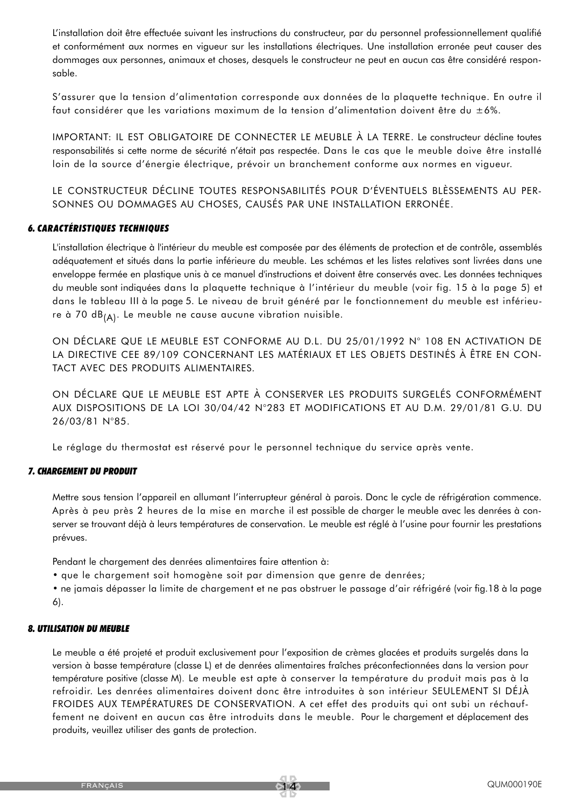L'installation doit être effectuée suivant les instructions du constructeur, par du personnel professionnellement qualifié et conformément aux normes en vigueur sur les installations électriques. Une installation erronée peut causer des dommages aux personnes, animaux et choses, desquels le constructeur ne peut en aucun cas être considéré responsable.

S'assurer que la tension d'alimentation corresponde aux données de la plaquette technique. En outre il faut considérer que les variations maximum de la tension d'alimentation doivent être du ±6%.

IMPORTANT: IL EST OBLIGATOIRE DE CONNECTER LE MEUBLE À LA TERRE. Le constructeur décline toutes responsabilités si cette norme de sécurité n'était pas respectée. Dans le cas que le meuble doive être installé loin de la source d'énergie électrique, prévoir un branchement conforme aux normes en vigueur.

LE CONSTRUCTEUR DÉCLINE TOUTES RESPONSABILITÉS POUR D'ÉVENTUELS BLÈSSEMENTS AU PER-SONNES OU DOMMAGES AU CHOSES, CAUSÉS PAR UNE INSTALLATION ERRONÉE.

#### *6. CARACTÉRISTIQUES TECHNIQUES*

L'installation électrique à l'intérieur du meuble est composée par des éléments de protection et de contrôle, assemblés adéquatement et situés dans la partie inférieure du meuble. Les schémas et les listes relatives sont livrées dans une enveloppe fermée en plastique unis à ce manuel d'instructions et doivent être conservés avec. Les données techniques du meuble sont indiquées dans la plaquette technique à l'intérieur du meuble (voir fig. 15 à la page 5) et dans le tableau III à la page 5. Le niveau de bruit généré par le fonctionnement du meuble est inférieure à 70 dB $_{(A)}$ . Le meuble ne cause aucune vibration nuisible.

ON DÉCLARE QUE LE MEUBLE EST CONFORME AU D.L. DU 25/01/1992 N° 108 EN ACTIVATION DE LA DIRECTIVE CEE 89/109 CONCERNANT LES MATÉRIAUX ET LES OBJETS DESTINÉS À ÊTRE EN CON-TACT AVEC DES PRODUITS ALIMENTAIRES.

ON DÉCLARE QUE LE MEUBLE EST APTE À CONSERVER LES PRODUITS SURGELÉS CONFORMÉMENT AUX DISPOSITIONS DE LA LOI 30/04/42 N°283 ET MODIFICATIONS ET AU D.M. 29/01/81 G.U. DU 26/03/81 N°85.

Le réglage du thermostat est réservé pour le personnel technique du service après vente.

#### *7. CHARGEMENT DU PRODUIT*

Mettre sous tension l'appareil en allumant l'interrupteur général à parois. Donc le cycle de réfrigération commence. Après à peu près 2 heures de la mise en marche il est possible de charger le meuble avec les denrées à conserver se trouvant déjà à leurs températures de conservation. Le meuble est réglé à l'usine pour fournir les prestations prévues.

Pendant le chargement des denrées alimentaires faire attention à:

• que le chargement soit homogène soit par dimension que genre de denrées;

• ne jamais dépasser la limite de chargement et ne pas obstruer le passage d'air réfrigéré (voir fig.18 à la page 6).

#### *8. UTILISATION DU MEUBLE*

Le meuble a été projeté et produit exclusivement pour l'exposition de crèmes glacées et produits surgelés dans la version à basse température (classe L) et de denrées alimentaires fraîches préconfectionnées dans la version pour température positive (classe M). Le meuble est apte à conserver la température du produit mais pas à la refroidir. Les denrées alimentaires doivent donc être introduites à son intérieur SEULEMENT SI DÉJÀ FROIDES AUX TEMPÉRATURES DE CONSERVATION. A cet effet des produits qui ont subi un réchauffement ne doivent en aucun cas être introduits dans le meuble. Pour le chargement et déplacement des produits, veuillez utiliser des gants de protection.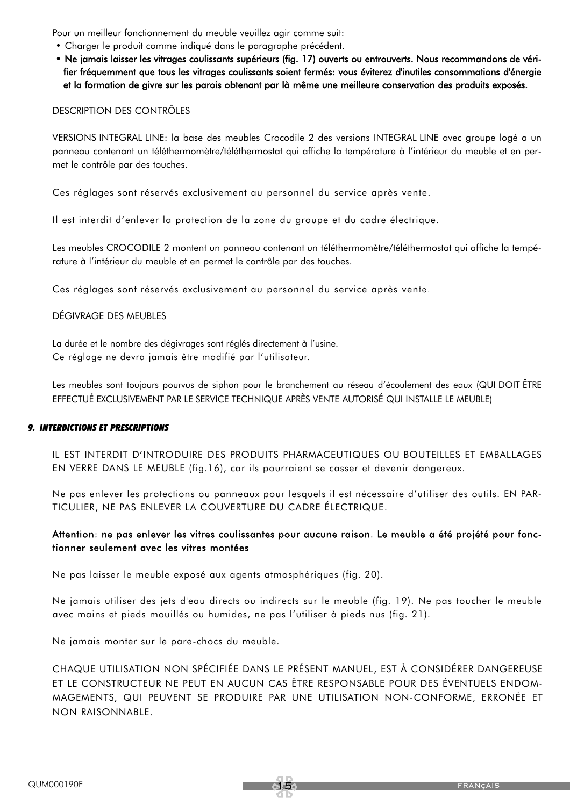Pour un meilleur fonctionnement du meuble veuillez agir comme suit:

- Charger le produit comme indiqué dans le paragraphe précédent.
- Ne jamais laisser les vitrages coulissants supérieurs (fig. 17) ouverts ou entrouverts. Nous recommandons de vérifier fréquemment que tous les vitrages coulissants soient fermés: vous éviterez d'inutiles consommations d'énergie et la formation de givre sur les parois obtenant par là même une meilleure conservation des produits exposés.

#### DESCRIPTION DES CONTRÔLES

VERSIONS INTEGRAL LINE: la base des meubles Crocodile 2 des versions INTEGRAL LINE avec groupe logé a un panneau contenant un téléthermomètre/téléthermostat qui affiche la température à l'intérieur du meuble et en permet le contrôle par des touches.

Ces réglages sont réservés exclusivement au personnel du service après vente.

Il est interdit d'enlever la protection de la zone du groupe et du cadre électrique.

Les meubles CROCODILE 2 montent un panneau contenant un téléthermomètre/téléthermostat qui affiche la température à l'intérieur du meuble et en permet le contrôle par des touches.

Ces réglages sont réservés exclusivement au personnel du service après vente.

#### DÉGIVRAGE DES MEUBLES

La durée et le nombre des dégivrages sont réglés directement à l'usine. Ce réglage ne devra jamais être modifié par l'utilisateur.

Les meubles sont toujours pourvus de siphon pour le branchement au réseau d'écoulement des eaux (QUI DOIT ÊTRE EFFECTUÉ EXCLUSIVEMENT PAR LE SERVICE TECHNIQUE APRÈS VENTE AUTORISÉ QUI INSTALLE LE MEUBLE)

#### *9. INTERDICTIONS ET PRESCRIPTIONS*

IL EST INTERDIT D'INTRODUIRE DES PRODUITS PHARMACEUTIQUES OU BOUTEILLES ET EMBALLAGES EN VERRE DANS LE MEUBLE (fig.16), car ils pourraient se casser et devenir dangereux.

Ne pas enlever les protections ou panneaux pour lesquels il est nécessaire d'utiliser des outils. EN PAR-TICULIER, NE PAS ENLEVER LA COUVERTURE DU CADRE ÉLECTRIQUE.

#### Attention: ne pas enlever les vitres coulissantes pour aucune raison. Le meuble a été projété pour fonctionner seulement avec les vitres montées

Ne pas laisser le meuble exposé aux agents atmosphériques (fig. 20).

Ne jamais utiliser des jets d'eau directs ou indirects sur le meuble (fig. 19). Ne pas toucher le meuble avec mains et pieds mouillés ou humides, ne pas l'utiliser à pieds nus (fig. 21).

Ne jamais monter sur le pare-chocs du meuble.

CHAQUE UTILISATION NON SPÉCIFIÉE DANS LE PRÉSENT MANUEL, EST À CONSIDÉRER DANGEREUSE ET LE CONSTRUCTEUR NE PEUT EN AUCUN CAS ÊTRE RESPONSABLE POUR DES ÉVENTUELS ENDOM-MAGEMENTS, QUI PEUVENT SE PRODUIRE PAR UNE UTILISATION NON-CONFORME, ERRONÉE ET NON RAISONNABLE.

15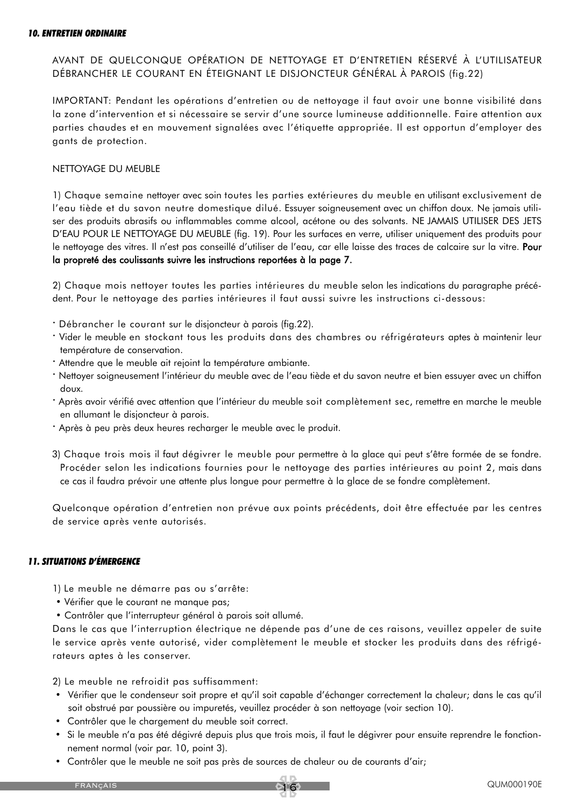#### *10. ENTRETIEN ORDINAIRE*

AVANT DE QUELCONQUE OPÉRATION DE NETTOYAGE ET D'ENTRETIEN RÉSERVÉ À L'UTILISATEUR DÉBRANCHER LE COURANT EN ÉTEIGNANT LE DISJONCTEUR GÉNÉRAL À PAROIS (fig.22)

IMPORTANT: Pendant les opérations d'entretien ou de nettoyage il faut avoir une bonne visibilité dans la zone d'intervention et si nécessaire se servir d'une source lumineuse additionnelle. Faire attention aux parties chaudes et en mouvement signalées avec l'étiquette appropriée. Il est opportun d'employer des gants de protection.

#### NETTOYAGE DU MEUBLE

1) Chaque semaine nettoyer avec soin toutes les parties extérieures du meuble en utilisant exclusivement de l'eau tiède et du savon neutre domestique dilué. Essuyer soigneusement avec un chiffon doux. Ne jamais utiliser des produits abrasifs ou inflammables comme alcool, acétone ou des solvants. NE JAMAIS UTILISER DES JETS D'EAU POUR LE NETTOYAGE DU MEUBLE (fig. 19). Pour les surfaces en verre, utiliser uniquement des produits pour le nettoyage des vitres. Il n'est pas conseillé d'utiliser de l'eau, car elle laisse des traces de calcaire sur la vitre. Pour la propreté des coulissants suivre les instructions reportées à la page 7.

2) Chaque mois nettoyer toutes les parties intérieures du meuble selon les indications du paragraphe précédent. Pour le nettoyage des parties intérieures il faut aussi suivre les instructions ci-dessous:

- · Débrancher le courant sur le disjoncteur à parois (fig.22).
- · Vider le meuble en stockant tous les produits dans des chambres ou réfrigérateurs aptes à maintenir leur température de conservation.
- · Attendre que le meuble ait rejoint la température ambiante.
- · Nettoyer soigneusement l'intérieur du meuble avec de l'eau tiède et du savon neutre et bien essuyer avec un chiffon doux.
- · Après avoir vérifié avec attention que l'intérieur du meuble soit complètement sec, remettre en marche le meuble en allumant le disjoncteur à parois.
- · Après à peu près deux heures recharger le meuble avec le produit.
- 3) Chaque trois mois il faut dégivrer le meuble pour permettre à la glace qui peut s'être formée de se fondre. Procéder selon les indications fournies pour le nettoyage des parties intérieures au point 2, mais dans ce cas il faudra prévoir une attente plus longue pour permettre à la glace de se fondre complètement.

Quelconque opération d'entretien non prévue aux points précédents, doit être effectuée par les centres de service après vente autorisés.

#### *11. SITUATIONS D'ÉMERGENCE*

- 1) Le meuble ne démarre pas ou s'arrête:
- Vérifier que le courant ne manque pas;
- Contrôler que l'interrupteur général à parois soit allumé.

Dans le cas que l'interruption électrique ne dépende pas d'une de ces raisons, veuillez appeler de suite le service après vente autorisé, vider complètement le meuble et stocker les produits dans des réfrigérateurs aptes à les conserver.

2) Le meuble ne refroidit pas suffisamment:

- Vérifier que le condenseur soit propre et qu'il soit capable d'échanger correctement la chaleur; dans le cas qu'il soit obstrué par poussière ou impuretés, veuillez procéder à son nettoyage (voir section 10).
- Contrôler que le chargement du meuble soit correct.
- Si le meuble n'a pas été dégivré depuis plus que trois mois, il faut le dégivrer pour ensuite reprendre le fonctionnement normal (voir par. 10, point 3).
- Contrôler que le meuble ne soit pas près de sources de chaleur ou de courants d'air;

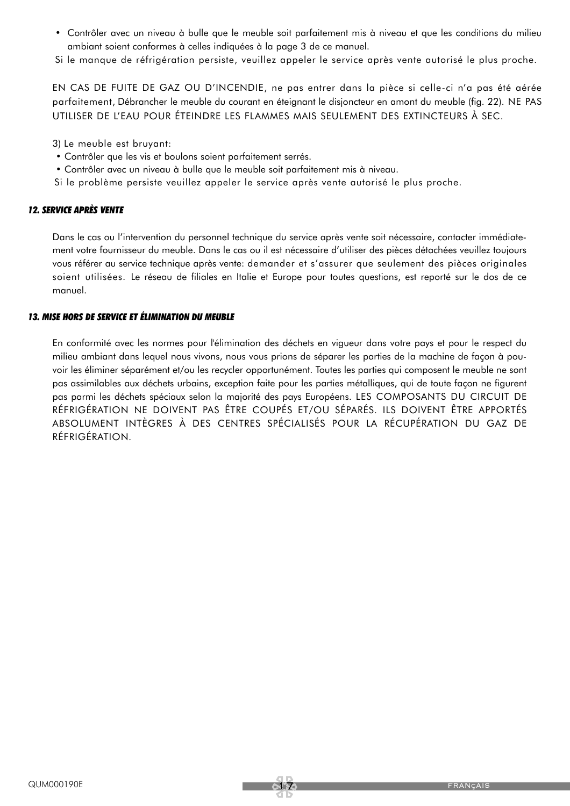• Contrôler avec un niveau à bulle que le meuble soit parfaitement mis à niveau et que les conditions du milieu ambiant soient conformes à celles indiquées à la page 3 de ce manuel.

Si le manque de réfrigération persiste, veuillez appeler le service après vente autorisé le plus proche.

EN CAS DE FUITE DE GAZ OU D'INCENDIE, ne pas entrer dans la pièce si celle-ci n'a pas été aérée parfaitement, Débrancher le meuble du courant en éteignant le disjoncteur en amont du meuble (fig. 22). NE PAS UTILISER DE L'EAU POUR ÉTEINDRE LES FLAMMES MAIS SEULEMENT DES EXTINCTEURS À SEC.

3) Le meuble est bruyant:

- Contrôler que les vis et boulons soient parfaitement serrés.
- Contrôler avec un niveau à bulle que le meuble soit parfaitement mis à niveau.
- Si le problème persiste veuillez appeler le service après vente autorisé le plus proche.

#### *12. SERVICE APRÈS VENTE*

Dans le cas ou l'intervention du personnel technique du service après vente soit nécessaire, contacter immédiatement votre fournisseur du meuble. Dans le cas ou il est nécessaire d'utiliser des pièces détachées veuillez toujours vous référer au service technique après vente: demander et s'assurer que seulement des pièces originales soient utilisées. Le réseau de filiales en Italie et Europe pour toutes questions, est reporté sur le dos de ce manuel.

#### *13. MISE HORS DE SERVICE ET ÉLIMINATION DU MEUBLE*

En conformité avec les normes pour l'élimination des déchets en vigueur dans votre pays et pour le respect du milieu ambiant dans lequel nous vivons, nous vous prions de séparer les parties de la machine de façon à pouvoir les éliminer séparément et/ou les recycler opportunément. Toutes les parties qui composent le meuble ne sont pas assimilables aux déchets urbains, exception faite pour les parties métalliques, qui de toute façon ne figurent pas parmi les déchets spéciaux selon la majorité des pays Européens. LES COMPOSANTS DU CIRCUIT DE RÉFRIGÉRATION NE DOIVENT PAS ÊTRE COUPÉS ET/OU SÉPARÉS. ILS DOIVENT ÊTRE APPORTÉS ABSOLUMENT INTÈGRES À DES CENTRES SPÉCIALISÉS POUR LA RÉCUPÉRATION DU GAZ DE RÉFRIGÉRATION.

<u>त्राज्</u>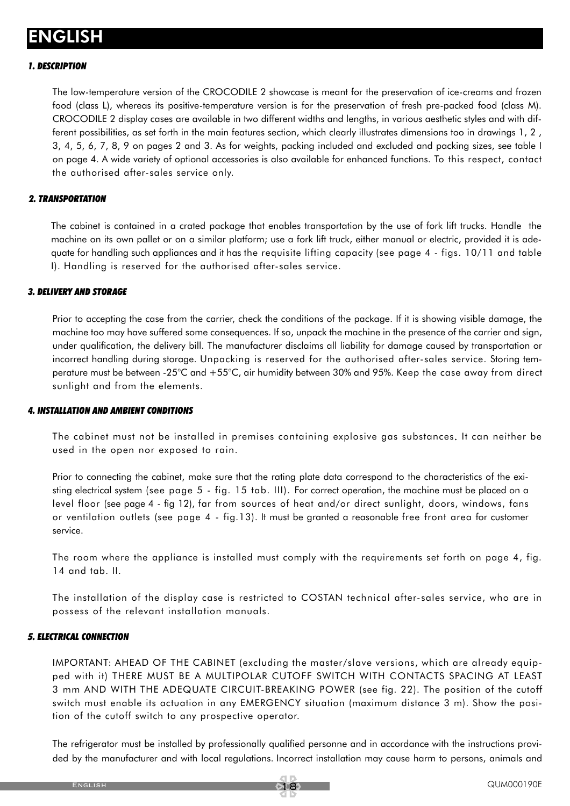## ENGLISH

#### *1. DESCRIPTION*

The low-temperature version of the CROCODILE 2 showcase is meant for the preservation of ice-creams and frozen food (class L), whereas its positive-temperature version is for the preservation of fresh pre-packed food (class M). CROCODILE 2 display cases are available in two different widths and lengths, in various aesthetic styles and with different possibilities, as set forth in the main features section, which clearly illustrates dimensions too in drawings 1, 2 , 3, 4, 5, 6, 7, 8, 9 on pages 2 and 3. As for weights, packing included and excluded and packing sizes, see table I on page 4. A wide variety of optional accessories is also available for enhanced functions. To this respect, contact the authorised after-sales service only.

#### *2. TRANSPORTATION*

The cabinet is contained in a crated package that enables transportation by the use of fork lift trucks. Handle the machine on its own pallet or on a similar platform; use a fork lift truck, either manual or electric, provided it is adequate for handling such appliances and it has the requisite lifting capacity (see page 4 - figs. 10/11 and table I). Handling is reserved for the authorised after-sales service.

#### *3. DELIVERY AND STORAGE*

Prior to accepting the case from the carrier, check the conditions of the package. If it is showing visible damage, the machine too may have suffered some consequences. If so, unpack the machine in the presence of the carrier and sign, under qualification, the delivery bill. The manufacturer disclaims all liability for damage caused by transportation or incorrect handling during storage. Unpacking is reserved for the authorised after-sales service. Storing temperature must be between -25°C and +55°C, air humidity between 30% and 95%. Keep the case away from direct sunlight and from the elements.

#### *4. INSTALLATION AND AMBIENT CONDITIONS*

The cabinet must not be installed in premises containing explosive gas substances. It can neither be used in the open nor exposed to rain.

Prior to connecting the cabinet, make sure that the rating plate data correspond to the characteristics of the existing electrical system (see page 5 - fig. 15 tab. III). For correct operation, the machine must be placed on a level floor (see page 4 - fig 12), far from sources of heat and/or direct sunlight, doors, windows, fans or ventilation outlets (see page 4 - fig.13). It must be granted a reasonable free front area for customer service.

The room where the appliance is installed must comply with the requirements set forth on page 4, fig. 14 and tab. II.

The installation of the display case is restricted to COSTAN technical after-sales service, who are in possess of the relevant installation manuals.

#### *5. ELECTRICAL CONNECTION*

IMPORTANT: AHEAD OF THE CABINET (excluding the master/slave versions, which are already equipped with it) THERE MUST BE A MULTIPOLAR CUTOFF SWITCH WITH CONTACTS SPACING AT LEAST 3 mm AND WITH THE ADEQUATE CIRCUIT-BREAKING POWER (see fig. 22). The position of the cutoff switch must enable its actuation in any EMERGENCY situation (maximum distance 3 m). Show the position of the cutoff switch to any prospective operator.

The refrigerator must be installed by professionally qualified personne and in accordance with the instructions provided by the manufacturer and with local regulations. Incorrect installation may cause harm to persons, animals and

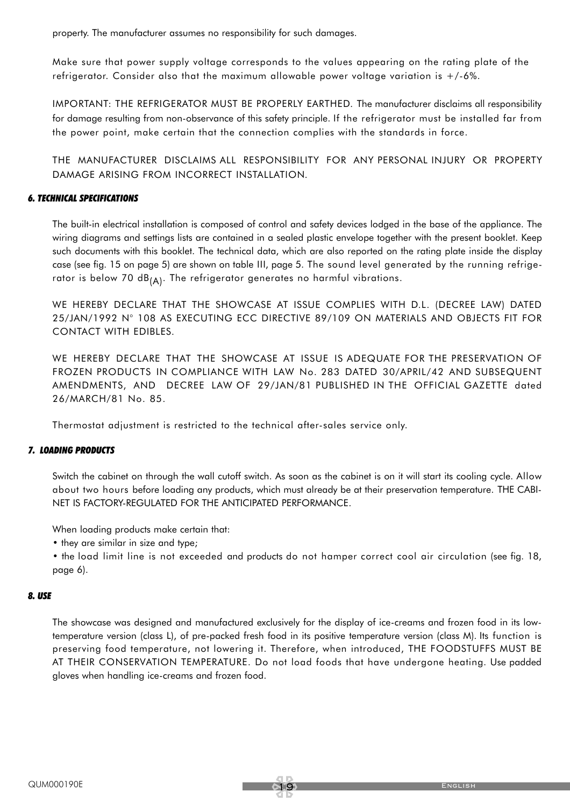property. The manufacturer assumes no responsibility for such damages.

Make sure that power supply voltage corresponds to the values appearing on the rating plate of the refrigerator. Consider also that the maximum allowable power voltage variation is +/-6%.

IMPORTANT: THE REFRIGERATOR MUST BE PROPERLY EARTHED. The manufacturer disclaims all responsibility for damage resulting from non-observance of this safety principle. If the refrigerator must be installed far from the power point, make certain that the connection complies with the standards in force.

THE MANUFACTURER DISCLAIMS ALL RESPONSIBILITY FOR ANY PERSONAL INJURY OR PROPERTY DAMAGE ARISING FROM INCORRECT INSTALLATION.

#### *6. TECHNICAL SPECIFICATIONS*

The built-in electrical installation is composed of control and safety devices lodged in the base of the appliance. The wiring diagrams and settings lists are contained in a sealed plastic envelope together with the present booklet. Keep such documents with this booklet. The technical data, which are also reported on the rating plate inside the display case (see fig. 15 on page 5) are shown on table III, page 5. The sound level generated by the running refrigerator is below 70  $dB_{(A)}$ . The refrigerator generates no harmful vibrations.

WE HEREBY DECLARE THAT THE SHOWCASE AT ISSUE COMPLIES WITH D.L. (DECREE LAW) DATED 25/JAN/1992 N° 108 AS EXECUTING ECC DIRECTIVE 89/109 ON MATERIALS AND OBJECTS FIT FOR CONTACT WITH EDIBLES.

WE HEREBY DECLARE THAT THE SHOWCASE AT ISSUE IS ADEQUATE FOR THE PRESERVATION OF FROZEN PRODUCTS IN COMPLIANCE WITH LAW No. 283 DATED 30/APRIL/42 AND SUBSEQUENT AMENDMENTS, AND DECREE LAW OF 29/JAN/81 PUBLISHED IN THE OFFICIAL GAZETTE dated 26/MARCH/81 No. 85.

Thermostat adjustment is restricted to the technical after-sales service only.

#### *7. LOADING PRODUCTS*

Switch the cabinet on through the wall cutoff switch. As soon as the cabinet is on it will start its cooling cycle. Allow about two hours before loading any products, which must already be at their preservation temperature. THE CABI-NET IS FACTORY-REGULATED FOR THE ANTICIPATED PERFORMANCE.

When loading products make certain that:

• they are similar in size and type;

• the load limit line is not exceeded and products do not hamper correct cool air circulation (see fig. 18, page 6).

#### *8. USE*

The showcase was designed and manufactured exclusively for the display of ice-creams and frozen food in its lowtemperature version (class L), of pre-packed fresh food in its positive temperature version (class M). Its function is preserving food temperature, not lowering it. Therefore, when introduced, THE FOODSTUFFS MUST BE AT THEIR CONSERVATION TEMPERATURE. Do not load foods that have undergone heating. Use padded gloves when handling ice-creams and frozen food.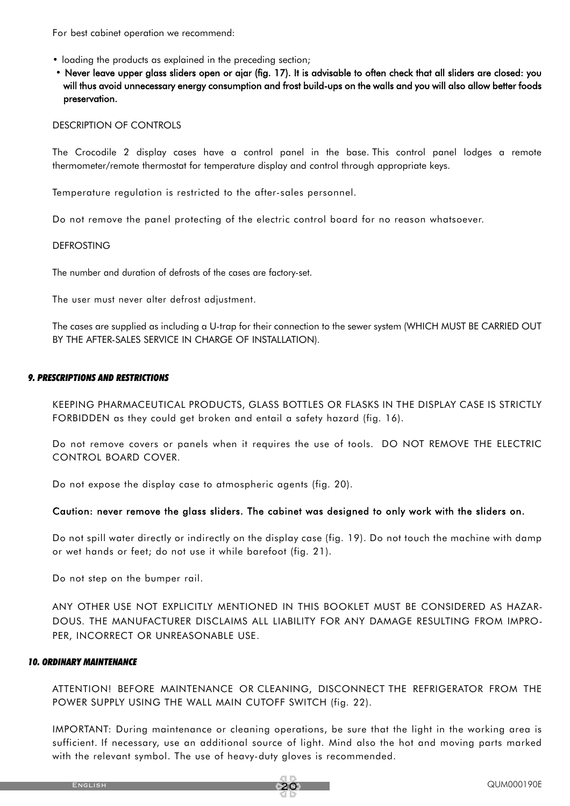For best cabinet operation we recommend:

- loading the products as explained in the preceding section;
- Never leave upper glass sliders open or ajar (fig. 17). It is advisable to often check that all sliders are closed: you will thus avoid unnecessary energy consumption and frost build-ups on the walls and you will also allow better foods preservation.

#### DESCRIPTION OF CONTROLS

The Crocodile 2 display cases have a control panel in the base. This control panel lodges a remote thermometer/remote thermostat for temperature display and control through appropriate keys.

Temperature regulation is restricted to the after-sales personnel.

Do not remove the panel protecting of the electric control board for no reason whatsoever.

#### DEFROSTING

The number and duration of defrosts of the cases are factory-set.

The user must never alter defrost adjustment.

The cases are supplied as including a U-trap for their connection to the sewer system (WHICH MUST BE CARRIED OUT BY THE AFTER-SALES SERVICE IN CHARGE OF INSTALLATION).

#### *9. PRESCRIPTIONS AND RESTRICTIONS*

KEEPING PHARMACEUTICAL PRODUCTS, GLASS BOTTLES OR FLASKS IN THE DISPLAY CASE IS STRICTLY FORBIDDEN as they could get broken and entail a safety hazard (fig. 16).

Do not remove covers or panels when it requires the use of tools. DO NOT REMOVE THE ELECTRIC CONTROL BOARD COVER.

Do not expose the display case to atmospheric agents (fig. 20).

#### Caution: never remove the glass sliders. The cabinet was designed to only work with the sliders on.

Do not spill water directly or indirectly on the display case (fig. 19). Do not touch the machine with damp or wet hands or feet; do not use it while barefoot (fig. 21).

Do not step on the bumper rail.

ANY OTHER USE NOT EXPLICITLY MENTIONED IN THIS BOOKLET MUST BE CONSIDERED AS HAZAR-DOUS. THE MANUFACTURER DISCLAIMS ALL LIABILITY FOR ANY DAMAGE RESULTING FROM IMPRO-PER, INCORRECT OR UNREASONABLE USE.

#### *10. ORDINARY MAINTENANCE*

ATTENTION! BEFORE MAINTENANCE OR CLEANING, DISCONNECT THE REFRIGERATOR FROM THE POWER SUPPLY USING THE WALL MAIN CUTOFF SWITCH (fig. 22).

IMPORTANT: During maintenance or cleaning operations, be sure that the light in the working area is sufficient. If necessary, use an additional source of light. Mind also the hot and moving parts marked with the relevant symbol. The use of heavy-duty gloves is recommended.

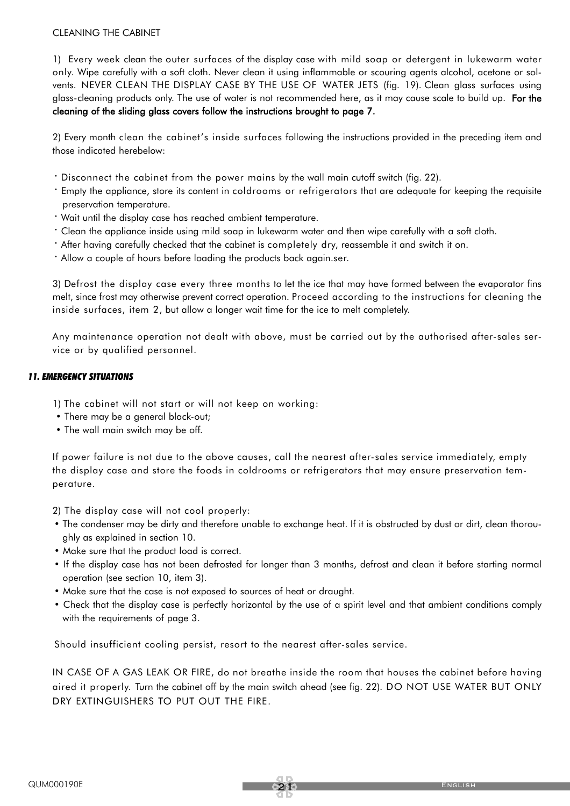#### CLEANING THE CABINET

1) Every week clean the outer surfaces of the display case with mild soap or detergent in lukewarm water only. Wipe carefully with a soft cloth. Never clean it using inflammable or scouring agents alcohol, acetone or solvents. NEVER CLEAN THE DISPLAY CASE BY THE USE OF WATER JETS (fig. 19). Clean glass surfaces using glass-cleaning products only. The use of water is not recommended here, as it may cause scale to build up. For the cleaning of the sliding glass covers follow the instructions brought to page 7.

2) Every month clean the cabinet's inside surfaces following the instructions provided in the preceding item and those indicated herebelow:

- · Disconnect the cabinet from the power mains by the wall main cutoff switch (fig. 22).
- · Empty the appliance, store its content in coldrooms or refrigerators that are adequate for keeping the requisite preservation temperature.
- · Wait until the display case has reached ambient temperature.
- · Clean the appliance inside using mild soap in lukewarm water and then wipe carefully with a soft cloth.
- · After having carefully checked that the cabinet is completely dry, reassemble it and switch it on.
- · Allow a couple of hours before loading the products back again.ser.

3) Defrost the display case every three months to let the ice that may have formed between the evaporator fins melt, since frost may otherwise prevent correct operation. Proceed according to the instructions for cleaning the inside surfaces, item 2, but allow a longer wait time for the ice to melt completely.

Any maintenance operation not dealt with above, must be carried out by the authorised after-sales service or by qualified personnel.

#### *11. EMERGENCY SITUATIONS*

- 1) The cabinet will not start or will not keep on working:
- There may be a general black-out;
- The wall main switch may be off.

If power failure is not due to the above causes, call the nearest after-sales service immediately, empty the display case and store the foods in coldrooms or refrigerators that may ensure preservation temperature.

2) The display case will not cool properly:

- The condenser may be dirty and therefore unable to exchange heat. If it is obstructed by dust or dirt, clean thoroughly as explained in section 10.
- Make sure that the product load is correct.
- If the display case has not been defrosted for longer than 3 months, defrost and clean it before starting normal operation (see section 10, item 3).
- Make sure that the case is not exposed to sources of heat or draught.
- Check that the display case is perfectly horizontal by the use of a spirit level and that ambient conditions comply with the requirements of page 3.

Should insufficient cooling persist, resort to the nearest after-sales service.

IN CASE OF A GAS LEAK OR FIRE, do not breathe inside the room that houses the cabinet before having aired it properly. Turn the cabinet off by the main switch ahead (see fig. 22). DO NOT USE WATER BUT ONLY DRY EXTINGUISHERS TO PUT OUT THE FIRE.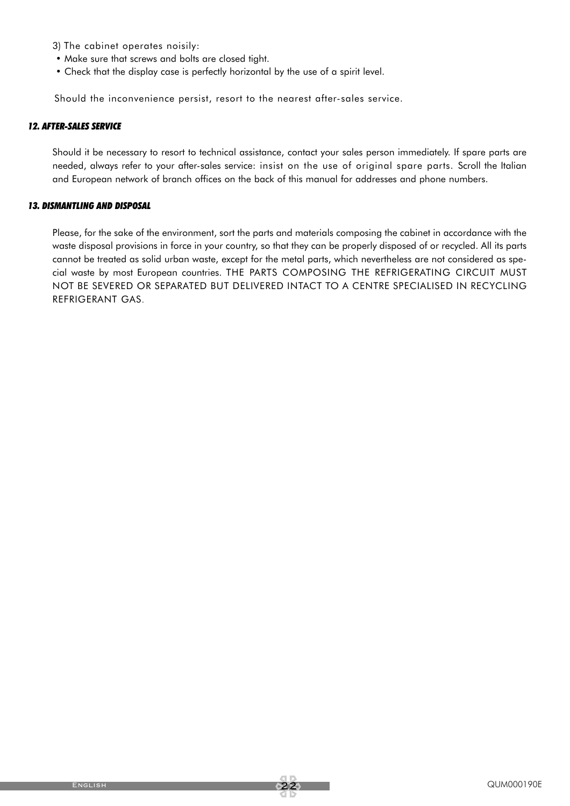- 3) The cabinet operates noisily:
- Make sure that screws and bolts are closed tight.
- Check that the display case is perfectly horizontal by the use of a spirit level.

Should the inconvenience persist, resort to the nearest after-sales service.

#### *12. AFTER-SALES SERVICE*

Should it be necessary to resort to technical assistance, contact your sales person immediately. If spare parts are needed, always refer to your after-sales service: insist on the use of original spare parts. Scroll the Italian and European network of branch offices on the back of this manual for addresses and phone numbers.

#### *13. DISMANTLING AND DISPOSAL*

Please, for the sake of the environment, sort the parts and materials composing the cabinet in accordance with the waste disposal provisions in force in your country, so that they can be properly disposed of or recycled. All its parts cannot be treated as solid urban waste, except for the metal parts, which nevertheless are not considered as special waste by most European countries. THE PARTS COMPOSING THE REFRIGERATING CIRCUIT MUST NOT BE SEVERED OR SEPARATED BUT DELIVERED INTACT TO A CENTRE SPECIALISED IN RECYCLING REFRIGERANT GAS.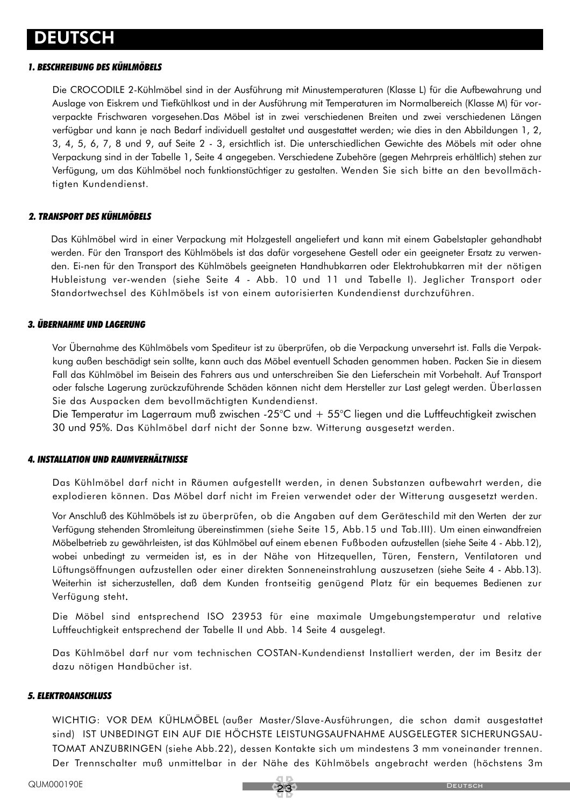### DEUTSCH

#### *1. BESCHREIBUNG DES KÜHLMÖBELS*

Die CROCODILE 2-Kühlmöbel sind in der Ausführung mit Minustemperaturen (Klasse L) für die Aufbewahrung und Auslage von Eiskrem und Tiefkühlkost und in der Ausführung mit Temperaturen im Normalbereich (Klasse M) für vorverpackte Frischwaren vorgesehen.Das Möbel ist in zwei verschiedenen Breiten und zwei verschiedenen Längen verfügbar und kann je nach Bedarf individuell gestaltet und ausgestattet werden; wie dies in den Abbildungen 1, 2, 3, 4, 5, 6, 7, 8 und 9, auf Seite 2 - 3, ersichtlich ist. Die unterschiedlichen Gewichte des Möbels mit oder ohne Verpackung sind in der Tabelle 1, Seite 4 angegeben. Verschiedene Zubehöre (gegen Mehrpreis erhältlich) stehen zur Verfügung, um das Kühlmöbel noch funktionstüchtiger zu gestalten. Wenden Sie sich bitte an den bevollmächtigten Kundendienst.

#### *2. TRANSPORT DES KÜHLMÖBELS*

Das Kühlmöbel wird in einer Verpackung mit Holzgestell angeliefert und kann mit einem Gabelstapler gehandhabt werden. Für den Transport des Kühlmöbels ist das dafür vorgesehene Gestell oder ein geeigneter Ersatz zu verwenden. Ei-nen für den Transport des Kühlmöbels geeigneten Handhubkarren oder Elektrohubkarren mit der nötigen Hubleistung ver-wenden (siehe Seite 4 - Abb. 10 und 11 und Tabelle I). Jeglicher Transport oder Standortwechsel des Kühlmöbels ist von einem autorisierten Kundendienst durchzuführen.

#### *3. ÜBERNAHME UND LAGERUNG*

Vor Übernahme des Kühlmöbels vom Spediteur ist zu überprüfen, ob die Verpackung unversehrt ist. Falls die Verpakkung außen beschädigt sein sollte, kann auch das Möbel eventuell Schaden genommen haben. Packen Sie in diesem Fall das Kühlmöbel im Beisein des Fahrers aus und unterschreiben Sie den Lieferschein mit Vorbehalt. Auf Transport oder falsche Lagerung zurückzuführende Schäden können nicht dem Hersteller zur Last gelegt werden. Überlassen Sie das Auspacken dem bevollmächtigten Kundendienst.

Die Temperatur im Lagerraum muß zwischen -25°C und + 55°C liegen und die Luftfeuchtigkeit zwischen 30 und 95%. Das Kühlmöbel darf nicht der Sonne bzw. Witterung ausgesetzt werden.

#### *4. INSTALLATION UND RAUMVERHÄLTNISSE*

Das Kühlmöbel darf nicht in Räumen aufgestellt werden, in denen Substanzen aufbewahrt werden, die explodieren können. Das Möbel darf nicht im Freien verwendet oder der Witterung ausgesetzt werden.

Vor Anschluß des Kühlmöbels ist zu überprüfen, ob die Angaben auf dem Geräteschild mit den Werten der zur Verfügung stehenden Stromleitung übereinstimmen (siehe Seite 15, Abb.15 und Tab.III). Um einen einwandfreien Möbelbetrieb zu gewährleisten, ist das Kühlmöbel auf einem ebenen Fußboden aufzustellen (siehe Seite 4 - Abb.12), wobei unbedingt zu vermeiden ist, es in der Nähe von Hitzequellen, Türen, Fenstern, Ventilatoren und Lüftungsöffnungen aufzustellen oder einer direkten Sonneneinstrahlung auszusetzen (siehe Seite 4 - Abb.13). Weiterhin ist sicherzustellen, daß dem Kunden frontseitig genügend Platz für ein bequemes Bedienen zur Verfügung steht.

Die Möbel sind entsprechend ISO 23953 für eine maximale Umgebungstemperatur und relative Luftfeuchtigkeit entsprechend der Tabelle II und Abb. 14 Seite 4 ausgelegt.

Das Kühlmöbel darf nur vom technischen COSTAN-Kundendienst Installiert werden, der im Besitz der dazu nötigen Handbücher ist.

#### *5. ELEKTROANSCHLUSS*

WICHTIG: VOR DEM KÜHLMÖBEL (außer Master/Slave-Ausführungen, die schon damit ausgestattet sind) IST UNBEDINGT EIN AUF DIE HÖCHSTE LEISTUNGSAUFNAHME AUSGELEGTER SICHERUNGSAU-TOMAT ANZUBRINGEN (siehe Abb.22), dessen Kontakte sich um mindestens 3 mm voneinander trennen. Der Trennschalter muß unmittelbar in der Nähe des Kühlmöbels angebracht werden (höchstens 3m

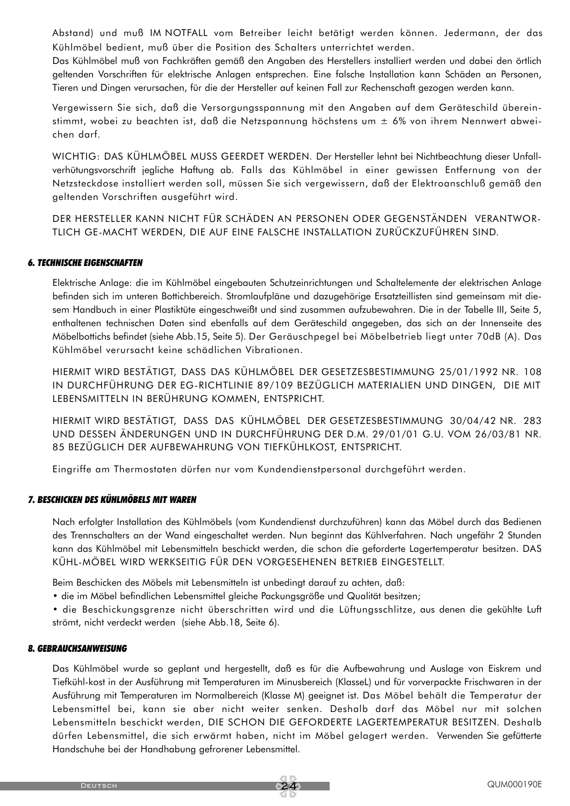Abstand) und muß IM NOTFALL vom Betreiber leicht betätigt werden können. Jedermann, der das Kühlmöbel bedient, muß über die Position des Schalters unterrichtet werden.

Das Kühlmöbel muß von Fachkräften gemäß den Angaben des Herstellers installiert werden und dabei den örtlich geltenden Vorschriften für elektrische Anlagen entsprechen. Eine falsche Installation kann Schäden an Personen, Tieren und Dingen verursachen, für die der Hersteller auf keinen Fall zur Rechenschaft gezogen werden kann.

Vergewissern Sie sich, daß die Versorgungsspannung mit den Angaben auf dem Geräteschild übereinstimmt, wobei zu beachten ist, daß die Netzspannung höchstens um ± 6% von ihrem Nennwert abweichen darf.

WICHTIG: DAS KÜHLMÖBEL MUSS GEERDET WERDEN. Der Hersteller lehnt bei Nichtbeachtung dieser Unfallverhütungsvorschrift jegliche Haftung ab. Falls das Kühlmöbel in einer gewissen Entfernung von der Netzsteckdose installiert werden soll, müssen Sie sich vergewissern, daß der Elektroanschluß gemäß den geltenden Vorschriften ausgeführt wird.

DER HERSTELLER KANN NICHT FÜR SCHÄDEN AN PERSONEN ODER GEGENSTÄNDEN VERANTWOR-TLICH GE-MACHT WERDEN, DIE AUF EINE FALSCHE INSTALLATION ZURÜCKZUFÜHREN SIND.

#### *6. TECHNISCHE EIGENSCHAFTEN*

Elektrische Anlage: die im Kühlmöbel eingebauten Schutzeinrichtungen und Schaltelemente der elektrischen Anlage befinden sich im unteren Bottichbereich. Stromlaufpläne und dazugehörige Ersatzteillisten sind gemeinsam mit diesem Handbuch in einer Plastiktüte eingeschweißt und sind zusammen aufzubewahren. Die in der Tabelle III, Seite 5, enthaltenen technischen Daten sind ebenfalls auf dem Geräteschild angegeben, das sich an der Innenseite des Möbelbottichs befindet (siehe Abb.15, Seite 5). Der Geräuschpegel bei Möbelbetrieb liegt unter 70dB (A). Das Kühlmöbel verursacht keine schädlichen Vibrationen.

HIERMIT WIRD BESTÄTIGT, DASS DAS KÜHLMÖBEL DER GESETZESBESTIMMUNG 25/01/1992 NR. 108 IN DURCHFÜHRUNG DER EG-RICHTLINIE 89/109 BEZÜGLICH MATERIALIEN UND DINGEN, DIE MIT LEBENSMITTELN IN BERÜHRUNG KOMMEN, ENTSPRICHT.

HIERMIT WIRD BESTÄTIGT, DASS DAS KÜHLMÖBEL DER GESETZESBESTIMMUNG 30/04/42 NR. 283 UND DESSEN ÄNDERUNGEN UND IN DURCHFÜHRUNG DER D.M. 29/01/01 G.U. VOM 26/03/81 NR. 85 BEZÜGLICH DER AUFBEWAHRUNG VON TIEFKÜHLKOST, ENTSPRICHT.

Eingriffe am Thermostaten dürfen nur vom Kundendienstpersonal durchgeführt werden.

#### *7. BESCHICKEN DES KÜHLMÖBELS MIT WAREN*

Nach erfolgter Installation des Kühlmöbels (vom Kundendienst durchzuführen) kann das Möbel durch das Bedienen des Trennschalters an der Wand eingeschaltet werden. Nun beginnt das Kühlverfahren. Nach ungefähr 2 Stunden kann das Kühlmöbel mit Lebensmitteln beschickt werden, die schon die geforderte Lagertemperatur besitzen. DAS KÜHL-MÖBEL WIRD WERKSEITIG FÜR DEN VORGESEHENEN BETRIEB EINGESTELLT.

Beim Beschicken des Möbels mit Lebensmitteln ist unbedingt darauf zu achten, daß:

• die im Möbel befindlichen Lebensmittel gleiche Packungsgröße und Qualität besitzen;

• die Beschickungsgrenze nicht überschritten wird und die Lüftungsschlitze, aus denen die gekühlte Luft strömt, nicht verdeckt werden (siehe Abb.18, Seite 6).

#### *8. GEBRAUCHSANWEISUNG*

Das Kühlmöbel wurde so geplant und hergestellt, daß es für die Aufbewahrung und Auslage von Eiskrem und Tiefkühl-kost in der Ausführung mit Temperaturen im Minusbereich (KlasseL) und für vorverpackte Frischwaren in der Ausführung mit Temperaturen im Normalbereich (Klasse M) geeignet ist. Das Möbel behält die Temperatur der Lebensmittel bei, kann sie aber nicht weiter senken. Deshalb darf das Möbel nur mit solchen Lebensmitteln beschickt werden, DIE SCHON DIE GEFORDERTE LAGERTEMPERATUR BESITZEN. Deshalb dürfen Lebensmittel, die sich erwärmt haben, nicht im Möbel gelagert werden. Verwenden Sie gefütterte Handschuhe bei der Handhabung gefrorener Lebensmittel.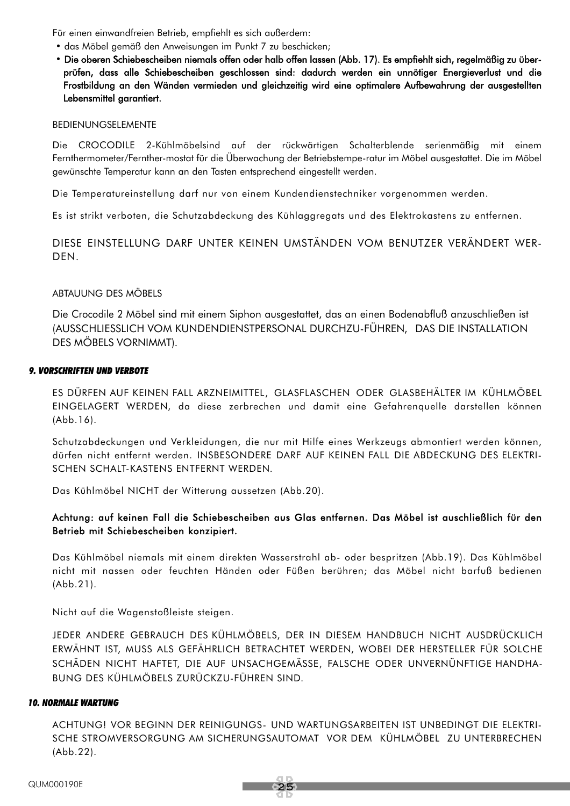Für einen einwandfreien Betrieb, empfiehlt es sich außerdem:

- das Möbel gemäß den Anweisungen im Punkt 7 zu beschicken;
- Die oberen Schiebescheiben niemals offen oder halb offen lassen (Abb. 17). Es empfiehlt sich, regelmäßig zu überprüfen, dass alle Schiebescheiben geschlossen sind: dadurch werden ein unnötiger Energieverlust und die Frostbildung an den Wänden vermieden und gleichzeitig wird eine optimalere Aufbewahrung der ausgestellten Lebensmittel garantiert.

#### BEDIENUNGSELEMENTE

Die CROCODILE 2-Kühlmöbelsind auf der rückwärtigen Schalterblende serienmäßig mit einem Fernthermometer/Fernther-mostat für die Überwachung der Betriebstempe-ratur im Möbel ausgestattet. Die im Möbel gewünschte Temperatur kann an den Tasten entsprechend eingestellt werden.

Die Temperatureinstellung darf nur von einem Kundendienstechniker vorgenommen werden.

Es ist strikt verboten, die Schutzabdeckung des Kühlaggregats und des Elektrokastens zu entfernen.

DIESE EINSTELLUNG DARF UNTER KEINEN UMSTÄNDEN VOM BENUTZER VERÄNDERT WER-DEN.

#### ABTAUUNG DES MÖBELS

Die Crocodile 2 Möbel sind mit einem Siphon ausgestattet, das an einen Bodenabfluß anzuschließen ist (AUSSCHLIESSLICH VOM KUNDENDIENSTPERSONAL DURCHZU-FÜHREN, DAS DIE INSTALLATION DES MÖBELS VORNIMMT).

#### *9. VORSCHRIFTEN UND VERBOTE*

ES DÜRFEN AUF KEINEN FALL ARZNEIMITTEL, GLASFLASCHEN ODER GLASBEHÄLTER IM KÜHLMÖBEL EINGELAGERT WERDEN, da diese zerbrechen und damit eine Gefahrenquelle darstellen können (Abb.16).

Schutzabdeckungen und Verkleidungen, die nur mit Hilfe eines Werkzeugs abmontiert werden können, dürfen nicht entfernt werden. INSBESONDERE DARF AUF KEINEN FALL DIE ABDECKUNG DES ELEKTRI-SCHEN SCHALT-KASTENS ENTFERNT WERDEN.

Das Kühlmöbel NICHT der Witterung aussetzen (Abb.20).

#### Achtung: auf keinen Fall die Schiebescheiben aus Glas entfernen. Das Möbel ist auschließlich für den Betrieb mit Schiebescheiben konzipiert.

Das Kühlmöbel niemals mit einem direkten Wasserstrahl ab- oder bespritzen (Abb.19). Das Kühlmöbel nicht mit nassen oder feuchten Händen oder Füßen berühren; das Möbel nicht barfuß bedienen (Abb.21).

Nicht auf die Wagenstoßleiste steigen.

JEDER ANDERE GEBRAUCH DES KÜHLMÖBELS, DER IN DIESEM HANDBUCH NICHT AUSDRÜCKLICH ERWÄHNT IST, MUSS ALS GEFÄHRLICH BETRACHTET WERDEN, WOBEI DER HERSTELLER FÜR SOLCHE SCHÄDEN NICHT HAFTET, DIE AUF UNSACHGEMÄSSE, FALSCHE ODER UNVERNÜNFTIGE HANDHA-BUNG DES KÜHLMÖBELS ZURÜCKZU-FÜHREN SIND.

#### *10. NORMALE WARTUNG*

ACHTUNG! VOR BEGINN DER REINIGUNGS- UND WARTUNGSARBEITEN IST UNBEDINGT DIE ELEKTRI-SCHE STROMVERSORGUNG AM SICHERUNGSAUTOMAT VOR DEM KÜHLMÖBEL ZU UNTERBRECHEN (Abb.22).

25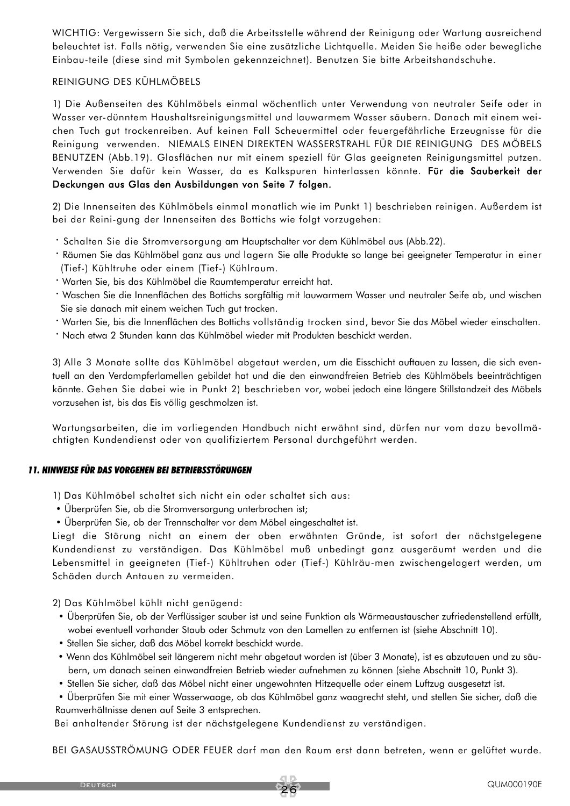WICHTIG: Vergewissern Sie sich, daß die Arbeitsstelle während der Reinigung oder Wartung ausreichend beleuchtet ist. Falls nötig, verwenden Sie eine zusätzliche Lichtquelle. Meiden Sie heiße oder bewegliche Einbau-teile (diese sind mit Symbolen gekennzeichnet). Benutzen Sie bitte Arbeitshandschuhe.

#### REINIGUNG DES KÜHLMÖBELS

1) Die Außenseiten des Kühlmöbels einmal wöchentlich unter Verwendung von neutraler Seife oder in Wasser ver-dünntem Haushaltsreinigungsmittel und lauwarmem Wasser säubern. Danach mit einem weichen Tuch gut trockenreiben. Auf keinen Fall Scheuermittel oder feuergefährliche Erzeugnisse für die Reinigung verwenden. NIEMALS EINEN DIREKTEN WASSERSTRAHL FÜR DIE REINIGUNG DES MÖBELS BENUTZEN (Abb.19). Glasflächen nur mit einem speziell für Glas geeigneten Reinigungsmittel putzen. Verwenden Sie dafür kein Wasser, da es Kalkspuren hinterlassen könnte. Für die Sauberkeit der Deckungen aus Glas den Ausbildungen von Seite 7 folgen.

2) Die Innenseiten des Kühlmöbels einmal monatlich wie im Punkt 1) beschrieben reinigen. Außerdem ist bei der Reini-gung der Innenseiten des Bottichs wie folgt vorzugehen:

- · Schalten Sie die Stromversorgung am Hauptschalter vor dem Kühlmöbel aus (Abb.22).
- · Räumen Sie das Kühlmöbel ganz aus und lagern Sie alle Produkte so lange bei geeigneter Temperatur in einer (Tief-) Kühltruhe oder einem (Tief-) Kühlraum.
- · Warten Sie, bis das Kühlmöbel die Raumtemperatur erreicht hat.
- · Waschen Sie die Innenflächen des Bottichs sorgfältig mit lauwarmem Wasser und neutraler Seife ab, und wischen Sie sie danach mit einem weichen Tuch gut trocken.
- · Warten Sie, bis die Innenflächen des Bottichs vollständig trocken sind, bevor Sie das Möbel wieder einschalten.
- · Nach etwa 2 Stunden kann das Kühlmöbel wieder mit Produkten beschickt werden.

3) Alle 3 Monate sollte das Kühlmöbel abgetaut werden, um die Eisschicht auftauen zu lassen, die sich eventuell an den Verdampferlamellen gebildet hat und die den einwandfreien Betrieb des Kühlmöbels beeinträchtigen könnte. Gehen Sie dabei wie in Punkt 2) beschrieben vor, wobei jedoch eine längere Stillstandzeit des Möbels vorzusehen ist, bis das Eis völlig geschmolzen ist.

Wartungsarbeiten, die im vorliegenden Handbuch nicht erwähnt sind, dürfen nur vom dazu bevollmächtigten Kundendienst oder von qualifiziertem Personal durchgeführt werden.

#### *11. HINWEISE FÜR DAS VORGEHEN BEI BETRIEBSSTÖRUNGEN*

- 1) Das Kühlmöbel schaltet sich nicht ein oder schaltet sich aus:
- Überprüfen Sie, ob die Stromversorgung unterbrochen ist;
- Überprüfen Sie, ob der Trennschalter vor dem Möbel eingeschaltet ist.

Liegt die Störung nicht an einem der oben erwähnten Gründe, ist sofort der nächstgelegene Kundendienst zu verständigen. Das Kühlmöbel muß unbedingt ganz ausgeräumt werden und die Lebensmittel in geeigneten (Tief-) Kühltruhen oder (Tief-) Kühlräu-men zwischengelagert werden, um Schäden durch Antauen zu vermeiden.

2) Das Kühlmöbel kühlt nicht genügend:

- Überprüfen Sie, ob der Verflüssiger sauber ist und seine Funktion als Wärmeaustauscher zufriedenstellend erfüllt, wobei eventuell vorhander Staub oder Schmutz von den Lamellen zu entfernen ist (siehe Abschnitt 10).
- Stellen Sie sicher, daß das Möbel korrekt beschickt wurde.
- Wenn das Kühlmöbel seit längerem nicht mehr abgetaut worden ist (über 3 Monate), ist es abzutauen und zu säubern, um danach seinen einwandfreien Betrieb wieder aufnehmen zu können (siehe Abschnitt 10, Punkt 3).
- Stellen Sie sicher, daß das Möbel nicht einer ungewohnten Hitzequelle oder einem Luftzug ausgesetzt ist.
- Überprüfen Sie mit einer Wasserwaage, ob das Kühlmöbel ganz waagrecht steht, und stellen Sie sicher, daß die

Raumverhältnisse denen auf Seite 3 entsprechen.

Bei anhaltender Störung ist der nächstgelegene Kundendienst zu verständigen.

BEI GASAUSSTRÖMUNG ODER FEUER darf man den Raum erst dann betreten, wenn er gelüftet wurde.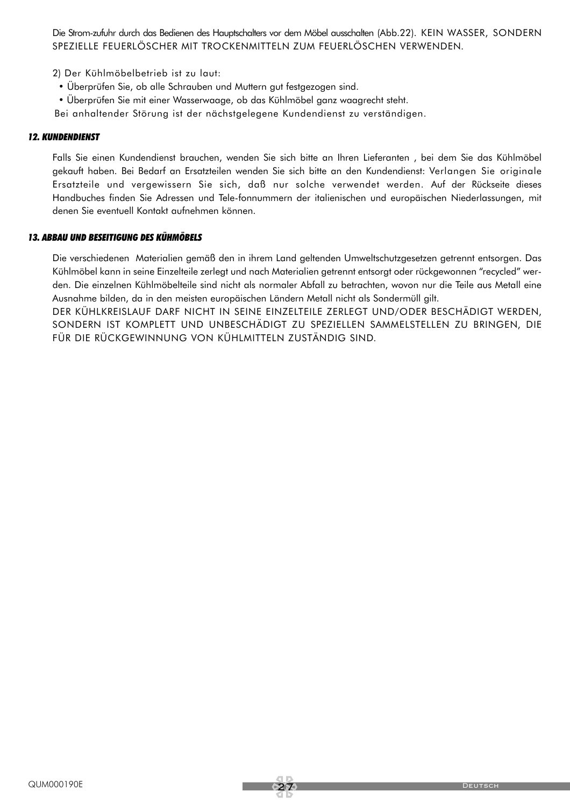Die Strom-zufuhr durch das Bedienen des Hauptschalters vor dem Möbel ausschalten (Abb.22). KEIN WASSER, SONDERN SPEZIELLE FEUERLÖSCHER MIT TROCKENMITTELN ZUM FEUERLÖSCHEN VERWENDEN.

- 2) Der Kühlmöbelbetrieb ist zu laut:
- Überprüfen Sie, ob alle Schrauben und Muttern gut festgezogen sind.
- Überprüfen Sie mit einer Wasserwaage, ob das Kühlmöbel ganz waagrecht steht.
- Bei anhaltender Störung ist der nächstgelegene Kundendienst zu verständigen.

#### *12. KUNDENDIENST*

Falls Sie einen Kundendienst brauchen, wenden Sie sich bitte an Ihren Lieferanten , bei dem Sie das Kühlmöbel gekauft haben. Bei Bedarf an Ersatzteilen wenden Sie sich bitte an den Kundendienst: Verlangen Sie originale Ersatzteile und vergewissern Sie sich, daß nur solche verwendet werden. Auf der Rückseite dieses Handbuches finden Sie Adressen und Tele-fonnummern der italienischen und europäischen Niederlassungen, mit denen Sie eventuell Kontakt aufnehmen können.

#### *13. ABBAU UND BESEITIGUNG DES KÜHMÖBELS*

Die verschiedenen Materialien gemäß den in ihrem Land geltenden Umweltschutzgesetzen getrennt entsorgen. Das Kühlmöbel kann in seine Einzelteile zerlegt und nach Materialien getrennt entsorgt oder rückgewonnen "recycled" werden. Die einzelnen Kühlmöbelteile sind nicht als normaler Abfall zu betrachten, wovon nur die Teile aus Metall eine Ausnahme bilden, da in den meisten europäischen Ländern Metall nicht als Sondermüll gilt.

DER KÜHLKREISLAUF DARF NICHT IN SEINE EINZELTEILE ZERLEGT UND/ODER BESCHÄDIGT WERDEN, SONDERN IST KOMPLETT UND UNBESCHÄDIGT ZU SPEZIELLEN SAMMELSTELLEN ZU BRINGEN, DIE FÜR DIE RÜCKGEWINNUNG VON KÜHLMITTELN ZUSTÄNDIG SIND.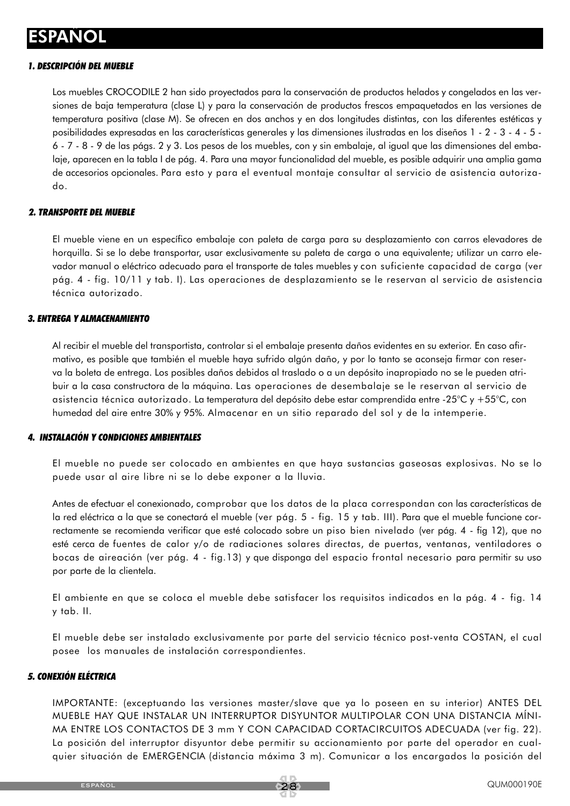### **ESPAÑOL**

#### *1. DESCRIPCIÓN DEL MUEBLE*

Los muebles CROCODILE 2 han sido proyectados para la conservación de productos helados y congelados en las versiones de baja temperatura (clase L) y para la conservación de productos frescos empaquetados en las versiones de temperatura positiva (clase M). Se ofrecen en dos anchos y en dos longitudes distintas, con las diferentes estéticas y posibilidades expresadas en las características generales y las dimensiones ilustradas en los diseños 1 - 2 - 3 - 4 - 5 - 6 - 7 - 8 - 9 de las págs. 2 y 3. Los pesos de los muebles, con y sin embalaje, al igual que las dimensiones del embalaje, aparecen en la tabla I de pág. 4. Para una mayor funcionalidad del mueble, es posible adquirir una amplia gama de accesorios opcionales. Para esto y para el eventual montaje consultar al servicio de asistencia autorizado.

#### *2. TRANSPORTE DEL MUEBLE*

El mueble viene en un específico embalaje con paleta de carga para su desplazamiento con carros elevadores de horquilla. Si se lo debe transportar, usar exclusivamente su paleta de carga o una equivalente; utilizar un carro elevador manual o eléctrico adecuado para el transporte de tales muebles y con suficiente capacidad de carga (ver pág. 4 - fig. 10/11 y tab. I). Las operaciones de desplazamiento se le reservan al servicio de asistencia técnica autorizado.

#### *3. ENTREGA Y ALMACENAMIENTO*

Al recibir el mueble del transportista, controlar si el embalaje presenta daños evidentes en su exterior. En caso afirmativo, es posible que también el mueble haya sufrido algún daño, y por lo tanto se aconseja firmar con reserva la boleta de entrega. Los posibles daños debidos al traslado o a un depósito inapropiado no se le pueden atribuir a la casa constructora de la máquina. Las operaciones de desembalaje se le reservan al servicio de asistencia técnica autorizado. La temperatura del depósito debe estar comprendida entre -25°C y +55°C, con humedad del aire entre 30% y 95%. Almacenar en un sitio reparado del sol y de la intemperie.

#### *4. INSTALACIÓN Y CONDICIONES AMBIENTALES*

El mueble no puede ser colocado en ambientes en que haya sustancias gaseosas explosivas. No se lo puede usar al aire libre ni se lo debe exponer a la lluvia.

Antes de efectuar el conexionado, comprobar que los datos de la placa correspondan con las características de la red eléctrica a la que se conectará el mueble (ver pág. 5 - fig. 15 y tab. III). Para que el mueble funcione correctamente se recomienda verificar que esté colocado sobre un piso bien nivelado (ver pág. 4 - fig 12), que no esté cerca de fuentes de calor y/o de radiaciones solares directas, de puertas, ventanas, ventiladores o bocas de aireación (ver pág. 4 - fig.13) y que disponga del espacio frontal necesario para permitir su uso por parte de la clientela.

El ambiente en que se coloca el mueble debe satisfacer los requisitos indicados en la pág. 4 - fig. 14 y tab. II.

El mueble debe ser instalado exclusivamente por parte del servicio técnico post-venta COSTAN, el cual posee los manuales de instalación correspondientes.

#### *5. CONEXIÓN ELÉCTRICA*

IMPORTANTE: (exceptuando las versiones master/slave que ya lo poseen en su interior) ANTES DEL MUEBLE HAY QUE INSTALAR UN INTERRUPTOR DISYUNTOR MULTIPOLAR CON UNA DISTANCIA MÍNI-MA ENTRE LOS CONTACTOS DE 3 mm Y CON CAPACIDAD CORTACIRCUITOS ADECUADA (ver fig. 22). La posición del interruptor disyuntor debe permitir su accionamiento por parte del operador en cualquier situación de EMERGENCIA (distancia máxima 3 m). Comunicar a los encargados la posición del

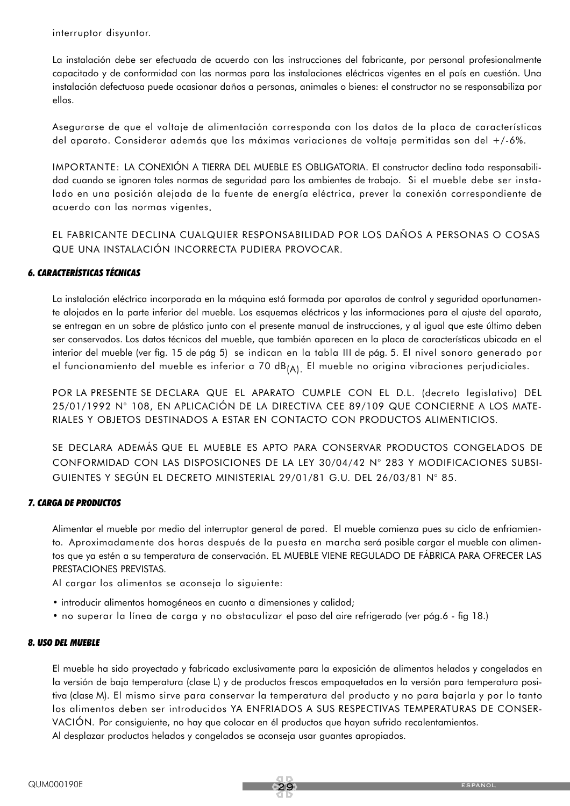interruptor disyuntor.

La instalación debe ser efectuada de acuerdo con las instrucciones del fabricante, por personal profesionalmente capacitado y de conformidad con las normas para las instalaciones eléctricas vigentes en el país en cuestión. Una instalación defectuosa puede ocasionar daños a personas, animales o bienes: el constructor no se responsabiliza por ellos.

Asegurarse de que el voltaje de alimentación corresponda con los datos de la placa de características del aparato. Considerar además que las máximas variaciones de voltaje permitidas son del +/-6%.

IMPORTANTE: LA CONEXIÓN A TIERRA DEL MUEBLE ES OBLIGATORIA. El constructor declina toda responsabilidad cuando se ignoren tales normas de seguridad para los ambientes de trabajo. Si el mueble debe ser instalado en una posición alejada de la fuente de energía eléctrica, prever la conexión correspondiente de acuerdo con las normas vigentes.

EL FABRICANTE DECLINA CUALQUIER RESPONSABILIDAD POR LOS DAÑOS A PERSONAS O COSAS QUE UNA INSTALACIÓN INCORRECTA PUDIERA PROVOCAR.

#### *6. CARACTERÍSTICAS TÉCNICAS*

La instalación eléctrica incorporada en la máquina está formada por aparatos de control y seguridad oportunamente alojados en la parte inferior del mueble. Los esquemas eléctricos y las informaciones para el ajuste del aparato, se entregan en un sobre de plástico junto con el presente manual de instrucciones, y al igual que este último deben ser conservados. Los datos técnicos del mueble, que también aparecen en la placa de características ubicada en el interior del mueble (ver fig. 15 de pág 5) se indican en la tabla III de pág. 5. El nivel sonoro generado por el funcionamiento del mueble es inferior a 70 dB $_{(A)}$ . El mueble no origina vibraciones perjudiciales.

POR LA PRESENTE SE DECLARA QUE EL APARATO CUMPLE CON EL D.L. (decreto legislativo) DEL 25/01/1992 N° 108, EN APLICACIÓN DE LA DIRECTIVA CEE 89/109 QUE CONCIERNE A LOS MATE-RIALES Y OBJETOS DESTINADOS A ESTAR EN CONTACTO CON PRODUCTOS ALIMENTICIOS.

SE DECLARA ADEMÁS QUE EL MUEBLE ES APTO PARA CONSERVAR PRODUCTOS CONGELADOS DE CONFORMIDAD CON LAS DISPOSICIONES DE LA LEY 30/04/42 N° 283 Y MODIFICACIONES SUBSI-GUIENTES Y SEGÚN EL DECRETO MINISTERIAL 29/01/81 G.U. DEL 26/03/81 N° 85.

#### *7. CARGA DE PRODUCTOS*

Alimentar el mueble por medio del interruptor general de pared. El mueble comienza pues su ciclo de enfriamiento. Aproximadamente dos horas después de la puesta en marcha será posible cargar el mueble con alimentos que ya estén a su temperatura de conservación. EL MUEBLE VIENE REGULADO DE FÁBRICA PARA OFRECER LAS PRESTACIONES PREVISTAS.

Al cargar los alimentos se aconseja lo siguiente:

- introducir alimentos homogéneos en cuanto a dimensiones y calidad;
- no superar la línea de carga y no obstaculizar el paso del aire refrigerado (ver pág.6 fig 18.)

#### *8. USO DEL MUEBLE*

El mueble ha sido proyectado y fabricado exclusivamente para la exposición de alimentos helados y congelados en la versión de baja temperatura (clase L) y de productos frescos empaquetados en la versión para temperatura positiva (clase M). El mismo sirve para conservar la temperatura del producto y no para bajarla y por lo tanto los alimentos deben ser introducidos YA ENFRIADOS A SUS RESPECTIVAS TEMPERATURAS DE CONSER-VACIÓN. Por consiguiente, no hay que colocar en él productos que hayan sufrido recalentamientos. Al desplazar productos helados y congelados se aconseja usar guantes apropiados.

29 español español español español español español español español español español español español español es<br>En 1990 español español español español español español español español español español español español español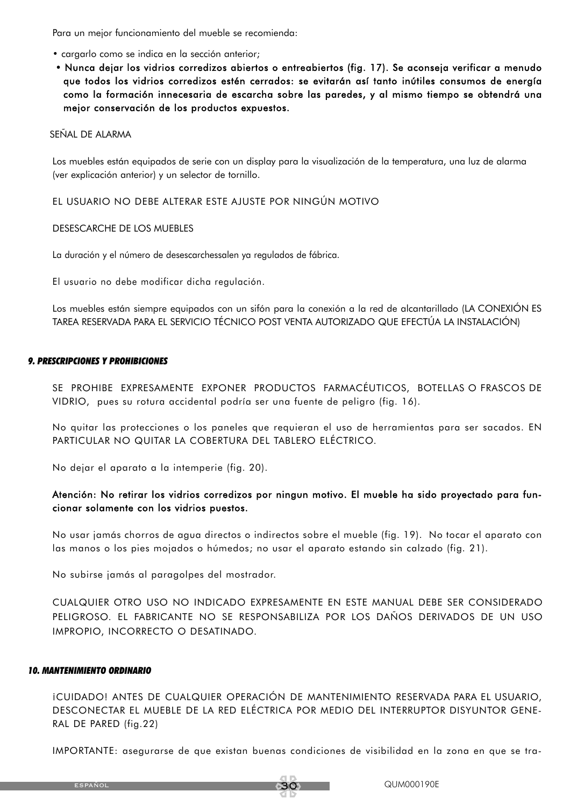Para un mejor funcionamiento del mueble se recomienda:

- cargarlo como se indica en la sección anterior;
- Nunca dejar los vidrios corredizos abiertos o entreabiertos (fig. 17). Se aconseja verificar a menudo que todos los vidrios corredizos estén cerrados: se evitarán así tanto inútiles consumos de energía como la formación innecesaria de escarcha sobre las paredes, y al mismo tiempo se obtendrá una mejor conservación de los productos expuestos.

#### SEÑAL DE ALARMA

Los muebles están equipados de serie con un display para la visualización de la temperatura, una luz de alarma (ver explicación anterior) y un selector de tornillo.

EL USUARIO NO DEBE ALTERAR ESTE AJUSTE POR NINGÚN MOTIVO

#### DESESCARCHE DE LOS MUEBLES

La duración y el número de desescarchessalen ya regulados de fábrica.

El usuario no debe modificar dicha regulación.

Los muebles están siempre equipados con un sifón para la conexión a la red de alcantarillado (LA CONEXIÓN ES TAREA RESERVADA PARA EL SERVICIO TÉCNICO POST VENTA AUTORIZADO QUE EFECTÚA LA INSTALACIÓN)

#### *9. PRESCRIPCIONES Y PROHIBICIONES*

SE PROHIBE EXPRESAMENTE EXPONER PRODUCTOS FARMACÉUTICOS, BOTELLAS O FRASCOS DE VIDRIO, pues su rotura accidental podría ser una fuente de peligro (fig. 16).

No quitar las protecciones o los paneles que requieran el uso de herramientas para ser sacados. EN PARTICULAR NO QUITAR LA COBERTURA DEL TABLERO ELÉCTRICO.

No dejar el aparato a la intemperie (fig. 20).

#### Atención: No retirar los vidrios corredizos por ningun motivo. El mueble ha sido proyectado para funcionar solamente con los vidrios puestos.

No usar jamás chorros de agua directos o indirectos sobre el mueble (fig. 19). No tocar el aparato con las manos o los pies mojados o húmedos; no usar el aparato estando sin calzado (fig. 21).

No subirse jamás al paragolpes del mostrador.

CUALQUIER OTRO USO NO INDICADO EXPRESAMENTE EN ESTE MANUAL DEBE SER CONSIDERADO PELIGROSO. EL FABRICANTE NO SE RESPONSABILIZA POR LOS DAÑOS DERIVADOS DE UN USO IMPROPIO, INCORRECTO O DESATINADO.

#### *10. MANTENIMIENTO ORDINARIO*

¡CUIDADO! ANTES DE CUALQUIER OPERACIÓN DE MANTENIMIENTO RESERVADA PARA EL USUARIO, DESCONECTAR EL MUEBLE DE LA RED ELÉCTRICA POR MEDIO DEL INTERRUPTOR DISYUNTOR GENE-RAL DE PARED (fig.22)

IMPORTANTE: asegurarse de que existan buenas condiciones de visibilidad en la zona en que se tra-

español



30 QUM000190E<br>1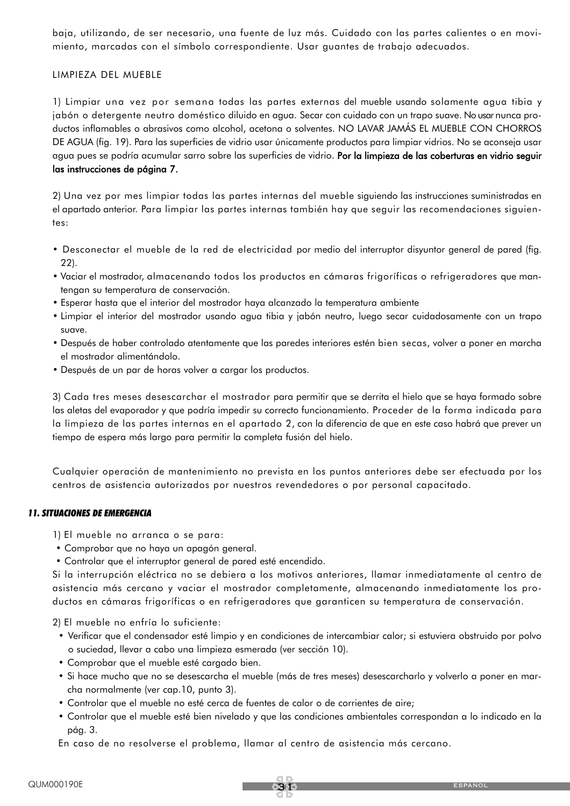baja, utilizando, de ser necesario, una fuente de luz más. Cuidado con las partes calientes o en movimiento, marcadas con el símbolo correspondiente. Usar guantes de trabajo adecuados.

#### LIMPIEZA DEL MUEBLE

1) Limpiar una vez por semana todas las partes externas del mueble usando solamente agua tibia y jabón o detergente neutro doméstico diluido en agua. Secar con cuidado con un trapo suave. No usar nunca productos inflamables o abrasivos como alcohol, acetona o solventes. NO LAVAR JAMÁS EL MUEBLE CON CHORROS DE AGUA (fig. 19). Para las superficies de vidrio usar únicamente productos para limpiar vidrios. No se aconseja usar agua pues se podría acumular sarro sobre las superficies de vidrio. Por la limpieza de las coberturas en vidrio seguir las instrucciones de página 7.

2) Una vez por mes limpiar todas las partes internas del mueble siguiendo las instrucciones suministradas en el apartado anterior. Para limpiar las partes internas también hay que seguir las recomendaciones siguientes:

- Desconectar el mueble de la red de electricidad por medio del interruptor disyuntor general de pared (fig. 22).
- Vaciar el mostrador, almacenando todos los productos en cámaras frigoríficas o refrigeradores que mantengan su temperatura de conservación.
- Esperar hasta que el interior del mostrador haya alcanzado la temperatura ambiente
- Limpiar el interior del mostrador usando agua tibia y jabón neutro, luego secar cuidadosamente con un trapo suave.
- Después de haber controlado atentamente que las paredes interiores estén bien secas, volver a poner en marcha el mostrador alimentándolo.
- Después de un par de horas volver a cargar los productos.

3) Cada tres meses desescarchar el mostrador para permitir que se derrita el hielo que se haya formado sobre las aletas del evaporador y que podría impedir su correcto funcionamiento. Proceder de la forma indicada para la limpieza de las partes internas en el apartado 2, con la diferencia de que en este caso habrá que prever un tiempo de espera más largo para permitir la completa fusión del hielo.

Cualquier operación de mantenimiento no prevista en los puntos anteriores debe ser efectuada por los centros de asistencia autorizados por nuestros revendedores o por personal capacitado.

#### *11. SITUACIONES DE EMERGENCIA*

1) El mueble no arranca o se para:

- Comprobar que no haya un apagón general.
- Controlar que el interruptor general de pared esté encendido.

Si la interrupción eléctrica no se debiera a los motivos anteriores, llamar inmediatamente al centro de asistencia más cercano y vaciar el mostrador completamente, almacenando inmediatamente los productos en cámaras frigoríficas o en refrigeradores que garanticen su temperatura de conservación.

2) El mueble no enfría lo suficiente:

- Verificar que el condensador esté limpio y en condiciones de intercambiar calor; si estuviera obstruido por polvo o suciedad, llevar a cabo una limpieza esmerada (ver sección 10).
- Comprobar que el mueble esté cargado bien.
- Si hace mucho que no se desescarcha el mueble (más de tres meses) desescarcharlo y volverlo a poner en marcha normalmente (ver cap.10, punto 3).
- Controlar que el mueble no esté cerca de fuentes de calor o de corrientes de aire;
- Controlar que el mueble esté bien nivelado y que las condiciones ambientales correspondan a lo indicado en la pág. 3.

En caso de no resolverse el problema, llamar al centro de asistencia más cercano.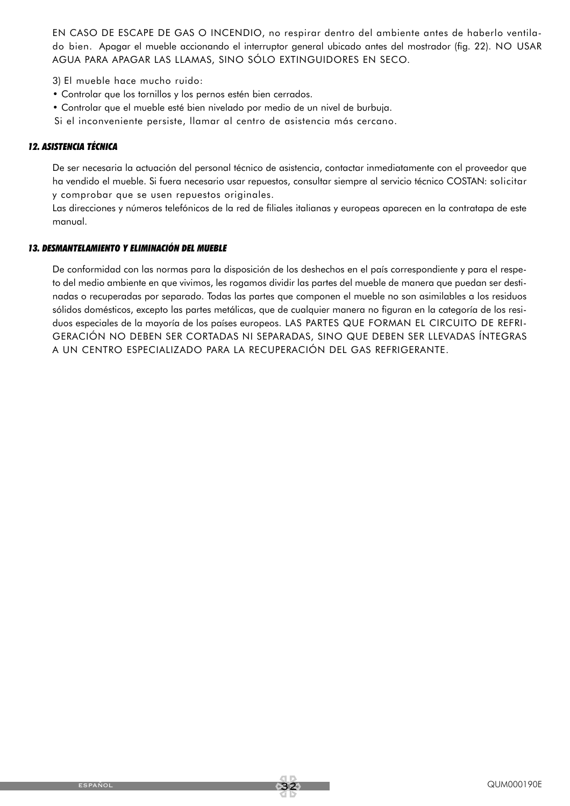EN CASO DE ESCAPE DE GAS O INCENDIO, no respirar dentro del ambiente antes de haberlo ventilado bien. Apagar el mueble accionando el interruptor general ubicado antes del mostrador (fig. 22). NO USAR AGUA PARA APAGAR LAS LLAMAS, SINO SÓLO EXTINGUIDORES EN SECO.

3) El mueble hace mucho ruido:

- Controlar que los tornillos y los pernos estén bien cerrados.
- Controlar que el mueble esté bien nivelado por medio de un nivel de burbuja.

Si el inconveniente persiste, llamar al centro de asistencia más cercano.

#### *12. ASISTENCIA TÉCNICA*

De ser necesaria la actuación del personal técnico de asistencia, contactar inmediatamente con el proveedor que ha vendido el mueble. Si fuera necesario usar repuestos, consultar siempre al servicio técnico COSTAN: solicitar y comprobar que se usen repuestos originales.

Las direcciones y números telefónicos de la red de filiales italianas y europeas aparecen en la contratapa de este manual.

#### *13. DESMANTELAMIENTO Y ELIMINACIÓN DEL MUEBLE*

De conformidad con las normas para la disposición de los deshechos en el país correspondiente y para el respeto del medio ambiente en que vivimos, les rogamos dividir las partes del mueble de manera que puedan ser destinadas o recuperadas por separado. Todas las partes que componen el mueble no son asimilables a los residuos sólidos domésticos, excepto las partes metálicas, que de cualquier manera no figuran en la categoría de los residuos especiales de la mayoría de los países europeos. LAS PARTES QUE FORMAN EL CIRCUITO DE REFRI-GERACIÓN NO DEBEN SER CORTADAS NI SEPARADAS, SINO QUE DEBEN SER LLEVADAS ÍNTEGRAS A UN CENTRO ESPECIALIZADO PARA LA RECUPERACIÓN DEL GAS REFRIGERANTE.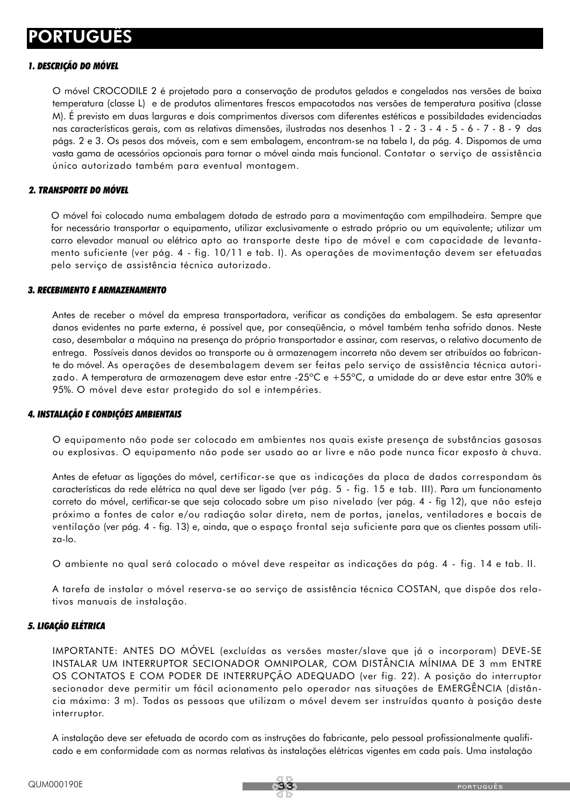#### *1. DESCRIÇÃO DO MÓVEL*

O móvel CROCODILE 2 é projetado para a conservação de produtos gelados e congelados nas versões de baixa temperatura (classe L) e de produtos alimentares frescos empacotados nas versões de temperatura positiva (classe M). É previsto em duas larguras e dois comprimentos diversos com diferentes estéticas e possibildades evidenciadas nas características gerais, com as relativas dimensões, ilustradas nos desenhos 1 - 2 - 3 - 4 - 5 - 6 - 7 - 8 - 9 das págs. 2 e 3. Os pesos dos móveis, com e sem embalagem, encontram-se na tabela I, da pág. 4. Dispomos de uma vasta gama de acessórios opcionais para tornar o móvel ainda mais funcional. Contatar o serviço de assistência único autorizado também para eventual montagem.

#### *2. TRANSPORTE DO MÓVEL*

O móvel foi colocado numa embalagem dotada de estrado para a movimentação com empilhadeira. Sempre que for necessário transportar o equipamento, utilizar exclusivamente o estrado próprio ou um equivalente; utilizar um carro elevador manual ou elétrico apto ao transporte deste tipo de móvel e com capacidade de levantamento suficiente (ver pág. 4 - fig. 10/11 e tab. I). As operações de movimentação devem ser efetuadas pelo serviço de assistência técnica autorizado.

#### *3. RECEBIMENTO E ARMAZENAMENTO*

Antes de receber o móvel da empresa transportadora, verificar as condições da embalagem. Se esta apresentar danos evidentes na parte externa, é possível que, por conseqüência, o móvel também tenha sofrido danos. Neste caso, desembalar a máquina na presença do próprio transportador e assinar, com reservas, o relativo documento de entrega. Possíveis danos devidos ao transporte ou à armazenagem incorreta não devem ser atribuídos ao fabricante do móvel. As operações de desembalagem devem ser feitas pelo serviço de assistência técnica autorizado. A temperatura de armazenagem deve estar entre -25ºC e +55ºC, a umidade do ar deve estar entre 30% e 95%. O móvel deve estar protegido do sol e intempéries.

#### *4. INSTALAÇÃO E CONDIÇÕES AMBIENTAIS*

O equipamento não pode ser colocado em ambientes nos quais existe presença de substâncias gasosas ou explosivas. O equipamento não pode ser usado ao ar livre e não pode nunca ficar exposto à chuva.

Antes de efetuar as ligações do móvel, certificar-se que as indicações da placa de dados correspondam às características da rede elétrica na qual deve ser ligado (ver pág. 5 - fig. 15 e tab. III). Para um funcionamento correto do móvel, certificar-se que seja colocado sobre um piso nivelado (ver pág. 4 - fig 12), que não esteja próximo a fontes de calor e/ou radiação solar direta, nem de portas, janelas, ventiladores e bocais de ventilação (ver pág. 4 - fig. 13) e, ainda, que o espaço frontal seja suficiente para que os clientes possam utiliza-lo.

O ambiente no qual será colocado o móvel deve respeitar as indicações da pág. 4 - fig. 14 e tab. II.

A tarefa de instalar o móvel reserva-se ao serviço de assistência técnica COSTAN, que dispõe dos relativos manuais de instalação.

#### *5. LIGAÇÃO ELÉTRICA*

IMPORTANTE: ANTES DO MÓVEL (excluídas as versões master/slave que já o incorporam) DEVE-SE INSTALAR UM INTERRUPTOR SECIONADOR OMNIPOLAR, COM DISTÂNCIA MÍNIMA DE 3 mm ENTRE OS CONTATOS E COM PODER DE INTERRUPÇÃO ADEQUADO (ver fig. 22). A posição do interruptor secionador deve permitir um fácil acionamento pelo operador nas situações de EMERGÊNCIA (distância máxima: 3 m). Todas as pessoas que utilizam o móvel devem ser instruídas quanto à posição deste interruptor.

A instalação deve ser efetuada de acordo com as instruções do fabricante, pelo pessoal profissionalmente qualificado e em conformidade com as normas relativas às instalações elétricas vigentes em cada país. Uma instalação

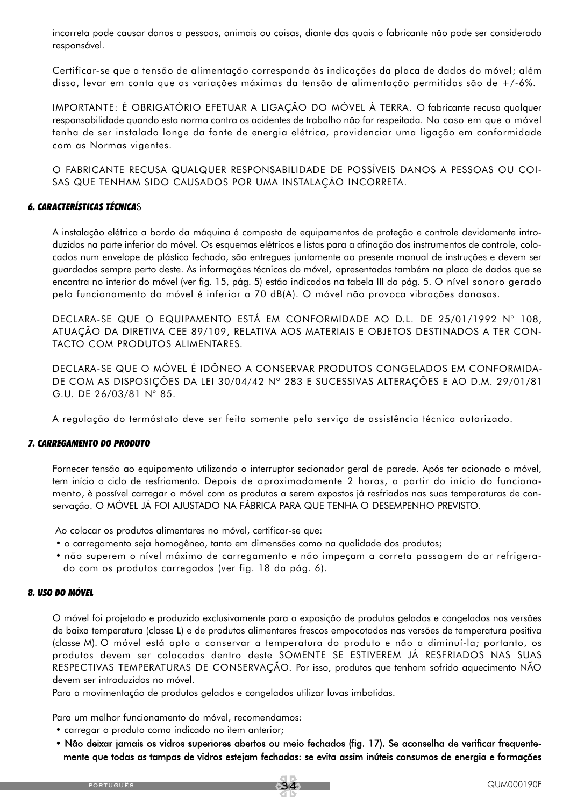incorreta pode causar danos a pessoas, animais ou coisas, diante das quais o fabricante não pode ser considerado responsável.

Certificar-se que a tensão de alimentação corresponda às indicações da placa de dados do móvel; além disso, levar em conta que as variações máximas da tensão de alimentação permitidas são de +/-6%.

IMPORTANTE: É OBRIGATÓRIO EFETUAR A LIGAÇÃO DO MÓVEL À TERRA. O fabricante recusa qualquer responsabilidade quando esta norma contra os acidentes de trabalho não for respeitada. No caso em que o móvel tenha de ser instalado longe da fonte de energia elétrica, providenciar uma ligação em conformidade com as Normas vigentes.

O FABRICANTE RECUSA QUALQUER RESPONSABILIDADE DE POSSÍVEIS DANOS A PESSOAS OU COI-SAS QUE TENHAM SIDO CAUSADOS POR UMA INSTALAÇÃO INCORRETA.

#### *6. CARACTERÍSTICAS TÉCNICA*S

A instalação elétrica a bordo da máquina é composta de equipamentos de proteção e controle devidamente introduzidos na parte inferior do móvel. Os esquemas elétricos e listas para a afinação dos instrumentos de controle, colocados num envelope de plástico fechado, são entregues juntamente ao presente manual de instruções e devem ser guardados sempre perto deste. As informações técnicas do móvel, apresentadas também na placa de dados que se encontra no interior do móvel (ver fig. 15, pág. 5) estão indicados na tabela III da pág. 5. O nível sonoro gerado pelo funcionamento do móvel é inferior a 70 dB(A). O móvel não provoca vibrações danosas.

DECLARA-SE QUE O EQUIPAMENTO ESTÁ EM CONFORMIDADE AO D.L. DE 25/01/1992 N° 108, ATUAÇÃO DA DIRETIVA CEE 89/109, RELATIVA AOS MATERIAIS E OBJETOS DESTINADOS A TER CON-TACTO COM PRODUTOS ALIMENTARES.

DECLARA-SE QUE O MÓVEL É IDÔNEO A CONSERVAR PRODUTOS CONGELADOS EM CONFORMIDA-DE COM AS DISPOSIÇÕES DA LEI 30/04/42 Nº 283 E SUCESSIVAS ALTERAÇÕES E AO D.M. 29/01/81 G.U. DE 26/03/81 N° 85.

A regulação do termóstato deve ser feita somente pelo serviço de assistência técnica autorizado.

#### *7. CARREGAMENTO DO PRODUTO*

Fornecer tensão ao equipamento utilizando o interruptor secionador geral de parede. Após ter acionado o móvel, tem início o ciclo de resfriamento. Depois de aproximadamente 2 horas, a partir do início do funcionamento, è possível carregar o móvel com os produtos a serem expostos já resfriados nas suas temperaturas de conservação. O MÓVEL JÁ FOI AJUSTADO NA FÁBRICA PARA QUE TENHA O DESEMPENHO PREVISTO.

Ao colocar os produtos alimentares no móvel, certificar-se que:

- o carregamento seja homogêneo, tanto em dimensões como na qualidade dos produtos;
- não superem o nível máximo de carregamento e não impeçam a correta passagem do ar refrigerado com os produtos carregados (ver fig. 18 da pág. 6).

#### *8. USO DO MÓVEL*

O móvel foi projetado e produzido exclusivamente para a exposição de produtos gelados e congelados nas versões de baixa temperatura (classe L) e de produtos alimentares frescos empacotados nas versões de temperatura positiva (classe M). O móvel está apto a conservar a temperatura do produto e não a diminuí-la; portanto, os produtos devem ser colocados dentro deste SOMENTE SE ESTIVEREM JÁ RESFRIADOS NAS SUAS RESPECTIVAS TEMPERATURAS DE CONSERVAÇÃO. Por isso, produtos que tenham sofrido aquecimento NÃO devem ser introduzidos no móvel.

Para a movimentação de produtos gelados e congelados utilizar luvas imbotidas.

Para um melhor funcionamento do móvel, recomendamos:

- carregar o produto como indicado no item anterior;
- Não deixar jamais os vidros superiores abertos ou meio fechados (fig. 17). Se aconselha de verificar frequentemente que todas as tampas de vidros estejam fechadas: se evita assim inúteis consumos de energia e formações

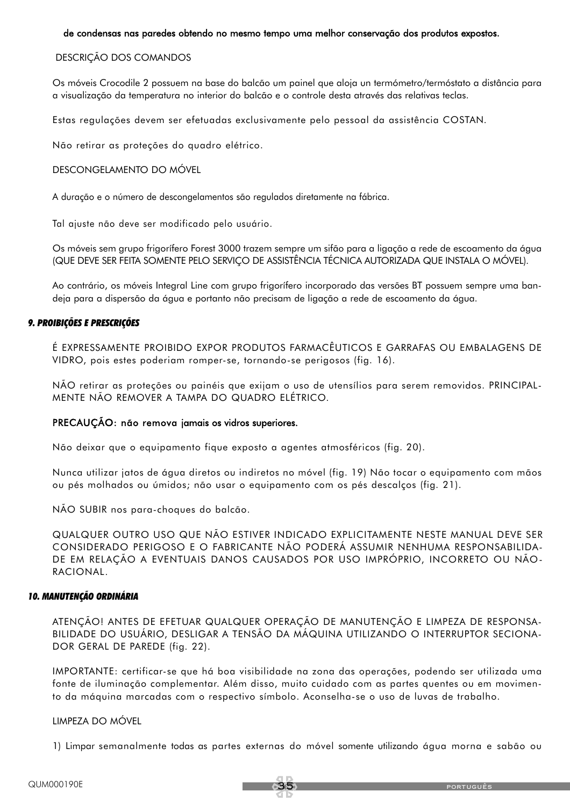#### de condensas nas paredes obtendo no mesmo tempo uma melhor conservação dos produtos expostos.

#### DESCRIÇÃO DOS COMANDOS

Os móveis Crocodile 2 possuem na base do balcão um painel que aloja un termómetro/termóstato a distância para a visualização da temperatura no interior do balcão e o controle desta através das relativas teclas.

Estas regulações devem ser efetuadas exclusivamente pelo pessoal da assistência COSTAN.

Não retirar as proteções do quadro elétrico.

#### DESCONGELAMENTO DO MÓVEL

A duração e o número de descongelamentos são regulados diretamente na fábrica.

Tal ajuste não deve ser modificado pelo usuário.

Os móveis sem grupo frigorífero Forest 3000 trazem sempre um sifão para a ligação a rede de escoamento da água (QUE DEVE SER FEITA SOMENTE PELO SERVIÇO DE ASSISTÊNCIA TÉCNICA AUTORIZADA QUE INSTALA O MÓVEL).

Ao contrário, os móveis Integral Line com grupo frigorífero incorporado das versões BT possuem sempre uma bandeja para a dispersão da água e portanto não precisam de ligação a rede de escoamento da água.

#### *9. PROIBIÇÕES E PRESCRIÇÕES*

É EXPRESSAMENTE PROIBIDO EXPOR PRODUTOS FARMACÊUTICOS E GARRAFAS OU EMBALAGENS DE VIDRO, pois estes poderiam romper-se, tornando-se perigosos (fig. 16).

NÃO retirar as proteções ou painéis que exijam o uso de utensílios para serem removidos. PRINCIPAL-MENTE NÃO REMOVER A TAMPA DO QUADRO ELÉTRICO.

#### PRECAUÇÃO: não remova jamais os vidros superiores.

Não deixar que o equipamento fique exposto a agentes atmosféricos (fig. 20).

Nunca utilizar jatos de água diretos ou indiretos no móvel (fig. 19) Não tocar o equipamento com mãos ou pés molhados ou úmidos; não usar o equipamento com os pés descalços (fig. 21).

NÃO SUBIR nos para-choques do balcão.

QUALQUER OUTRO USO QUE NÃO ESTIVER INDICADO EXPLICITAMENTE NESTE MANUAL DEVE SER CONSIDERADO PERIGOSO E O FABRICANTE NÃO PODERÁ ASSUMIR NENHUMA RESPONSABILIDA-DE EM RELAÇÃO A EVENTUAIS DANOS CAUSADOS POR USO IMPRÓPRIO, INCORRETO OU NÃO-RACIONAL.

#### *10. MANUTENÇÃO ORDINÁRIA*

ATENÇÃO! ANTES DE EFETUAR QUALQUER OPERAÇÃO DE MANUTENÇÃO E LIMPEZA DE RESPONSA-BILIDADE DO USUÁRIO, DESLIGAR A TENSÃO DA MÁQUINA UTILIZANDO O INTERRUPTOR SECIONA-DOR GERAL DE PAREDE (fig. 22).

IMPORTANTE: certificar-se que há boa visibilidade na zona das operações, podendo ser utilizada uma fonte de iluminação complementar. Além disso, muito cuidado com as partes quentes ou em movimento da máquina marcadas com o respectivo símbolo. Aconselha-se o uso de luvas de trabalho.

#### LIMPEZA DO MÓVEL

1) Limpar semanalmente todas as partes externas do móvel somente utilizando água morna e sabão ou

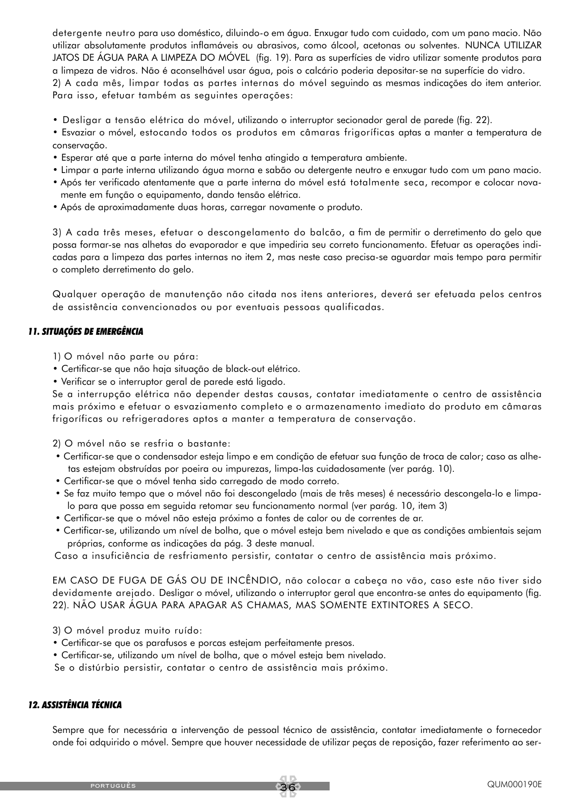detergente neutro para uso doméstico, diluindo-o em água. Enxugar tudo com cuidado, com um pano macio. Não utilizar absolutamente produtos inflamáveis ou abrasivos, como álcool, acetonas ou solventes. NUNCA UTILIZAR JATOS DE ÁGUA PARA A LIMPEZA DO MÓVEL (fig. 19). Para as superfícies de vidro utilizar somente produtos para a limpeza de vidros. Não é aconselhável usar água, pois o calcário poderia depositar-se na superfície do vidro. 2) A cada mês, limpar todas as partes internas do móvel seguindo as mesmas indicações do item anterior. Para isso, efetuar também as seguintes operações:

- Desligar a tensão elétrica do móvel, utilizando o interruptor secionador geral de parede (fig. 22).
- Esvaziar o móvel, estocando todos os produtos em câmaras frigoríficas aptas a manter a temperatura de conservação.
- Esperar até que a parte interna do móvel tenha atingido a temperatura ambiente.
- Limpar a parte interna utilizando água morna e sabão ou detergente neutro e enxugar tudo com um pano macio.
- Após ter verificado atentamente que a parte interna do móvel está totalmente seca, recompor e colocar novamente em função o equipamento, dando tensão elétrica.
- Após de aproximadamente duas horas, carregar novamente o produto.

3) A cada três meses, efetuar o descongelamento do balcão, a fim de permitir o derretimento do gelo que possa formar-se nas alhetas do evaporador e que impediria seu correto funcionamento. Efetuar as operações indicadas para a limpeza das partes internas no item 2, mas neste caso precisa-se aguardar mais tempo para permitir o completo derretimento do gelo.

Qualquer operação de manutenção não citada nos itens anteriores, deverá ser efetuada pelos centros de assistência convencionados ou por eventuais pessoas qualificadas.

#### *11. SITUAÇÕES DE EMERGÊNCIA*

1) O móvel não parte ou pára:

- Certificar-se que não haja situação de black-out elétrico.
- Verificar se o interruptor geral de parede está ligado.

Se a interrupção elétrica não depender destas causas, contatar imediatamente o centro de assistência mais próximo e efetuar o esvaziamento completo e o armazenamento imediato do produto em câmaras frigoríficas ou refrigeradores aptos a manter a temperatura de conservação.

2) O móvel não se resfria o bastante:

- Certificar-se que o condensador esteja limpo e em condição de efetuar sua função de troca de calor; caso as alhetas estejam obstruídas por poeira ou impurezas, limpa-las cuidadosamente (ver parág. 10).
- Certificar-se que o móvel tenha sido carregado de modo correto.
- Se faz muito tempo que o móvel não foi descongelado (mais de três meses) é necessário descongela-lo e limpalo para que possa em seguida retomar seu funcionamento normal (ver parág. 10, item 3)
- Certificar-se que o móvel não esteja próximo a fontes de calor ou de correntes de ar.
- Certificar-se, utilizando um nível de bolha, que o móvel esteja bem nivelado e que as condições ambientais sejam próprias, conforme as indicações da pág. 3 deste manual.

Caso a insuficiência de resfriamento persistir, contatar o centro de assistência mais próximo.

EM CASO DE FUGA DE GÁS OU DE INCÊNDIO, não colocar a cabeça no vão, caso este não tiver sido devidamente arejado. Desligar o móvel, utilizando o interruptor geral que encontra-se antes do equipamento (fig. 22). NÃO USAR ÁGUA PARA APAGAR AS CHAMAS, MAS SOMENTE EXTINTORES A SECO.

- 3) O móvel produz muito ruído:
- Certificar-se que os parafusos e porcas estejam perfeitamente presos.

• Certificar-se, utilizando um nível de bolha, que o móvel esteja bem nivelado.

Se o distúrbio persistir, contatar o centro de assistência mais próximo.

#### *12. ASSISTÊNCIA TÉCNICA*

Sempre que for necessária a intervenção de pessoal técnico de assistência, contatar imediatamente o fornecedor onde foi adquirido o móvel. Sempre que houver necessidade de utilizar peças de reposição, fazer referimento ao ser